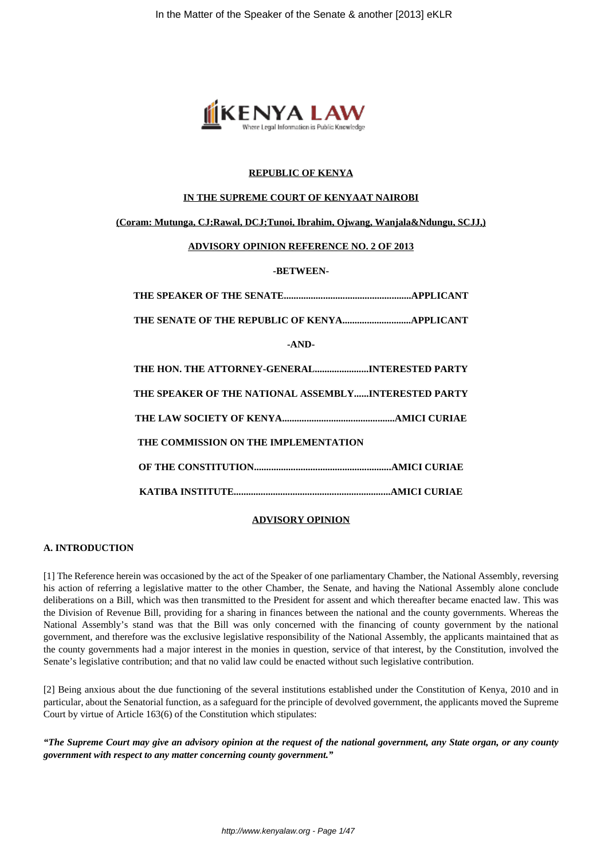

## **REPUBLIC OF KENYA**

#### **IN THE SUPREME COURT OF KENYAAT NAIROBI**

## **(Coram: Mutunga, CJ;Rawal, DCJ;Tunoi, Ibrahim, Ojwang, Wanjala&Ndungu, SCJJ,)**

#### **ADVISORY OPINION REFERENCE NO. 2 OF 2013**

**-BETWEEN-**

| $-AND-$                                              |
|------------------------------------------------------|
| THE HON. THE ATTORNEY-GENERALINTERESTED PARTY        |
| THE SPEAKER OF THE NATIONAL ASSEMBLYINTERESTED PARTY |
|                                                      |
| THE COMMISSION ON THE IMPLEMENTATION                 |
|                                                      |
|                                                      |

## **ADVISORY OPINION**

### **A. INTRODUCTION**

[1] The Reference herein was occasioned by the act of the Speaker of one parliamentary Chamber, the National Assembly, reversing his action of referring a legislative matter to the other Chamber, the Senate, and having the National Assembly alone conclude deliberations on a Bill, which was then transmitted to the President for assent and which thereafter became enacted law. This was the Division of Revenue Bill, providing for a sharing in finances between the national and the county governments. Whereas the National Assembly's stand was that the Bill was only concerned with the financing of county government by the national government, and therefore was the exclusive legislative responsibility of the National Assembly, the applicants maintained that as the county governments had a major interest in the monies in question, service of that interest, by the Constitution, involved the Senate's legislative contribution; and that no valid law could be enacted without such legislative contribution.

[2] Being anxious about the due functioning of the several institutions established under the Constitution of Kenya, 2010 and in particular, about the Senatorial function, as a safeguard for the principle of devolved government, the applicants moved the Supreme Court by virtue of Article 163(6) of the Constitution which stipulates:

*"The Supreme Court may give an advisory opinion at the request of the national government, any State organ, or any county government with respect to any matter concerning county government."*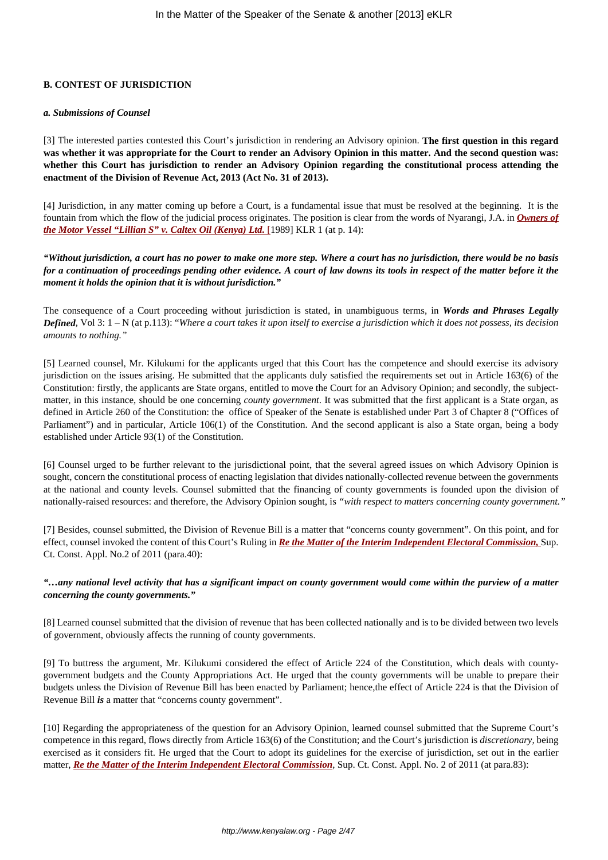# **B. CONTEST OF JURISDICTION**

#### *a. Submissions of Counsel*

[3] The interested parties contested this Court's jurisdiction in rendering an Advisory opinion. **The first question in this regard was whether it was appropriate for the Court to render an Advisory Opinion in this matter. And the second question was: whether this Court has jurisdiction to render an Advisory Opinion regarding the constitutional process attending the enactment of the Division of Revenue Act, 2013 (Act No. 31 of 2013).**

[4] Jurisdiction, in any matter coming up before a Court, is a fundamental issue that must be resolved at the beginning. It is the fountain from which the flow of the judicial process originates. The position is clear from the words of Nyarangi, J.A. in *[Owners of](http://kenyalaw.org/caselaw/cases/view/45265/) [the Motor Vessel "Lillian S" v. Caltex Oil \(Kenya\) Ltd.](http://kenyalaw.org/caselaw/cases/view/45265/)* [\[1](http://kenyalaw.org/caselaw/cases/view/45265/)989] KLR 1 (at p. 14):

*"Without jurisdiction, a court has no power to make one more step. Where a court has no jurisdiction, there would be no basis for a continuation of proceedings pending other evidence. A court of law downs its tools in respect of the matter before it the moment it holds the opinion that it is without jurisdiction."*

The consequence of a Court proceeding without jurisdiction is stated, in unambiguous terms, in *Words and Phrases Legally Defined*, Vol 3: 1 – N (at p.113): "*Where a court takes it upon itself to exercise a jurisdiction which it does not possess, its decision amounts to nothing."*

[5] Learned counsel, Mr. Kilukumi for the applicants urged that this Court has the competence and should exercise its advisory jurisdiction on the issues arising. He submitted that the applicants duly satisfied the requirements set out in Article 163(6) of the Constitution: firstly, the applicants are State organs, entitled to move the Court for an Advisory Opinion; and secondly, the subjectmatter, in this instance, should be one concerning *county government*. It was submitted that the first applicant is a State organ, as defined in Article 260 of the Constitution: the office of Speaker of the Senate is established under Part 3 of Chapter 8 ("Offices of Parliament") and in particular, Article 106(1) of the Constitution. And the second applicant is also a State organ, being a body established under Article 93(1) of the Constitution.

[6] Counsel urged to be further relevant to the jurisdictional point, that the several agreed issues on which Advisory Opinion is sought, concern the constitutional process of enacting legislation that divides nationally-collected revenue between the governments at the national and county levels. Counsel submitted that the financing of county governments is founded upon the division of nationally-raised resources: and therefore, the Advisory Opinion sought, is *"with respect to matters concerning county government."*

[7] Besides, counsel submitted, the Division of Revenue Bill is a matter that "concerns county government". On this point, and for effect, counsel invoked the content of this Court's Ruling in *[Re the Matter of the Interim Independent Electoral Commission,](http://kenyalaw.org/caselaw/cases/view/77634/)* Sup. Ct. Const. Appl. No.2 of 2011 (para.40):

### *"…any national level activity that has a significant impact on county government would come within the purview of a matter concerning the county governments."*

[8] Learned counsel submitted that the division of revenue that has been collected nationally and is to be divided between two levels of government, obviously affects the running of county governments.

[9] To buttress the argument, Mr. Kilukumi considered the effect of Article 224 of the Constitution, which deals with countygovernment budgets and the County Appropriations Act. He urged that the county governments will be unable to prepare their budgets unless the Division of Revenue Bill has been enacted by Parliament; hence,the effect of Article 224 is that the Division of Revenue Bill *is* a matter that "concerns county government".

[10] Regarding the appropriateness of the question for an Advisory Opinion, learned counsel submitted that the Supreme Court's competence in this regard, flows directly from Article 163(6) of the Constitution; and the Court's jurisdiction is *discretionary,* being exercised as it considers fit. He urged that the Court to adopt its guidelines for the exercise of jurisdiction, set out in the earlier matter, *[Re the Matter of the Interim Independent Electoral Commission](http://kenyalaw.org/caselaw/cases/view/77634/)*, Sup. Ct. Const. Appl. No. 2 of 2011 (at para.83):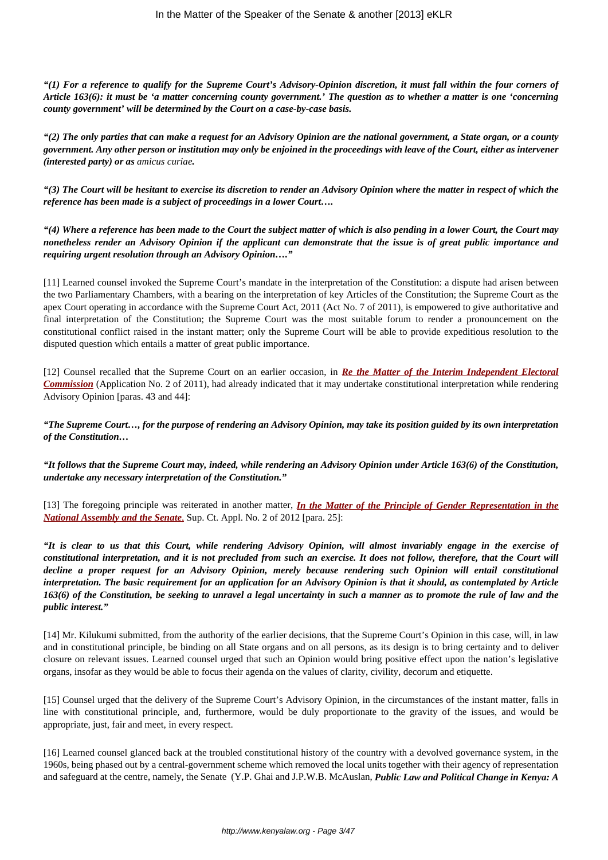*"(1) For a reference to qualify for the Supreme Court's Advisory-Opinion discretion, it must fall within the four corners of Article 163(6): it must be 'a matter concerning county government.' The question as to whether a matter is one 'concerning county government' will be determined by the Court on a case-by-case basis.*

*"(2) The only parties that can make a request for an Advisory Opinion are the national government, a State organ, or a county government. Any other person or institution may only be enjoined in the proceedings with leave of the Court, either as intervener (interested party) or as amicus curiae.*

*"(3) The Court will be hesitant to exercise its discretion to render an Advisory Opinion where the matter in respect of which the reference has been made is a subject of proceedings in a lower Court….*

*"(4) Where a reference has been made to the Court the subject matter of which is also pending in a lower Court, the Court may nonetheless render an Advisory Opinion if the applicant can demonstrate that the issue is of great public importance and requiring urgent resolution through an Advisory Opinion…."*

[11] Learned counsel invoked the Supreme Court's mandate in the interpretation of the Constitution: a dispute had arisen between the two Parliamentary Chambers, with a bearing on the interpretation of key Articles of the Constitution; the Supreme Court as the apex Court operating in accordance with the Supreme Court Act, 2011 (Act No. 7 of 2011), is empowered to give authoritative and final interpretation of the Constitution; the Supreme Court was the most suitable forum to render a pronouncement on the constitutional conflict raised in the instant matter; only the Supreme Court will be able to provide expeditious resolution to the disputed question which entails a matter of great public importance.

[12] Counsel recalled that the Supreme Court on an earlier occasion, in *[Re the Matter of the Interim Independent Electoral](http://kenyalaw.org/caselaw/cases/view/77634/) [Commission](http://kenyalaw.org/caselaw/cases/view/77634/)* (Application No. 2 of 2011), had already indicated that it may undertake constitutional interpretation while rendering Advisory Opinion [paras. 43 and 44]:

*"The Supreme Court…, for the purpose of rendering an Advisory Opinion, may take its position guided by its own interpretation of the Constitution…*

*"It follows that the Supreme Court may, indeed, while rendering an Advisory Opinion under Article 163(6) of the Constitution, undertake any necessary interpretation of the Constitution."*

[13] The foregoing principle was reiterated in another matter, *[In the Matter of the Principle of Gender Representation in the](http://kenyalaw.org/caselaw/cases/view/85286) [National Assembly and the Senate](http://kenyalaw.org/caselaw/cases/view/85286)*[,](http://kenyalaw.org/caselaw/cases/view/85286) Sup. Ct. Appl. No. 2 of 2012 [para. 25]:

*"It is clear to us that this Court, while rendering Advisory Opinion, will almost invariably engage in the exercise of constitutional interpretation, and it is not precluded from such an exercise. It does not follow, therefore, that the Court will decline a proper request for an Advisory Opinion, merely because rendering such Opinion will entail constitutional interpretation. The basic requirement for an application for an Advisory Opinion is that it should, as contemplated by Article 163(6) of the Constitution, be seeking to unravel a legal uncertainty in such a manner as to promote the rule of law and the public interest."*

[14] Mr. Kilukumi submitted, from the authority of the earlier decisions, that the Supreme Court's Opinion in this case, will, in law and in constitutional principle, be binding on all State organs and on all persons, as its design is to bring certainty and to deliver closure on relevant issues. Learned counsel urged that such an Opinion would bring positive effect upon the nation's legislative organs, insofar as they would be able to focus their agenda on the values of clarity, civility, decorum and etiquette.

[15] Counsel urged that the delivery of the Supreme Court's Advisory Opinion, in the circumstances of the instant matter, falls in line with constitutional principle, and, furthermore, would be duly proportionate to the gravity of the issues, and would be appropriate, just, fair and meet, in every respect.

[16] Learned counsel glanced back at the troubled constitutional history of the country with a devolved governance system, in the 1960s, being phased out by a central-government scheme which removed the local units together with their agency of representation and safeguard at the centre, namely, the Senate (Y.P. Ghai and J.P.W.B. McAuslan, *Public Law and Political Change in Kenya: A*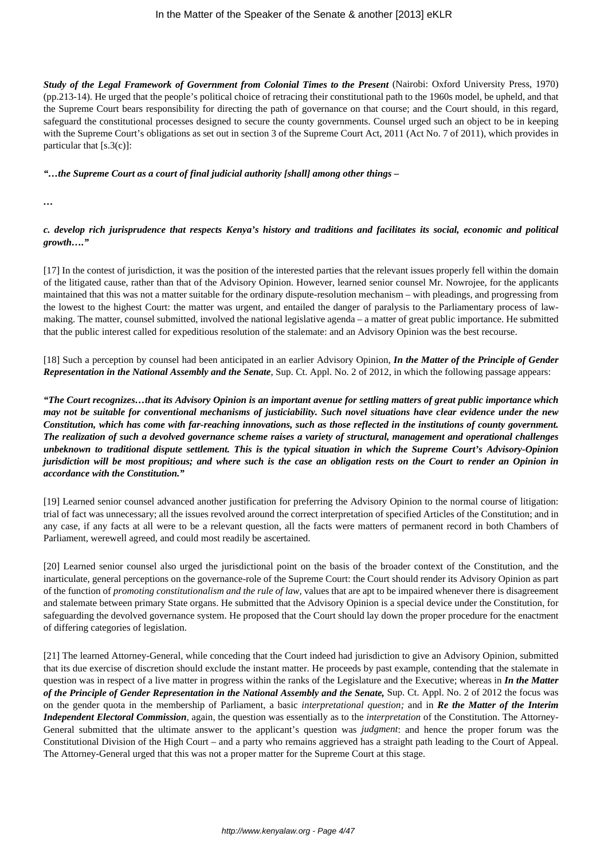*Study of the Legal Framework of Government from Colonial Times to the Present* (Nairobi: Oxford University Press, 1970) (pp.213-14). He urged that the people's political choice of retracing their constitutional path to the 1960s model, be upheld, and that the Supreme Court bears responsibility for directing the path of governance on that course; and the Court should, in this regard, safeguard the constitutional processes designed to secure the county governments. Counsel urged such an object to be in keeping with the Supreme Court's obligations as set out in section 3 of the Supreme Court Act, 2011 (Act No. 7 of 2011), which provides in particular that  $[s.3(c)]$ :

*"…the Supreme Court as a court of final judicial authority [shall] among other things –*

*…*

*c. develop rich jurisprudence that respects Kenya's history and traditions and facilitates its social, economic and political growth…."*

[17] In the contest of jurisdiction, it was the position of the interested parties that the relevant issues properly fell within the domain of the litigated cause, rather than that of the Advisory Opinion. However, learned senior counsel Mr. Nowrojee, for the applicants maintained that this was not a matter suitable for the ordinary dispute-resolution mechanism – with pleadings, and progressing from the lowest to the highest Court: the matter was urgent, and entailed the danger of paralysis to the Parliamentary process of lawmaking. The matter, counsel submitted, involved the national legislative agenda – a matter of great public importance. He submitted that the public interest called for expeditious resolution of the stalemate: and an Advisory Opinion was the best recourse.

[18] Such a perception by counsel had been anticipated in an earlier Advisory Opinion, *In the Matter of the Principle of Gender Representation in the National Assembly and the Senate*, Sup. Ct. Appl. No. 2 of 2012, in which the following passage appears:

*"The Court recognizes…that its Advisory Opinion is an important avenue for settling matters of great public importance which may not be suitable for conventional mechanisms of justiciability. Such novel situations have clear evidence under the new Constitution, which has come with far-reaching innovations, such as those reflected in the institutions of county government. The realization of such a devolved governance scheme raises a variety of structural, management and operational challenges unbeknown to traditional dispute settlement. This is the typical situation in which the Supreme Court's Advisory-Opinion jurisdiction will be most propitious; and where such is the case an obligation rests on the Court to render an Opinion in accordance with the Constitution."*

[19] Learned senior counsel advanced another justification for preferring the Advisory Opinion to the normal course of litigation: trial of fact was unnecessary; all the issues revolved around the correct interpretation of specified Articles of the Constitution; and in any case, if any facts at all were to be a relevant question, all the facts were matters of permanent record in both Chambers of Parliament, werewell agreed, and could most readily be ascertained.

[20] Learned senior counsel also urged the jurisdictional point on the basis of the broader context of the Constitution, and the inarticulate, general perceptions on the governance-role of the Supreme Court: the Court should render its Advisory Opinion as part of the function of *promoting constitutionalism and the rule of law,* values that are apt to be impaired whenever there is disagreement and stalemate between primary State organs. He submitted that the Advisory Opinion is a special device under the Constitution, for safeguarding the devolved governance system. He proposed that the Court should lay down the proper procedure for the enactment of differing categories of legislation.

[21] The learned Attorney-General, while conceding that the Court indeed had jurisdiction to give an Advisory Opinion, submitted that its due exercise of discretion should exclude the instant matter. He proceeds by past example, contending that the stalemate in question was in respect of a live matter in progress within the ranks of the Legislature and the Executive; whereas in *In the Matter of the Principle of Gender Representation in the National Assembly and the Senate,* Sup. Ct. Appl. No. 2 of 2012 the focus was on the gender quota in the membership of Parliament, a basic *interpretational question;* and in *Re the Matter of the Interim Independent Electoral Commission*, again, the question was essentially as to the *interpretation* of the Constitution. The Attorney-General submitted that the ultimate answer to the applicant's question was *judgment*: and hence the proper forum was the Constitutional Division of the High Court – and a party who remains aggrieved has a straight path leading to the Court of Appeal. The Attorney-General urged that this was not a proper matter for the Supreme Court at this stage.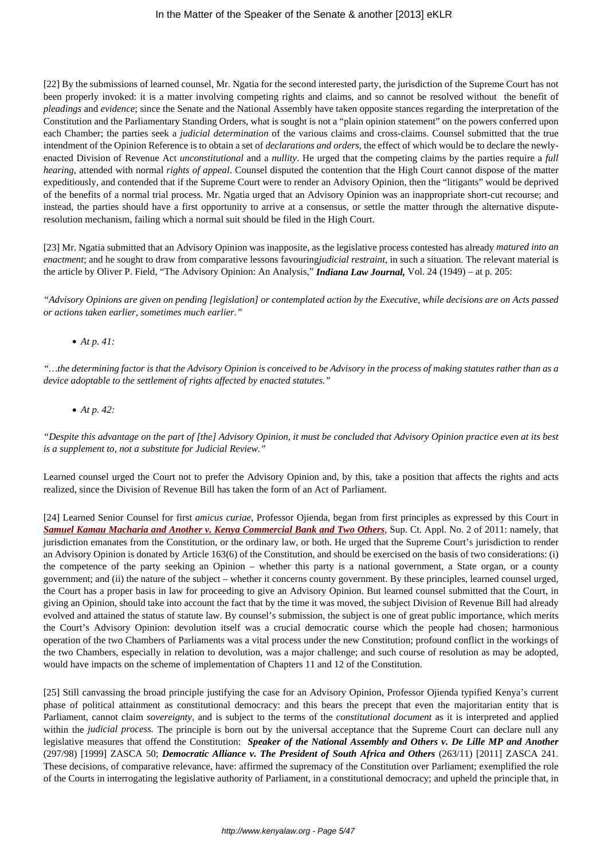[22] By the submissions of learned counsel, Mr. Ngatia for the second interested party, the jurisdiction of the Supreme Court has not been properly invoked: it is a matter involving competing rights and claims, and so cannot be resolved without the benefit of *pleadings* and *evidence*; since the Senate and the National Assembly have taken opposite stances regarding the interpretation of the Constitution and the Parliamentary Standing Orders, what is sought is not a "plain opinion statement" on the powers conferred upon each Chamber; the parties seek a *judicial determination* of the various claims and cross-claims. Counsel submitted that the true intendment of the Opinion Reference is to obtain a set of *declarations and orders*, the effect of which would be to declare the newlyenacted Division of Revenue Act *unconstitutional* and a *nullity*. He urged that the competing claims by the parties require a *full hearing*, attended with normal *rights of appeal*. Counsel disputed the contention that the High Court cannot dispose of the matter expeditiously, and contended that if the Supreme Court were to render an Advisory Opinion, then the "litigants" would be deprived of the benefits of a normal trial process. Mr. Ngatia urged that an Advisory Opinion was an inappropriate short-cut recourse; and instead, the parties should have a first opportunity to arrive at a consensus, or settle the matter through the alternative disputeresolution mechanism, failing which a normal suit should be filed in the High Court.

[23] Mr. Ngatia submitted that an Advisory Opinion was inapposite, as the legislative process contested has already *matured into an enactment*; and he sought to draw from comparative lessons favouring*judicial restraint*, in such a situation. The relevant material is the article by Oliver P. Field, "The Advisory Opinion: An Analysis," *Indiana Law Journal,* Vol. 24 (1949) – at p. 205:

*"Advisory Opinions are given on pending [legislation] or contemplated action by the Executive, while decisions are on Acts passed or actions taken earlier, sometimes much earlier."*

*At p. 41:*

*"…the determining factor is that the Advisory Opinion is conceived to be Advisory in the process of making statutes rather than as a device adoptable to the settlement of rights affected by enacted statutes."*

*At p. 42:*

*"Despite this advantage on the part of [the] Advisory Opinion, it must be concluded that Advisory Opinion practice even at its best is a supplement to, not a substitute for Judicial Review."*

Learned counsel urged the Court not to prefer the Advisory Opinion and, by this, take a position that affects the rights and acts realized, since the Division of Revenue Bill has taken the form of an Act of Parliament.

[24] Learned Senior Counsel for first *amicus curiae*, Professor Ojienda, began from first principles as expressed by this Court in *[Samuel Kamau Macharia and Another v. Kenya Commercial Bank and Two Others](http://kenyalaw.org/caselaw/cases/view/82994)*, Sup. Ct. Appl. No. 2 of 2011: namely, that jurisdiction emanates from the Constitution, or the ordinary law, or both. He urged that the Supreme Court's jurisdiction to render an Advisory Opinion is donated by Article 163(6) of the Constitution, and should be exercised on the basis of two considerations: (i) the competence of the party seeking an Opinion – whether this party is a national government, a State organ, or a county government; and (ii) the nature of the subject – whether it concerns county government. By these principles, learned counsel urged, the Court has a proper basis in law for proceeding to give an Advisory Opinion. But learned counsel submitted that the Court, in giving an Opinion, should take into account the fact that by the time it was moved, the subject Division of Revenue Bill had already evolved and attained the status of statute law. By counsel's submission, the subject is one of great public importance, which merits the Court's Advisory Opinion: devolution itself was a crucial democratic course which the people had chosen; harmonious operation of the two Chambers of Parliaments was a vital process under the new Constitution; profound conflict in the workings of the two Chambers, especially in relation to devolution, was a major challenge; and such course of resolution as may be adopted, would have impacts on the scheme of implementation of Chapters 11 and 12 of the Constitution.

[25] Still canvassing the broad principle justifying the case for an Advisory Opinion, Professor Ojienda typified Kenya's current phase of political attainment as constitutional democracy: and this bears the precept that even the majoritarian entity that is Parliament, cannot claim *sovereignty,* and is subject to the terms of the *constitutional document* as it is interpreted and applied within the *judicial process.* The principle is born out by the universal acceptance that the Supreme Court can declare null any legislative measures that offend the Constitution: *Speaker of the National Assembly and Others v. De Lille MP and Another* (297/98) [1999] ZASCA 50; *Democratic Alliance v. The President of South Africa and Others* (263/11) [2011] ZASCA 241. These decisions, of comparative relevance, have: affirmed the supremacy of the Constitution over Parliament; exemplified the role of the Courts in interrogating the legislative authority of Parliament, in a constitutional democracy; and upheld the principle that, in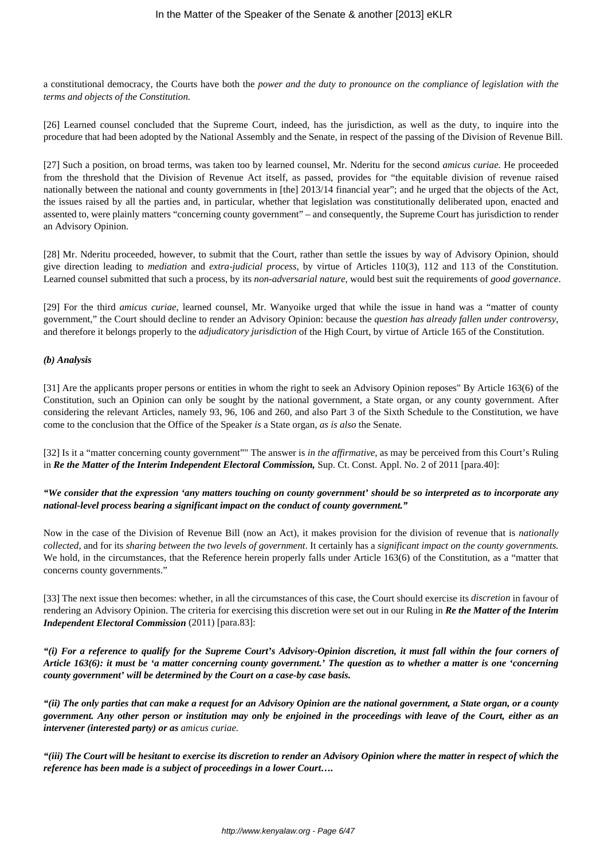a constitutional democracy, the Courts have both the *power and the duty to pronounce on the compliance of legislation with the terms and objects of the Constitution.*

[26] Learned counsel concluded that the Supreme Court, indeed, has the jurisdiction, as well as the duty, to inquire into the procedure that had been adopted by the National Assembly and the Senate, in respect of the passing of the Division of Revenue Bill.

[27] Such a position, on broad terms, was taken too by learned counsel, Mr. Nderitu for the second *amicus curiae.* He proceeded from the threshold that the Division of Revenue Act itself, as passed, provides for "the equitable division of revenue raised nationally between the national and county governments in [the] 2013/14 financial year"; and he urged that the objects of the Act, the issues raised by all the parties and, in particular, whether that legislation was constitutionally deliberated upon, enacted and assented to, were plainly matters "concerning county government" – and consequently, the Supreme Court has jurisdiction to render an Advisory Opinion.

[28] Mr. Nderitu proceeded, however, to submit that the Court, rather than settle the issues by way of Advisory Opinion, should give direction leading to *mediation* and *extra-judicial process*, by virtue of Articles 110(3), 112 and 113 of the Constitution. Learned counsel submitted that such a process, by its *non-adversarial nature,* would best suit the requirements of *good governance*.

[29] For the third *amicus curiae*, learned counsel, Mr. Wanyoike urged that while the issue in hand was a "matter of county government," the Court should decline to render an Advisory Opinion: because the *question has already fallen under controversy*, and therefore it belongs properly to the *adjudicatory jurisdiction* of the High Court, by virtue of Article 165 of the Constitution.

#### *(b) Analysis*

[31] Are the applicants proper persons or entities in whom the right to seek an Advisory Opinion reposes" By Article 163(6) of the Constitution, such an Opinion can only be sought by the national government, a State organ, or any county government. After considering the relevant Articles, namely 93, 96, 106 and 260, and also Part 3 of the Sixth Schedule to the Constitution, we have come to the conclusion that the Office of the Speaker *is* a State organ, *as is also* the Senate.

[32] Is it a "matter concerning county government"" The answer is *in the affirmative*, as may be perceived from this Court's Ruling in *Re the Matter of the Interim Independent Electoral Commission,* Sup. Ct. Const. Appl. No. 2 of 2011 [para.40]:

#### *"We consider that the expression 'any matters touching on county government' should be so interpreted as to incorporate any national-level process bearing a significant impact on the conduct of county government."*

Now in the case of the Division of Revenue Bill (now an Act), it makes provision for the division of revenue that is *nationally collected*, and for its *sharing between the two levels of government*. It certainly has a *significant impact on the county governments.* We hold, in the circumstances, that the Reference herein properly falls under Article 163(6) of the Constitution, as a "matter that concerns county governments."

[33] The next issue then becomes: whether, in all the circumstances of this case, the Court should exercise its *discretion* in favour of rendering an Advisory Opinion. The criteria for exercising this discretion were set out in our Ruling in *Re the Matter of the Interim Independent Electoral Commission* (2011) [para.83]:

*"(i) For a reference to qualify for the Supreme Court's Advisory-Opinion discretion, it must fall within the four corners of Article 163(6): it must be 'a matter concerning county government.' The question as to whether a matter is one 'concerning county government' will be determined by the Court on a case-by case basis.*

*"(ii) The only parties that can make a request for an Advisory Opinion are the national government, a State organ, or a county government. Any other person or institution may only be enjoined in the proceedings with leave of the Court, either as an intervener (interested party) or as amicus curiae.*

*"(iii) The Court will be hesitant to exercise its discretion to render an Advisory Opinion where the matter in respect of which the reference has been made is a subject of proceedings in a lower Court….*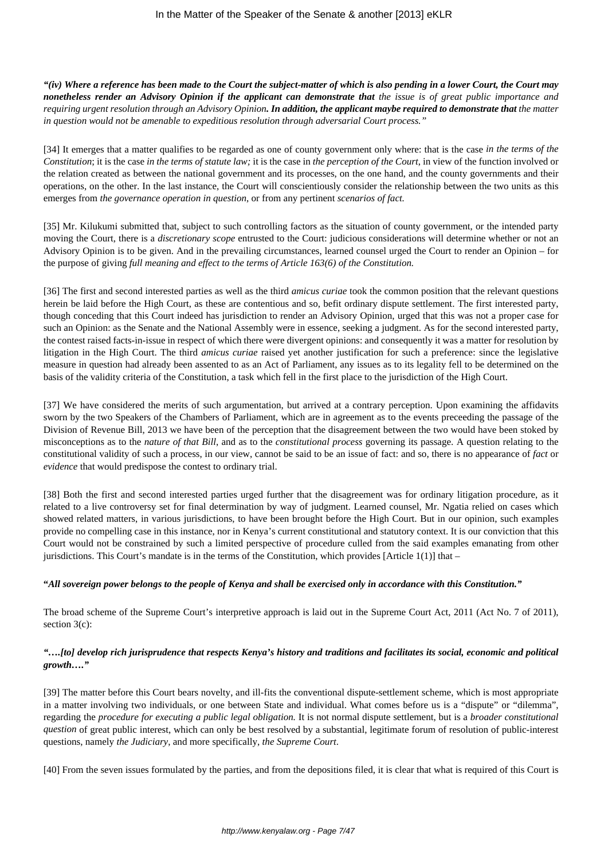*"(iv) Where a reference has been made to the Court the subject-matter of which is also pending in a lower Court, the Court may nonetheless render an Advisory Opinion if the applicant can demonstrate that the issue is of great public importance and requiring urgent resolution through an Advisory Opinion. In addition, the applicant maybe required to demonstrate that the matter in question would not be amenable to expeditious resolution through adversarial Court process."*

[34] It emerges that a matter qualifies to be regarded as one of county government only where: that is the case *in the terms of the Constitution*; it is the case *in the terms of statute law;* it is the case in *the perception of the Court*, in view of the function involved or the relation created as between the national government and its processes, on the one hand, and the county governments and their operations, on the other. In the last instance, the Court will conscientiously consider the relationship between the two units as this emerges from *the governance operation in question*, or from any pertinent *scenarios of fact.* 

[35] Mr. Kilukumi submitted that, subject to such controlling factors as the situation of county government, or the intended party moving the Court, there is a *discretionary scope* entrusted to the Court: judicious considerations will determine whether or not an Advisory Opinion is to be given. And in the prevailing circumstances, learned counsel urged the Court to render an Opinion – for the purpose of giving *full meaning and effect to the terms of Article 163(6) of the Constitution.* 

[36] The first and second interested parties as well as the third *amicus curiae* took the common position that the relevant questions herein be laid before the High Court, as these are contentious and so, befit ordinary dispute settlement. The first interested party, though conceding that this Court indeed has jurisdiction to render an Advisory Opinion, urged that this was not a proper case for such an Opinion: as the Senate and the National Assembly were in essence, seeking a judgment. As for the second interested party, the contest raised facts-in-issue in respect of which there were divergent opinions: and consequently it was a matter for resolution by litigation in the High Court. The third *amicus curiae* raised yet another justification for such a preference: since the legislative measure in question had already been assented to as an Act of Parliament, any issues as to its legality fell to be determined on the basis of the validity criteria of the Constitution, a task which fell in the first place to the jurisdiction of the High Court.

[37] We have considered the merits of such argumentation, but arrived at a contrary perception. Upon examining the affidavits sworn by the two Speakers of the Chambers of Parliament, which are in agreement as to the events preceeding the passage of the Division of Revenue Bill, 2013 we have been of the perception that the disagreement between the two would have been stoked by misconceptions as to the *nature of that Bill*, and as to the *constitutional process* governing its passage. A question relating to the constitutional validity of such a process, in our view, cannot be said to be an issue of fact: and so, there is no appearance of *fact* or *evidence* that would predispose the contest to ordinary trial.

[38] Both the first and second interested parties urged further that the disagreement was for ordinary litigation procedure, as it related to a live controversy set for final determination by way of judgment. Learned counsel, Mr. Ngatia relied on cases which showed related matters, in various jurisdictions, to have been brought before the High Court. But in our opinion, such examples provide no compelling case in this instance, nor in Kenya's current constitutional and statutory context. It is our conviction that this Court would not be constrained by such a limited perspective of procedure culled from the said examples emanating from other jurisdictions. This Court's mandate is in the terms of the Constitution, which provides [Article 1(1)] that  $-$ 

### **"***All sovereign power belongs to the people of Kenya and shall be exercised only in accordance with this Constitution."*

The broad scheme of the Supreme Court's interpretive approach is laid out in the Supreme Court Act, 2011 (Act No. 7 of 2011), section 3(c):

### *"….[to] develop rich jurisprudence that respects Kenya's history and traditions and facilitates its social, economic and political growth…."*

[39] The matter before this Court bears novelty, and ill-fits the conventional dispute-settlement scheme, which is most appropriate in a matter involving two individuals, or one between State and individual. What comes before us is a "dispute" or "dilemma", regarding the *procedure for executing a public legal obligation.* It is not normal dispute settlement, but is a *broader constitutional question* of great public interest, which can only be best resolved by a substantial, legitimate forum of resolution of public-interest questions, namely *the Judiciary*, and more specifically, *the Supreme Court*.

[40] From the seven issues formulated by the parties, and from the depositions filed, it is clear that what is required of this Court is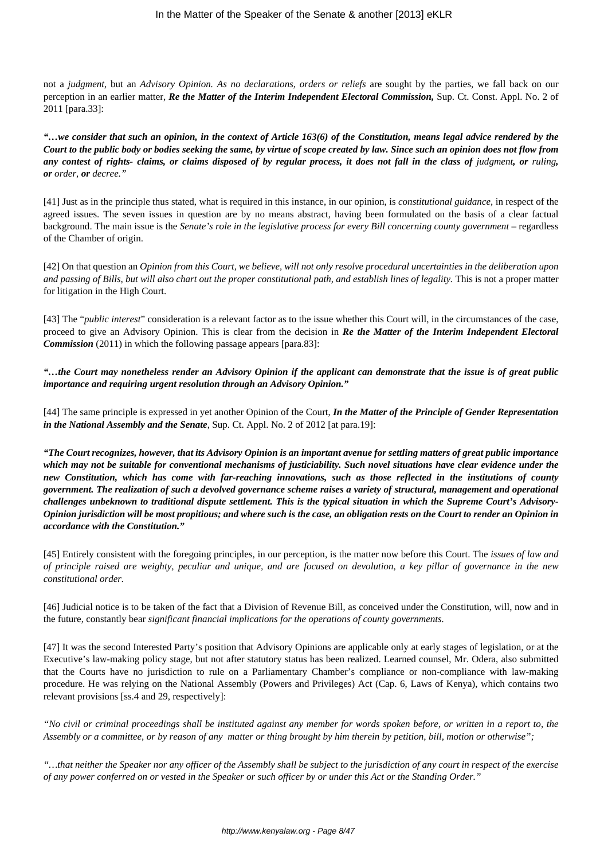not a *judgment*, but an *Advisory Opinion. As no declarations, orders or reliefs* are sought by the parties, we fall back on our perception in an earlier matter, *Re the Matter of the Interim Independent Electoral Commission,* Sup. Ct. Const. Appl. No. 2 of 2011 [para.33]:

*"…we consider that such an opinion, in the context of Article 163(6) of the Constitution, means legal advice rendered by the Court to the public body or bodies seeking the same, by virtue of scope created by law. Since such an opinion does not flow from* any contest of rights- claims, or claims disposed of by regular process, it does not fall in the class of judgment, or ruling, *or order, or decree."*

[41] Just as in the principle thus stated, what is required in this instance, in our opinion, is *constitutional guidance,* in respect of the agreed issues. The seven issues in question are by no means abstract, having been formulated on the basis of a clear factual background. The main issue is the *Senate's role in the legislative process for every Bill concerning county government* – regardless of the Chamber of origin.

[42] On that question an *Opinion from this Court, we believe, will not only resolve procedural uncertainties in the deliberation upon and passing of Bills, but will also chart out the proper constitutional path, and establish lines of legality.* This is not a proper matter for litigation in the High Court.

[43] The "*public interest*" consideration is a relevant factor as to the issue whether this Court will, in the circumstances of the case, proceed to give an Advisory Opinion. This is clear from the decision in *Re the Matter of the Interim Independent Electoral Commission* (2011) in which the following passage appears [para.83]:

*"…the Court may nonetheless render an Advisory Opinion if the applicant can demonstrate that the issue is of great public importance and requiring urgent resolution through an Advisory Opinion."*

[44] The same principle is expressed in yet another Opinion of the Court, *In the Matter of the Principle of Gender Representation in the National Assembly and the Senate*, Sup. Ct. Appl. No. 2 of 2012 [at para.19]:

*"The Court recognizes, however, that its Advisory Opinion is an important avenue for settling matters of great public importance which may not be suitable for conventional mechanisms of justiciability. Such novel situations have clear evidence under the new Constitution, which has come with far-reaching innovations, such as those reflected in the institutions of county government. The realization of such a devolved governance scheme raises a variety of structural, management and operational challenges unbeknown to traditional dispute settlement. This is the typical situation in which the Supreme Court's Advisory-Opinion jurisdiction will be most propitious; and where such is the case, an obligation rests on the Court to render an Opinion in accordance with the Constitution."*

[45] Entirely consistent with the foregoing principles, in our perception, is the matter now before this Court. The *issues of law and of principle raised are weighty, peculiar and unique, and are focused on devolution, a key pillar of governance in the new constitutional order.*

[46] Judicial notice is to be taken of the fact that a Division of Revenue Bill, as conceived under the Constitution, will, now and in the future, constantly bear *significant financial implications for the operations of county governments.*

[47] It was the second Interested Party's position that Advisory Opinions are applicable only at early stages of legislation, or at the Executive's law-making policy stage, but not after statutory status has been realized. Learned counsel, Mr. Odera, also submitted that the Courts have no jurisdiction to rule on a Parliamentary Chamber's compliance or non-compliance with law-making procedure. He was relying on the National Assembly (Powers and Privileges) Act (Cap. 6, Laws of Kenya), which contains two relevant provisions [ss.4 and 29, respectively]:

*"No civil or criminal proceedings shall be instituted against any member for words spoken before, or written in a report to, the Assembly or a committee, or by reason of any matter or thing brought by him therein by petition, bill, motion or otherwise";*

*"…that neither the Speaker nor any officer of the Assembly shall be subject to the jurisdiction of any court in respect of the exercise of any power conferred on or vested in the Speaker or such officer by or under this Act or the Standing Order."*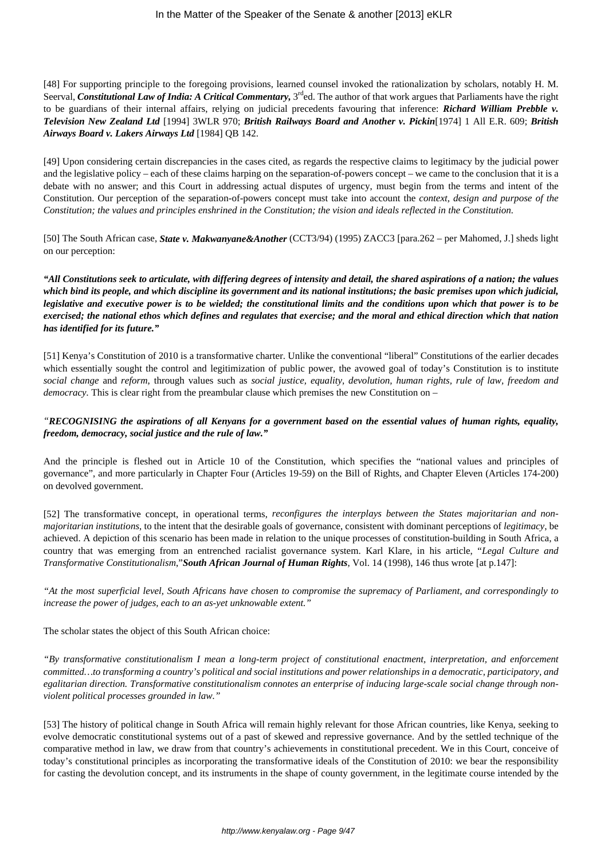[48] For supporting principle to the foregoing provisions, learned counsel invoked the rationalization by scholars, notably H. M. Seerval, *Constitutional Law of India: A Critical Commentary*, 3<sup>rd</sup>ed. The author of that work argues that Parliaments have the right to be guardians of their internal affairs, relying on judicial precedents favouring that inference: *Richard William Prebble v. Television New Zealand Ltd* [1994] 3WLR 970; *British Railways Board and Another v. Pickin*[1974] 1 All E.R. 609; *British Airways Board v. Lakers Airways Ltd* [1984] QB 142.

[49] Upon considering certain discrepancies in the cases cited, as regards the respective claims to legitimacy by the judicial power and the legislative policy – each of these claims harping on the separation-of-powers concept – we came to the conclusion that it is a debate with no answer; and this Court in addressing actual disputes of urgency, must begin from the terms and intent of the Constitution. Our perception of the separation-of-powers concept must take into account the *context, design and purpose of the Constitution; the values and principles enshrined in the Constitution; the vision and ideals reflected in the Constitution.* 

[50] The South African case, *State v. Makwanyane&Another* (CCT3/94) (1995) ZACC3 [para.262 – per Mahomed, J.] sheds light on our perception:

*"All Constitutions seek to articulate, with differing degrees of intensity and detail, the shared aspirations of a nation; the values which bind its people, and which discipline its government and its national institutions; the basic premises upon which judicial, legislative and executive power is to be wielded; the constitutional limits and the conditions upon which that power is to be exercised; the national ethos which defines and regulates that exercise; and the moral and ethical direction which that nation has identified for its future."*

[51] Kenya's Constitution of 2010 is a transformative charter. Unlike the conventional "liberal" Constitutions of the earlier decades which essentially sought the control and legitimization of public power, the avowed goal of today's Constitution is to institute *social change* and *reform*, through values such as *social justice, equality, devolution, human rights, rule of law, freedom and democracy*. This is clear right from the preambular clause which premises the new Constitution on –

## *"RECOGNISING the aspirations of all Kenyans for a government based on the essential values of human rights, equality, freedom, democracy, social justice and the rule of law."*

And the principle is fleshed out in Article 10 of the Constitution, which specifies the "national values and principles of governance", and more particularly in Chapter Four (Articles 19-59) on the Bill of Rights, and Chapter Eleven (Articles 174-200) on devolved government.

[52] The transformative concept, in operational terms, *reconfigures the interplays between the States majoritarian and nonmajoritarian institutions*, to the intent that the desirable goals of governance, consistent with dominant perceptions of *legitimacy*, be achieved. A depiction of this scenario has been made in relation to the unique processes of constitution-building in South Africa, a country that was emerging from an entrenched racialist governance system. Karl Klare, in his article, "*Legal Culture and Transformative Constitutionalism*,"*South African Journal of Human Rights*, Vol. 14 (1998), 146 thus wrote [at p.147]:

*"At the most superficial level, South Africans have chosen to compromise the supremacy of Parliament, and correspondingly to increase the power of judges, each to an as-yet unknowable extent."*

The scholar states the object of this South African choice:

*"By transformative constitutionalism I mean a long-term project of constitutional enactment, interpretation, and enforcement committed…to transforming a country's political and social institutions and power relationships in a democratic, participatory, and egalitarian direction. Transformative constitutionalism connotes an enterprise of inducing large-scale social change through nonviolent political processes grounded in law."*

[53] The history of political change in South Africa will remain highly relevant for those African countries, like Kenya, seeking to evolve democratic constitutional systems out of a past of skewed and repressive governance. And by the settled technique of the comparative method in law, we draw from that country's achievements in constitutional precedent. We in this Court, conceive of today's constitutional principles as incorporating the transformative ideals of the Constitution of 2010: we bear the responsibility for casting the devolution concept, and its instruments in the shape of county government, in the legitimate course intended by the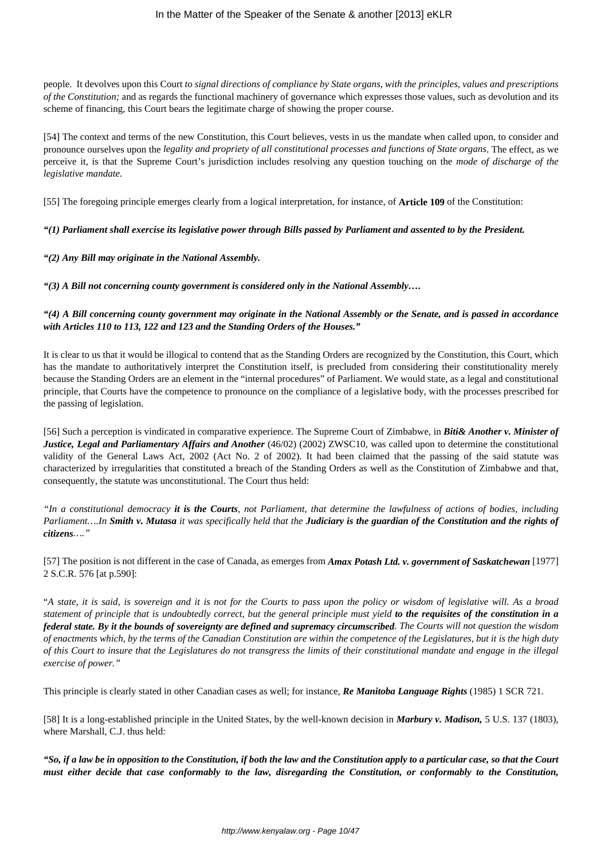people. It devolves upon this Court *to signal directions of compliance by State organs, with the principles, values and prescriptions of the Constitution;* and as regards the functional machinery of governance which expresses those values, such as devolution and its scheme of financing, this Court bears the legitimate charge of showing the proper course.

[54] The context and terms of the new Constitution, this Court believes, vests in us the mandate when called upon, to consider and pronounce ourselves upon the *legality and propriety of all constitutional processes and functions of State organs*. The effect, as we perceive it, is that the Supreme Court's jurisdiction includes resolving any question touching on the *mode of discharge of the legislative mandate.*

[55] The foregoing principle emerges clearly from a logical interpretation, for instance, of **Article 109** of the Constitution:

## *"(1) Parliament shall exercise its legislative power through Bills passed by Parliament and assented to by the President.*

#### *"(2) Any Bill may originate in the National Assembly.*

*"(3) A Bill not concerning county government is considered only in the National Assembly….*

### *"(4) A Bill concerning county government may originate in the National Assembly or the Senate, and is passed in accordance with Articles 110 to 113, 122 and 123 and the Standing Orders of the Houses."*

It is clear to us that it would be illogical to contend that as the Standing Orders are recognized by the Constitution, this Court, which has the mandate to authoritatively interpret the Constitution itself, is precluded from considering their constitutionality merely because the Standing Orders are an element in the "internal procedures" of Parliament. We would state, as a legal and constitutional principle, that Courts have the competence to pronounce on the compliance of a legislative body, with the processes prescribed for the passing of legislation.

[56] Such a perception is vindicated in comparative experience. The Supreme Court of Zimbabwe, in *Biti& Another v. Minister of Justice, Legal and Parliamentary Affairs and Another* (46/02) (2002) ZWSC10, was called upon to determine the constitutional validity of the General Laws Act, 2002 (Act No. 2 of 2002). It had been claimed that the passing of the said statute was characterized by irregularities that constituted a breach of the Standing Orders as well as the Constitution of Zimbabwe and that, consequently, the statute was unconstitutional. The Court thus held:

*"In a constitutional democracy it is the Courts, not Parliament, that determine the lawfulness of actions of bodies, including Parliament….In Smith v. Mutasa it was specifically held that the Judiciary is the guardian of the Constitution and the rights of citizens…."*

[57] The position is not different in the case of Canada, as emerges from *Amax Potash Ltd. v. government of Saskatchewan* [1977] 2 S.C.R. 576 [at p.590]:

"*A state, it is said, is sovereign and it is not for the Courts to pass upon the policy or wisdom of legislative will. As a broad statement of principle that is undoubtedly correct, but the general principle must yield to the requisites of the constitution in a federal state. By it the bounds of sovereignty are defined and supremacy circumscribed. The Courts will not question the wisdom of enactments which, by the terms of the Canadian Constitution are within the competence of the Legislatures, but it is the high duty of this Court to insure that the Legislatures do not transgress the limits of their constitutional mandate and engage in the illegal exercise of power."*

This principle is clearly stated in other Canadian cases as well; for instance, *Re Manitoba Language Rights* (1985) 1 SCR 721.

[58] It is a long-established principle in the United States, by the well-known decision in *Marbury v. Madison,* 5 U.S. 137 (1803), where Marshall, C.J. thus held:

*"So, if a law be in opposition to the Constitution, if both the law and the Constitution apply to a particular case, so that the Court must either decide that case conformably to the law, disregarding the Constitution, or conformably to the Constitution,*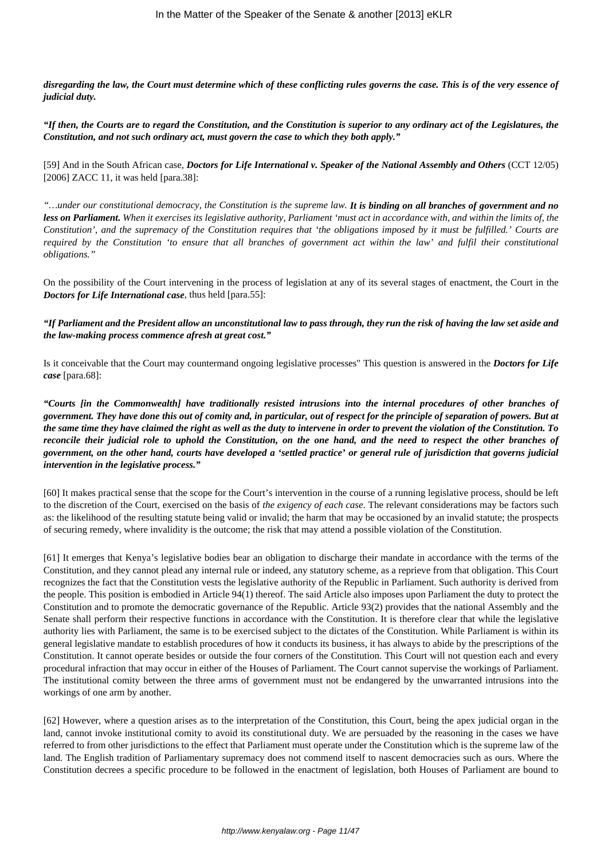*disregarding the law, the Court must determine which of these conflicting rules governs the case. This is of the very essence of judicial duty.*

*"If then, the Courts are to regard the Constitution, and the Constitution is superior to any ordinary act of the Legislatures, the Constitution, and not such ordinary act, must govern the case to which they both apply."*

[59] And in the South African case, *Doctors for Life International v. Speaker of the National Assembly and Others* (CCT 12/05) [2006] ZACC 11, it was held [para.38]:

*"…under our constitutional democracy, the Constitution is the supreme law. It is binding on all branches of government and no less on Parliament. When it exercises its legislative authority, Parliament 'must act in accordance with, and within the limits of, the Constitution', and the supremacy of the Constitution requires that 'the obligations imposed by it must be fulfilled.' Courts are required by the Constitution 'to ensure that all branches of government act within the law' and fulfil their constitutional obligations."*

On the possibility of the Court intervening in the process of legislation at any of its several stages of enactment, the Court in the *Doctors for Life International case*, thus held [para.55]:

*"If Parliament and the President allow an unconstitutional law to pass through, they run the risk of having the law set aside and the law-making process commence afresh at great cost."*

Is it conceivable that the Court may countermand ongoing legislative processes" This question is answered in the *Doctors for Life case* [para.68]:

*"Courts [in the Commonwealth] have traditionally resisted intrusions into the internal procedures of other branches of government. They have done this out of comity and, in particular, out of respect for the principle of separation of powers. But at the same time they have claimed the right as well as the duty to intervene in order to prevent the violation of the Constitution. To reconcile their judicial role to uphold the Constitution, on the one hand, and the need to respect the other branches of government, on the other hand, courts have developed a 'settled practice' or general rule of jurisdiction that governs judicial intervention in the legislative process."*

[60] It makes practical sense that the scope for the Court's intervention in the course of a running legislative process, should be left to the discretion of the Court, exercised on the basis of *the exigency of each case*. The relevant considerations may be factors such as: the likelihood of the resulting statute being valid or invalid; the harm that may be occasioned by an invalid statute; the prospects of securing remedy, where invalidity is the outcome; the risk that may attend a possible violation of the Constitution.

[61] It emerges that Kenya's legislative bodies bear an obligation to discharge their mandate in accordance with the terms of the Constitution, and they cannot plead any internal rule or indeed, any statutory scheme, as a reprieve from that obligation. This Court recognizes the fact that the Constitution vests the legislative authority of the Republic in Parliament. Such authority is derived from the people. This position is embodied in Article 94(1) thereof. The said Article also imposes upon Parliament the duty to protect the Constitution and to promote the democratic governance of the Republic. Article 93(2) provides that the national Assembly and the Senate shall perform their respective functions in accordance with the Constitution. It is therefore clear that while the legislative authority lies with Parliament, the same is to be exercised subject to the dictates of the Constitution. While Parliament is within its general legislative mandate to establish procedures of how it conducts its business, it has always to abide by the prescriptions of the Constitution. It cannot operate besides or outside the four corners of the Constitution. This Court will not question each and every procedural infraction that may occur in either of the Houses of Parliament. The Court cannot supervise the workings of Parliament. The institutional comity between the three arms of government must not be endangered by the unwarranted intrusions into the workings of one arm by another.

[62] However, where a question arises as to the interpretation of the Constitution, this Court, being the apex judicial organ in the land, cannot invoke institutional comity to avoid its constitutional duty. We are persuaded by the reasoning in the cases we have referred to from other jurisdictions to the effect that Parliament must operate under the Constitution which is the supreme law of the land. The English tradition of Parliamentary supremacy does not commend itself to nascent democracies such as ours. Where the Constitution decrees a specific procedure to be followed in the enactment of legislation, both Houses of Parliament are bound to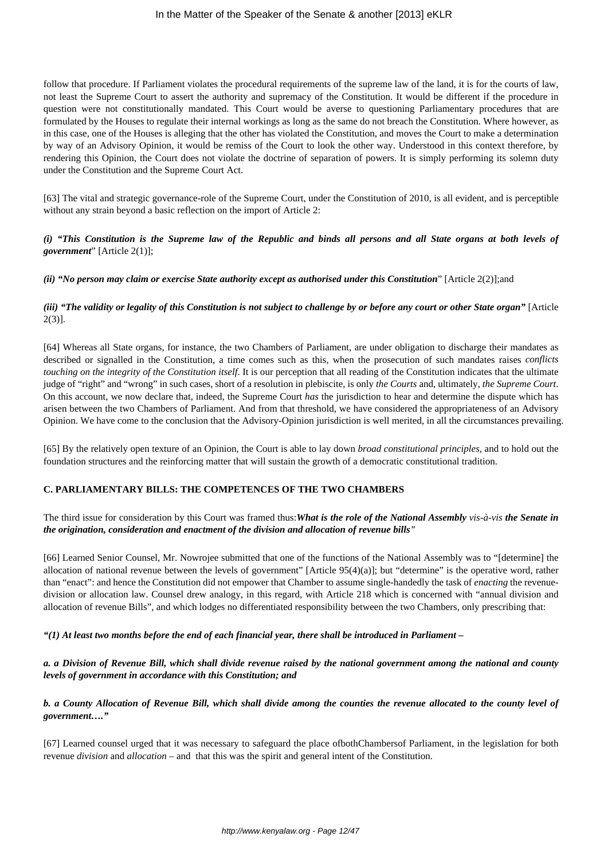follow that procedure. If Parliament violates the procedural requirements of the supreme law of the land, it is for the courts of law, not least the Supreme Court to assert the authority and supremacy of the Constitution. It would be different if the procedure in question were not constitutionally mandated. This Court would be averse to questioning Parliamentary procedures that are formulated by the Houses to regulate their internal workings as long as the same do not breach the Constitution. Where however, as in this case, one of the Houses is alleging that the other has violated the Constitution, and moves the Court to make a determination by way of an Advisory Opinion, it would be remiss of the Court to look the other way. Understood in this context therefore, by rendering this Opinion, the Court does not violate the doctrine of separation of powers. It is simply performing its solemn duty under the Constitution and the Supreme Court Act.

[63] The vital and strategic governance-role of the Supreme Court, under the Constitution of 2010, is all evident, and is perceptible without any strain beyond a basic reflection on the import of Article 2:

## *(i) "This Constitution is the Supreme law of the Republic and binds all persons and all State organs at both levels of government*" [Article 2(1)];

*(ii) "No person may claim or exercise State authority except as authorised under this Constitution*" [Article 2(2)];and

# *(iii)* "The validity or legality of this Constitution is not subject to challenge by or before any court or other State organ" [Article 2(3)].

[64] Whereas all State organs, for instance, the two Chambers of Parliament, are under obligation to discharge their mandates as described or signalled in the Constitution, a time comes such as this, when the prosecution of such mandates raises *conflicts touching on the integrity of the Constitution itself*. It is our perception that all reading of the Constitution indicates that the ultimate judge of "right" and "wrong" in such cases, short of a resolution in plebiscite, is only *the Courts* and, ultimately, *the Supreme Court*. On this account, we now declare that, indeed, the Supreme Court *has* the jurisdiction to hear and determine the dispute which has arisen between the two Chambers of Parliament. And from that threshold, we have considered the appropriateness of an Advisory Opinion. We have come to the conclusion that the Advisory-Opinion jurisdiction is well merited, in all the circumstances prevailing.

[65] By the relatively open texture of an Opinion, the Court is able to lay down *broad constitutional principles*, and to hold out the foundation structures and the reinforcing matter that will sustain the growth of a democratic constitutional tradition.

### **C. PARLIAMENTARY BILLS: THE COMPETENCES OF THE TWO CHAMBERS**

### The third issue for consideration by this Court was framed thus:*What is the role of the National Assembly vis-à-vis the Senate in the origination, consideration and enactment of the division and allocation of revenue bills"*

[66] Learned Senior Counsel, Mr. Nowrojee submitted that one of the functions of the National Assembly was to "[determine] the allocation of national revenue between the levels of government" [Article 95(4)(a)]; but "determine" is the operative word, rather than "enact": and hence the Constitution did not empower that Chamber to assume single-handedly the task of *enacting* the revenuedivision or allocation law. Counsel drew analogy, in this regard, with Article 218 which is concerned with "annual division and allocation of revenue Bills", and which lodges no differentiated responsibility between the two Chambers, only prescribing that:

### *"(1) At least two months before the end of each financial year, there shall be introduced in Parliament –*

# *a. a Division of Revenue Bill, which shall divide revenue raised by the national government among the national and county levels of government in accordance with this Constitution; and*

*b. a County Allocation of Revenue Bill, which shall divide among the counties the revenue allocated to the county level of government…."*

[67] Learned counsel urged that it was necessary to safeguard the place ofbothChambersof Parliament, in the legislation for both revenue *division* and *allocation* – and that this was the spirit and general intent of the Constitution.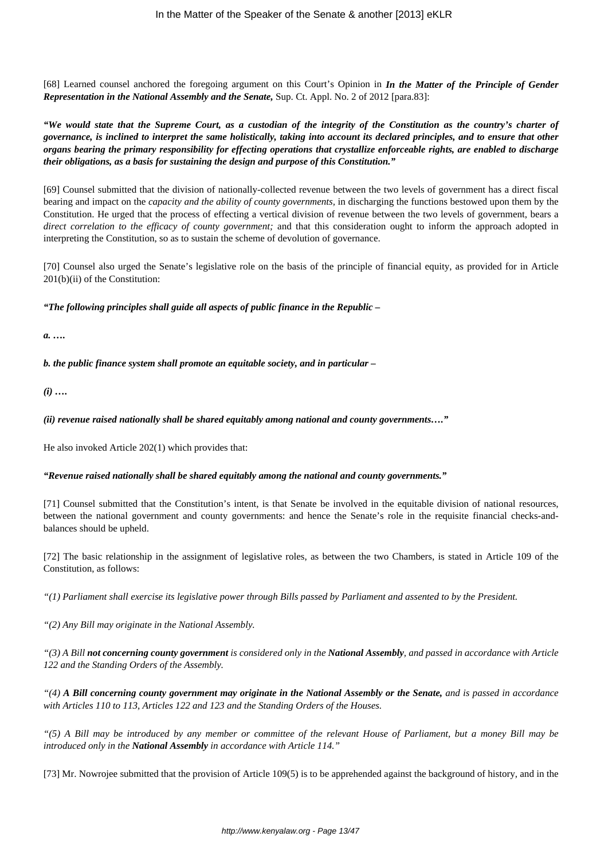[68] Learned counsel anchored the foregoing argument on this Court's Opinion in *In the Matter of the Principle of Gender Representation in the National Assembly and the Senate,* Sup. Ct. Appl. No. 2 of 2012 [para.83]:

*"We would state that the Supreme Court, as a custodian of the integrity of the Constitution as the country's charter of governance, is inclined to interpret the same holistically, taking into account its declared principles, and to ensure that other organs bearing the primary responsibility for effecting operations that crystallize enforceable rights, are enabled to discharge their obligations, as a basis for sustaining the design and purpose of this Constitution."*

[69] Counsel submitted that the division of nationally-collected revenue between the two levels of government has a direct fiscal bearing and impact on the *capacity and the ability of county governments,* in discharging the functions bestowed upon them by the Constitution. He urged that the process of effecting a vertical division of revenue between the two levels of government, bears a *direct correlation to the efficacy of county government;* and that this consideration ought to inform the approach adopted in interpreting the Constitution, so as to sustain the scheme of devolution of governance.

[70] Counsel also urged the Senate's legislative role on the basis of the principle of financial equity, as provided for in Article 201(b)(ii) of the Constitution:

*"The following principles shall guide all aspects of public finance in the Republic –* 

*a. ….*

*b. the public finance system shall promote an equitable society, and in particular –*

*(i) ….*

*(ii) revenue raised nationally shall be shared equitably among national and county governments…."*

He also invoked Article 202(1) which provides that:

### *"Revenue raised nationally shall be shared equitably among the national and county governments."*

[71] Counsel submitted that the Constitution's intent, is that Senate be involved in the equitable division of national resources, between the national government and county governments: and hence the Senate's role in the requisite financial checks-andbalances should be upheld.

[72] The basic relationship in the assignment of legislative roles, as between the two Chambers, is stated in Article 109 of the Constitution, as follows:

*"(1) Parliament shall exercise its legislative power through Bills passed by Parliament and assented to by the President.*

*"(2) Any Bill may originate in the National Assembly.*

*"(3) A Bill not concerning county government is considered only in the National Assembly, and passed in accordance with Article 122 and the Standing Orders of the Assembly.*

*"(4) A Bill concerning county government may originate in the National Assembly or the Senate, and is passed in accordance with Articles 110 to 113, Articles 122 and 123 and the Standing Orders of the Houses.*

*"(5) A Bill may be introduced by any member or committee of the relevant House of Parliament, but a money Bill may be introduced only in the National Assembly in accordance with Article 114."*

[73] Mr. Nowrojee submitted that the provision of Article 109(5) is to be apprehended against the background of history, and in the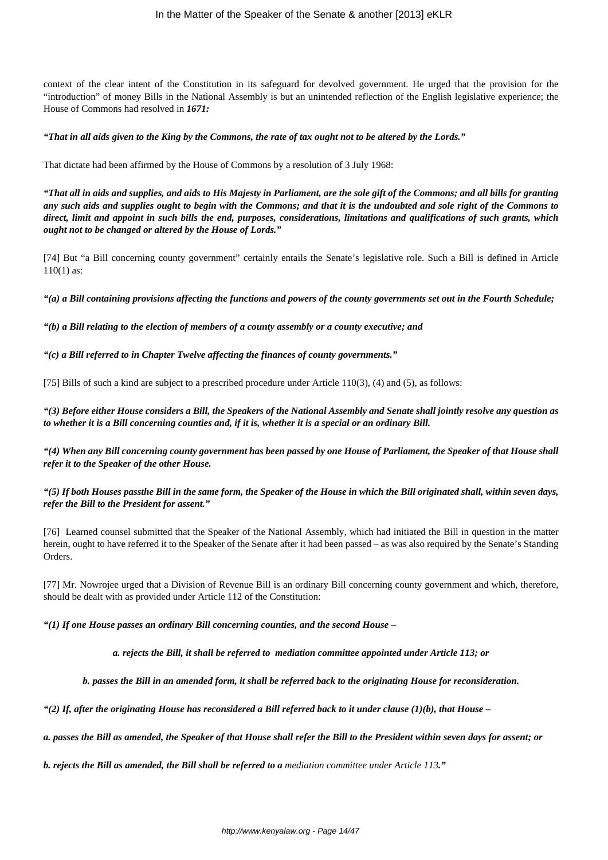context of the clear intent of the Constitution in its safeguard for devolved government. He urged that the provision for the "introduction" of money Bills in the National Assembly is but an unintended reflection of the English legislative experience; the House of Commons had resolved in *1671:*

#### *"That in all aids given to the King by the Commons, the rate of tax ought not to be altered by the Lords."*

That dictate had been affirmed by the House of Commons by a resolution of 3 July 1968:

*"That all in aids and supplies, and aids to His Majesty in Parliament, are the sole gift of the Commons; and all bills for granting any such aids and supplies ought to begin with the Commons; and that it is the undoubted and sole right of the Commons to direct, limit and appoint in such bills the end, purposes, considerations, limitations and qualifications of such grants, which ought not to be changed or altered by the House of Lords."*

[74] But "a Bill concerning county government" certainly entails the Senate's legislative role. Such a Bill is defined in Article 110(1) as:

*"(a) a Bill containing provisions affecting the functions and powers of the county governments set out in the Fourth Schedule;*

*"(b) a Bill relating to the election of members of a county assembly or a county executive; and*

*"(c) a Bill referred to in Chapter Twelve affecting the finances of county governments."*

[75] Bills of such a kind are subject to a prescribed procedure under Article 110(3), (4) and (5), as follows:

*"(3) Before either House considers a Bill, the Speakers of the National Assembly and Senate shall jointly resolve any question as to whether it is a Bill concerning counties and, if it is, whether it is a special or an ordinary Bill.*

*"(4) When any Bill concerning county government has been passed by one House of Parliament, the Speaker of that House shall refer it to the Speaker of the other House.*

*"(5) If both Houses passthe Bill in the same form, the Speaker of the House in which the Bill originated shall, within seven days, refer the Bill to the President for assent."*

[76] Learned counsel submitted that the Speaker of the National Assembly, which had initiated the Bill in question in the matter herein, ought to have referred it to the Speaker of the Senate after it had been passed – as was also required by the Senate's Standing Orders.

[77] Mr. Nowrojee urged that a Division of Revenue Bill is an ordinary Bill concerning county government and which, therefore, should be dealt with as provided under Article 112 of the Constitution:

*"(1) If one House passes an ordinary Bill concerning counties, and the second House –* 

*a. rejects the Bill, it shall be referred to mediation committee appointed under Article 113; or*

*b. passes the Bill in an amended form, it shall be referred back to the originating House for reconsideration.*

 $''(2)$  If, after the originating House has reconsidered a Bill referred back to it under clause  $(1)(b)$ , that House –

*a. passes the Bill as amended, the Speaker of that House shall refer the Bill to the President within seven days for assent; or*

*b. rejects the Bill as amended, the Bill shall be referred to a mediation committee under Article 113."*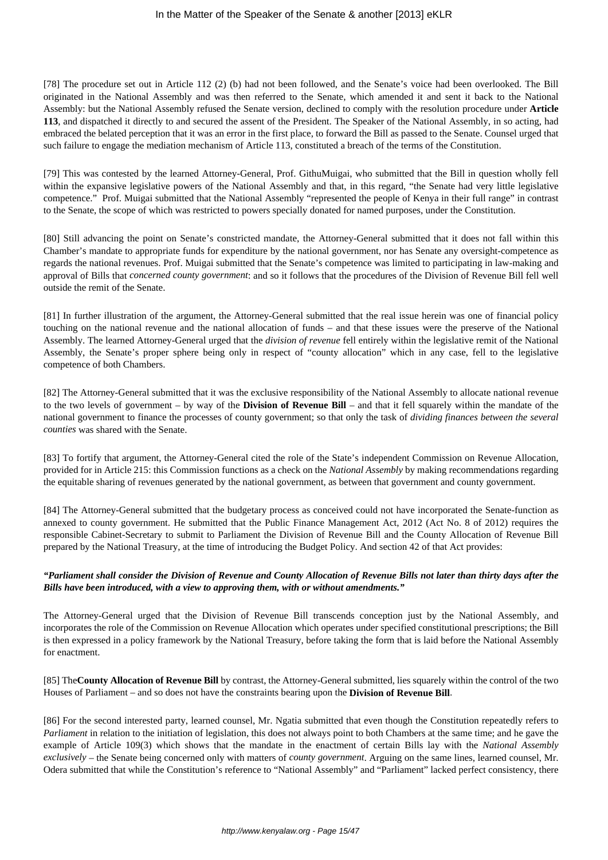[78] The procedure set out in Article 112 (2) (b) had not been followed, and the Senate's voice had been overlooked. The Bill originated in the National Assembly and was then referred to the Senate, which amended it and sent it back to the National Assembly: but the National Assembly refused the Senate version, declined to comply with the resolution procedure under **Article 113**, and dispatched it directly to and secured the assent of the President. The Speaker of the National Assembly, in so acting, had embraced the belated perception that it was an error in the first place, to forward the Bill as passed to the Senate. Counsel urged that such failure to engage the mediation mechanism of Article 113, constituted a breach of the terms of the Constitution.

[79] This was contested by the learned Attorney-General, Prof. GithuMuigai, who submitted that the Bill in question wholly fell within the expansive legislative powers of the National Assembly and that, in this regard, "the Senate had very little legislative competence." Prof. Muigai submitted that the National Assembly "represented the people of Kenya in their full range" in contrast to the Senate, the scope of which was restricted to powers specially donated for named purposes, under the Constitution.

[80] Still advancing the point on Senate's constricted mandate, the Attorney-General submitted that it does not fall within this Chamber's mandate to appropriate funds for expenditure by the national government, nor has Senate any oversight-competence as regards the national revenues. Prof. Muigai submitted that the Senate's competence was limited to participating in law-making and approval of Bills that *concerned county government*: and so it follows that the procedures of the Division of Revenue Bill fell well outside the remit of the Senate.

[81] In further illustration of the argument, the Attorney-General submitted that the real issue herein was one of financial policy touching on the national revenue and the national allocation of funds – and that these issues were the preserve of the National Assembly. The learned Attorney-General urged that the *division of revenue* fell entirely within the legislative remit of the National Assembly, the Senate's proper sphere being only in respect of "county allocation" which in any case, fell to the legislative competence of both Chambers.

[82] The Attorney-General submitted that it was the exclusive responsibility of the National Assembly to allocate national revenue to the two levels of government – by way of the **Division of Revenue Bill** – and that it fell squarely within the mandate of the national government to finance the processes of county government; so that only the task of *dividing finances between the several counties* was shared with the Senate.

[83] To fortify that argument, the Attorney-General cited the role of the State's independent Commission on Revenue Allocation, provided for in Article 215: this Commission functions as a check on the *National Assembly* by making recommendations regarding the equitable sharing of revenues generated by the national government, as between that government and county government.

[84] The Attorney-General submitted that the budgetary process as conceived could not have incorporated the Senate-function as annexed to county government. He submitted that the Public Finance Management Act, 2012 (Act No. 8 of 2012) requires the responsible Cabinet-Secretary to submit to Parliament the Division of Revenue Bill and the County Allocation of Revenue Bill prepared by the National Treasury, at the time of introducing the Budget Policy. And section 42 of that Act provides:

# *"Parliament shall consider the Division of Revenue and County Allocation of Revenue Bills not later than thirty days after the Bills have been introduced, with a view to approving them, with or without amendments."*

The Attorney-General urged that the Division of Revenue Bill transcends conception just by the National Assembly, and incorporates the role of the Commission on Revenue Allocation which operates under specified constitutional prescriptions; the Bill is then expressed in a policy framework by the National Treasury, before taking the form that is laid before the National Assembly for enactment.

[85] The**County Allocation of Revenue Bill** by contrast, the Attorney-General submitted, lies squarely within the control of the two Houses of Parliament – and so does not have the constraints bearing upon the **Division of Revenue Bill**.

[86] For the second interested party, learned counsel, Mr. Ngatia submitted that even though the Constitution repeatedly refers to *Parliament* in relation to the initiation of legislation, this does not always point to both Chambers at the same time; and he gave the example of Article 109(3) which shows that the mandate in the enactment of certain Bills lay with the *National Assembly exclusively* – the Senate being concerned only with matters of *county government*. Arguing on the same lines, learned counsel, Mr. Odera submitted that while the Constitution's reference to "National Assembly" and "Parliament" lacked perfect consistency, there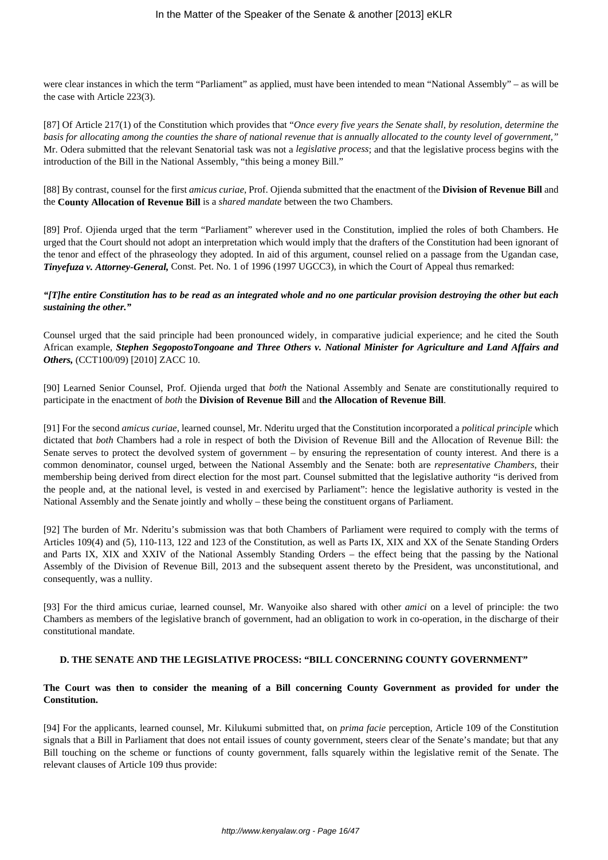were clear instances in which the term "Parliament" as applied, must have been intended to mean "National Assembly" – as will be the case with Article 223(3).

[87] Of Article 217(1) of the Constitution which provides that "*Once every five years the Senate shall, by resolution, determine the basis for allocating among the counties the share of national revenue that is annually allocated to the county level of government,"* Mr. Odera submitted that the relevant Senatorial task was not a *legislative process*; and that the legislative process begins with the introduction of the Bill in the National Assembly, "this being a money Bill."

[88] By contrast, counsel for the first *amicus curiae*, Prof. Ojienda submitted that the enactment of the **Division of Revenue Bill** and the **County Allocation of Revenue Bill** is a *shared mandate* between the two Chambers.

[89] Prof. Ojienda urged that the term "Parliament" wherever used in the Constitution, implied the roles of both Chambers. He urged that the Court should not adopt an interpretation which would imply that the drafters of the Constitution had been ignorant of the tenor and effect of the phraseology they adopted. In aid of this argument, counsel relied on a passage from the Ugandan case, *Tinyefuza v. Attorney-General,* Const. Pet. No. 1 of 1996 (1997 UGCC3), in which the Court of Appeal thus remarked:

### *"[T]he entire Constitution has to be read as an integrated whole and no one particular provision destroying the other but each sustaining the other."*

Counsel urged that the said principle had been pronounced widely, in comparative judicial experience; and he cited the South African example, *Stephen SegopostoTongoane and Three Others v. National Minister for Agriculture and Land Affairs and Others, (CCT100/09)* [2010] ZACC 10.

[90] Learned Senior Counsel, Prof. Ojienda urged that *both* the National Assembly and Senate are constitutionally required to participate in the enactment of *both* the **Division of Revenue Bill** and **the Allocation of Revenue Bill**.

[91] For the second *amicus curiae*, learned counsel, Mr. Nderitu urged that the Constitution incorporated a *political principle* which dictated that *both* Chambers had a role in respect of both the Division of Revenue Bill and the Allocation of Revenue Bill: the Senate serves to protect the devolved system of government – by ensuring the representation of county interest. And there is a common denominator, counsel urged, between the National Assembly and the Senate: both are *representative Chambers*, their membership being derived from direct election for the most part. Counsel submitted that the legislative authority "is derived from the people and, at the national level, is vested in and exercised by Parliament": hence the legislative authority is vested in the National Assembly and the Senate jointly and wholly – these being the constituent organs of Parliament.

[92] The burden of Mr. Nderitu's submission was that both Chambers of Parliament were required to comply with the terms of Articles 109(4) and (5), 110-113, 122 and 123 of the Constitution, as well as Parts IX, XIX and XX of the Senate Standing Orders and Parts IX, XIX and XXIV of the National Assembly Standing Orders – the effect being that the passing by the National Assembly of the Division of Revenue Bill, 2013 and the subsequent assent thereto by the President, was unconstitutional, and consequently, was a nullity.

[93] For the third amicus curiae, learned counsel, Mr. Wanyoike also shared with other *amici* on a level of principle: the two Chambers as members of the legislative branch of government, had an obligation to work in co-operation, in the discharge of their constitutional mandate.

### **D. THE SENATE AND THE LEGISLATIVE PROCESS: "BILL CONCERNING COUNTY GOVERNMENT"**

### **The Court was then to consider the meaning of a Bill concerning County Government as provided for under the Constitution.**

[94] For the applicants, learned counsel, Mr. Kilukumi submitted that, on *prima facie* perception, Article 109 of the Constitution signals that a Bill in Parliament that does not entail issues of county government, steers clear of the Senate's mandate; but that any Bill touching on the scheme or functions of county government, falls squarely within the legislative remit of the Senate. The relevant clauses of Article 109 thus provide: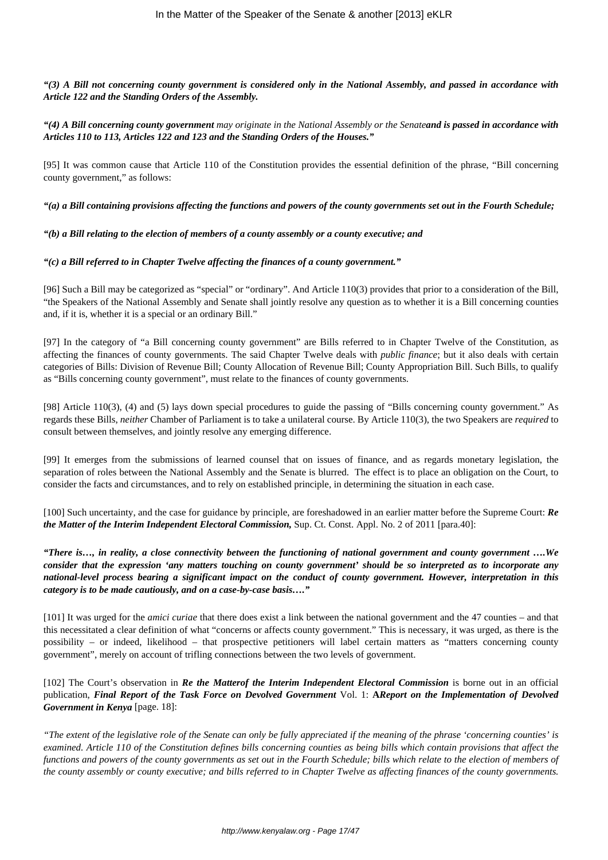*"(3) A Bill not concerning county government is considered only in the National Assembly, and passed in accordance with Article 122 and the Standing Orders of the Assembly.*

*"(4) A Bill concerning county government may originate in the National Assembly or the Senateand is passed in accordance with Articles 110 to 113, Articles 122 and 123 and the Standing Orders of the Houses."*

[95] It was common cause that Article 110 of the Constitution provides the essential definition of the phrase, "Bill concerning county government," as follows:

*"(a) a Bill containing provisions affecting the functions and powers of the county governments set out in the Fourth Schedule;*

*"(b) a Bill relating to the election of members of a county assembly or a county executive; and* 

*"(c) a Bill referred to in Chapter Twelve affecting the finances of a county government."*

[96] Such a Bill may be categorized as "special" or "ordinary". And Article 110(3) provides that prior to a consideration of the Bill, "the Speakers of the National Assembly and Senate shall jointly resolve any question as to whether it is a Bill concerning counties and, if it is, whether it is a special or an ordinary Bill."

[97] In the category of "a Bill concerning county government" are Bills referred to in Chapter Twelve of the Constitution, as affecting the finances of county governments. The said Chapter Twelve deals with *public finance*; but it also deals with certain categories of Bills: Division of Revenue Bill; County Allocation of Revenue Bill; County Appropriation Bill. Such Bills, to qualify as "Bills concerning county government", must relate to the finances of county governments.

[98] Article 110(3), (4) and (5) lays down special procedures to guide the passing of "Bills concerning county government." As regards these Bills, *neither* Chamber of Parliament is to take a unilateral course. By Article 110(3), the two Speakers are *required* to consult between themselves, and jointly resolve any emerging difference.

[99] It emerges from the submissions of learned counsel that on issues of finance, and as regards monetary legislation, the separation of roles between the National Assembly and the Senate is blurred. The effect is to place an obligation on the Court, to consider the facts and circumstances, and to rely on established principle, in determining the situation in each case.

[100] Such uncertainty, and the case for guidance by principle, are foreshadowed in an earlier matter before the Supreme Court: *Re the Matter of the Interim Independent Electoral Commission,* Sup. Ct. Const. Appl. No. 2 of 2011 [para.40]:

*"There is…, in reality, a close connectivity between the functioning of national government and county government ….We consider that the expression 'any matters touching on county government' should be so interpreted as to incorporate any national-level process bearing a significant impact on the conduct of county government. However, interpretation in this category is to be made cautiously, and on a case-by-case basis…."*

[101] It was urged for the *amici curiae* that there does exist a link between the national government and the 47 counties – and that this necessitated a clear definition of what "concerns or affects county government." This is necessary, it was urged, as there is the possibility – or indeed, likelihood – that prospective petitioners will label certain matters as "matters concerning county government", merely on account of trifling connections between the two levels of government.

[102] The Court's observation in *Re the Matterof the Interim Independent Electoral Commission* is borne out in an official publication, *Final Report of the Task Force on Devolved Government* Vol. 1: **A***Report on the Implementation of Devolved Government in Kenya* [page. 18]:

*"The extent of the legislative role of the Senate can only be fully appreciated if the meaning of the phrase 'concerning counties' is examined. Article 110 of the Constitution defines bills concerning counties as being bills which contain provisions that affect the functions and powers of the county governments as set out in the Fourth Schedule; bills which relate to the election of members of the county assembly or county executive; and bills referred to in Chapter Twelve as affecting finances of the county governments.*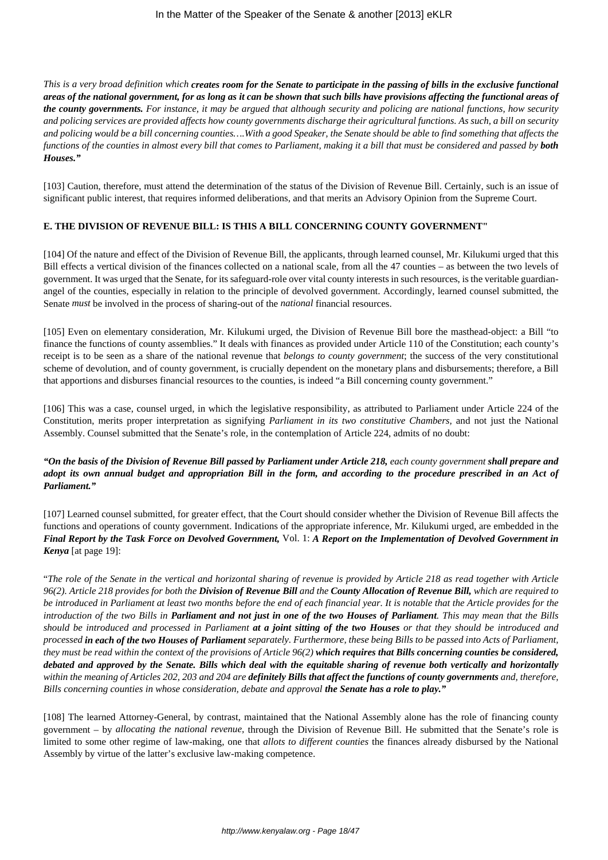*This is a very broad definition which creates room for the Senate to participate in the passing of bills in the exclusive functional areas of the national government, for as long as it can be shown that such bills have provisions affecting the functional areas of the county governments. For instance, it may be argued that although security and policing are national functions, how security and policing services are provided affects how county governments discharge their agricultural functions. As such, a bill on security and policing would be a bill concerning counties….With a good Speaker, the Senate should be able to find something that affects the functions of the counties in almost every bill that comes to Parliament, making it a bill that must be considered and passed by both Houses."*

[103] Caution, therefore, must attend the determination of the status of the Division of Revenue Bill. Certainly, such is an issue of significant public interest, that requires informed deliberations, and that merits an Advisory Opinion from the Supreme Court.

### **E. THE DIVISION OF REVENUE BILL: IS THIS A BILL CONCERNING COUNTY GOVERNMENT"**

[104] Of the nature and effect of the Division of Revenue Bill, the applicants, through learned counsel, Mr. Kilukumi urged that this Bill effects a vertical division of the finances collected on a national scale, from all the 47 counties – as between the two levels of government. It was urged that the Senate, for its safeguard-role over vital county interests in such resources, is the veritable guardianangel of the counties, especially in relation to the principle of devolved government. Accordingly, learned counsel submitted, the Senate *must* be involved in the process of sharing-out of the *national* financial resources.

[105] Even on elementary consideration, Mr. Kilukumi urged, the Division of Revenue Bill bore the masthead-object: a Bill "to finance the functions of county assemblies." It deals with finances as provided under Article 110 of the Constitution; each county's receipt is to be seen as a share of the national revenue that *belongs to county government*; the success of the very constitutional scheme of devolution, and of county government, is crucially dependent on the monetary plans and disbursements; therefore, a Bill that apportions and disburses financial resources to the counties, is indeed "a Bill concerning county government."

[106] This was a case, counsel urged, in which the legislative responsibility, as attributed to Parliament under Article 224 of the Constitution, merits proper interpretation as signifying *Parliament in its two constitutive Chambers,* and not just the National Assembly. Counsel submitted that the Senate's role, in the contemplation of Article 224, admits of no doubt:

## *"On the basis of the Division of Revenue Bill passed by Parliament under Article 218, each county government shall prepare and adopt its own annual budget and appropriation Bill in the form, and according to the procedure prescribed in an Act of Parliament."*

[107] Learned counsel submitted, for greater effect, that the Court should consider whether the Division of Revenue Bill affects the functions and operations of county government. Indications of the appropriate inference, Mr. Kilukumi urged, are embedded in the *Final Report by the Task Force on Devolved Government,* Vol. 1: *A Report on the Implementation of Devolved Government in Kenya* [at page 19]:

"*The role of the Senate in the vertical and horizontal sharing of revenue is provided by Article 218 as read together with Article 96(2). Article 218 provides for both the Division of Revenue Bill and the County Allocation of Revenue Bill, which are required to be introduced in Parliament at least two months before the end of each financial year. It is notable that the Article provides for the introduction of the two Bills in Parliament and not just in one of the two Houses of Parliament. This may mean that the Bills should be introduced and processed in Parliament at a joint sitting of the two Houses or that they should be introduced and processed in each of the two Houses of Parliament separately. Furthermore, these being Bills to be passed into Acts of Parliament, they must be read within the context of the provisions of Article 96(2) which requires that Bills concerning counties be considered, debated and approved by the Senate. Bills which deal with the equitable sharing of revenue both vertically and horizontally within the meaning of Articles 202, 203 and 204 are definitely Bills that affect the functions of county governments and, therefore, Bills concerning counties in whose consideration, debate and approval the Senate has a role to play.*"

[108] The learned Attorney-General, by contrast, maintained that the National Assembly alone has the role of financing county government – by *allocating the national revenue,* through the Division of Revenue Bill. He submitted that the Senate's role is limited to some other regime of law-making, one that *allots to different counties* the finances already disbursed by the National Assembly by virtue of the latter's exclusive law-making competence.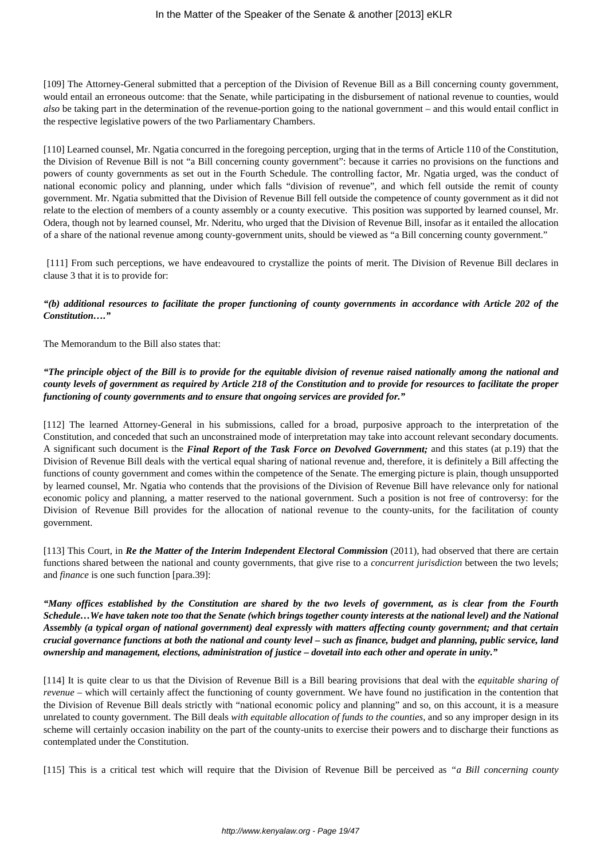[109] The Attorney-General submitted that a perception of the Division of Revenue Bill as a Bill concerning county government, would entail an erroneous outcome: that the Senate, while participating in the disbursement of national revenue to counties, would *also* be taking part in the determination of the revenue-portion going to the national government – and this would entail conflict in the respective legislative powers of the two Parliamentary Chambers.

[110] Learned counsel, Mr. Ngatia concurred in the foregoing perception, urging that in the terms of Article 110 of the Constitution, the Division of Revenue Bill is not "a Bill concerning county government": because it carries no provisions on the functions and powers of county governments as set out in the Fourth Schedule. The controlling factor, Mr. Ngatia urged, was the conduct of national economic policy and planning, under which falls "division of revenue", and which fell outside the remit of county government. Mr. Ngatia submitted that the Division of Revenue Bill fell outside the competence of county government as it did not relate to the election of members of a county assembly or a county executive. This position was supported by learned counsel, Mr. Odera, though not by learned counsel, Mr. Nderitu, who urged that the Division of Revenue Bill, insofar as it entailed the allocation of a share of the national revenue among county-government units, should be viewed as "a Bill concerning county government."

[111] From such perceptions, we have endeavoured to crystallize the points of merit. The Division of Revenue Bill declares in clause 3 that it is to provide for:

## *"(b) additional resources to facilitate the proper functioning of county governments in accordance with Article 202 of the Constitution…."*

The Memorandum to the Bill also states that:

# *"The principle object of the Bill is to provide for the equitable division of revenue raised nationally among the national and county levels of government as required by Article 218 of the Constitution and to provide for resources to facilitate the proper functioning of county governments and to ensure that ongoing services are provided for."*

[112] The learned Attorney-General in his submissions, called for a broad, purposive approach to the interpretation of the Constitution, and conceded that such an unconstrained mode of interpretation may take into account relevant secondary documents. A significant such document is the *Final Report of the Task Force on Devolved Government;* and this states (at p.19) that the Division of Revenue Bill deals with the vertical equal sharing of national revenue and, therefore, it is definitely a Bill affecting the functions of county government and comes within the competence of the Senate. The emerging picture is plain, though unsupported by learned counsel, Mr. Ngatia who contends that the provisions of the Division of Revenue Bill have relevance only for national economic policy and planning, a matter reserved to the national government. Such a position is not free of controversy: for the Division of Revenue Bill provides for the allocation of national revenue to the county-units, for the facilitation of county government.

[113] This Court, in *Re the Matter of the Interim Independent Electoral Commission* (2011), had observed that there are certain functions shared between the national and county governments, that give rise to a *concurrent jurisdiction* between the two levels; and *finance* is one such function [para.39]:

## *"Many offices established by the Constitution are shared by the two levels of government, as is clear from the Fourth Schedule…We have taken note too that the Senate (which brings together county interests at the national level) and the National Assembly (a typical organ of national government) deal expressly with matters affecting county government; and that certain crucial governance functions at both the national and county level – such as finance, budget and planning, public service, land ownership and management, elections, administration of justice – dovetail into each other and operate in unity."*

[114] It is quite clear to us that the Division of Revenue Bill is a Bill bearing provisions that deal with the *equitable sharing of revenue* – which will certainly affect the functioning of county government. We have found no justification in the contention that the Division of Revenue Bill deals strictly with "national economic policy and planning" and so, on this account, it is a measure unrelated to county government. The Bill deals *with equitable allocation of funds to the counties*, and so any improper design in its scheme will certainly occasion inability on the part of the county-units to exercise their powers and to discharge their functions as contemplated under the Constitution.

[115] This is a critical test which will require that the Division of Revenue Bill be perceived as *"a Bill concerning county*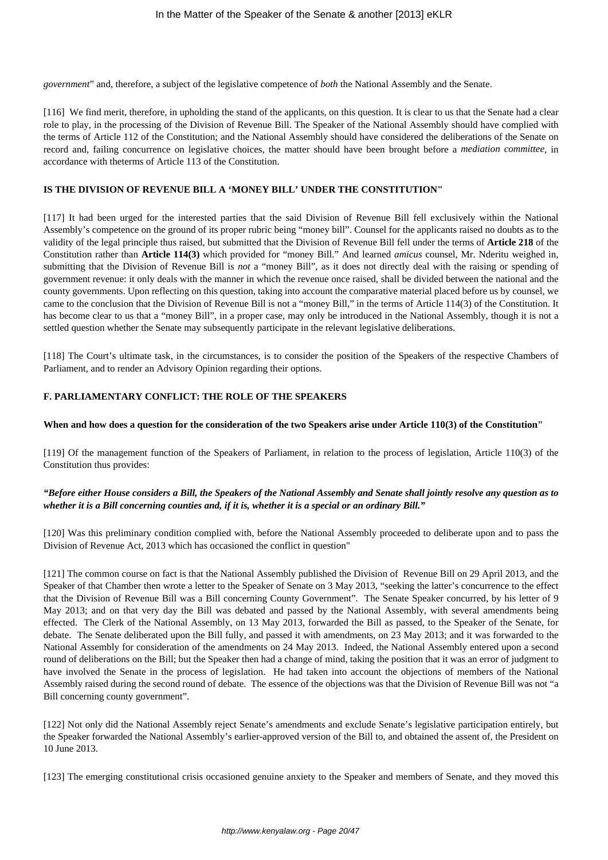*government*" and, therefore, a subject of the legislative competence of *both* the National Assembly and the Senate.

[116] We find merit, therefore, in upholding the stand of the applicants, on this question. It is clear to us that the Senate had a clear role to play, in the processing of the Division of Revenue Bill. The Speaker of the National Assembly should have complied with the terms of Article 112 of the Constitution; and the National Assembly should have considered the deliberations of the Senate on record and, failing concurrence on legislative choices, the matter should have been brought before a *mediation committee*, in accordance with theterms of Article 113 of the Constitution.

#### **IS THE DIVISION OF REVENUE BILL A 'MONEY BILL' UNDER THE CONSTITUTION"**

[117] It had been urged for the interested parties that the said Division of Revenue Bill fell exclusively within the National Assembly's competence on the ground of its proper rubric being "money bill". Counsel for the applicants raised no doubts as to the validity of the legal principle thus raised, but submitted that the Division of Revenue Bill fell under the terms of **Article 218** of the Constitution rather than **Article 114(3)** which provided for "money Bill." And learned *amicus* counsel, Mr. Nderitu weighed in, submitting that the Division of Revenue Bill is *not* a "money Bill", as it does not directly deal with the raising or spending of government revenue: it only deals with the manner in which the revenue once raised, shall be divided between the national and the county governments. Upon reflecting on this question, taking into account the comparative material placed before us by counsel, we came to the conclusion that the Division of Revenue Bill is not a "money Bill," in the terms of Article 114(3) of the Constitution. It has become clear to us that a "money Bill", in a proper case, may only be introduced in the National Assembly, though it is not a settled question whether the Senate may subsequently participate in the relevant legislative deliberations.

[118] The Court's ultimate task, in the circumstances, is to consider the position of the Speakers of the respective Chambers of Parliament, and to render an Advisory Opinion regarding their options.

#### **F. PARLIAMENTARY CONFLICT: THE ROLE OF THE SPEAKERS**

#### **When and how does a question for the consideration of the two Speakers arise under Article 110(3) of the Constitution"**

[119] Of the management function of the Speakers of Parliament, in relation to the process of legislation, Article 110(3) of the Constitution thus provides:

### *"Before either House considers a Bill, the Speakers of the National Assembly and Senate shall jointly resolve any question as to whether it is a Bill concerning counties and, if it is, whether it is a special or an ordinary Bill."*

[120] Was this preliminary condition complied with, before the National Assembly proceeded to deliberate upon and to pass the Division of Revenue Act, 2013 which has occasioned the conflict in question"

[121] The common course on fact is that the National Assembly published the Division of Revenue Bill on 29 April 2013, and the Speaker of that Chamber then wrote a letter to the Speaker of Senate on 3 May 2013, "seeking the latter's concurrence to the effect that the Division of Revenue Bill was a Bill concerning County Government". The Senate Speaker concurred, by his letter of 9 May 2013; and on that very day the Bill was debated and passed by the National Assembly, with several amendments being effected. The Clerk of the National Assembly, on 13 May 2013, forwarded the Bill as passed, to the Speaker of the Senate, for debate. The Senate deliberated upon the Bill fully, and passed it with amendments, on 23 May 2013; and it was forwarded to the National Assembly for consideration of the amendments on 24 May 2013. Indeed, the National Assembly entered upon a second round of deliberations on the Bill; but the Speaker then had a change of mind, taking the position that it was an error of judgment to have involved the Senate in the process of legislation. He had taken into account the objections of members of the National Assembly raised during the second round of debate. The essence of the objections was that the Division of Revenue Bill was not "a Bill concerning county government".

[122] Not only did the National Assembly reject Senate's amendments and exclude Senate's legislative participation entirely, but the Speaker forwarded the National Assembly's earlier-approved version of the Bill to, and obtained the assent of, the President on 10 June 2013.

[123] The emerging constitutional crisis occasioned genuine anxiety to the Speaker and members of Senate, and they moved this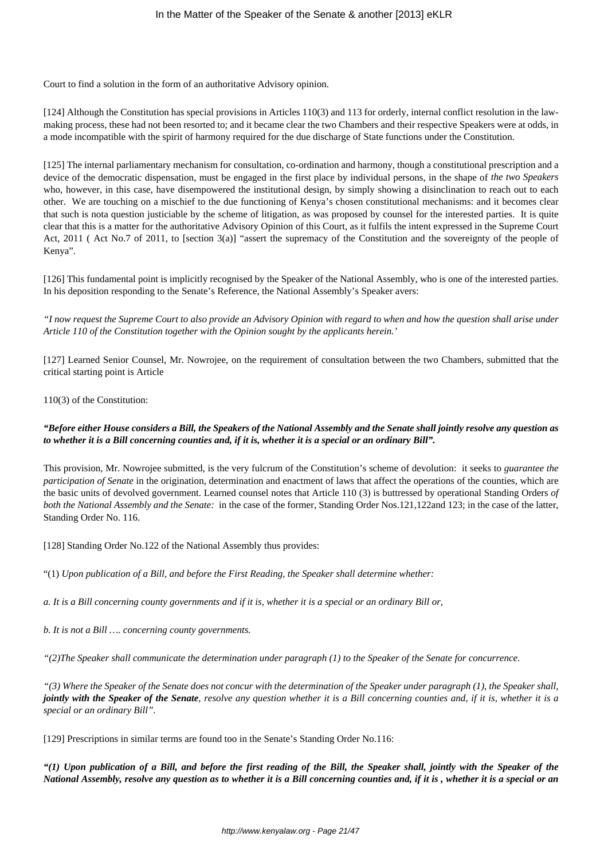Court to find a solution in the form of an authoritative Advisory opinion.

[124] Although the Constitution has special provisions in Articles 110(3) and 113 for orderly, internal conflict resolution in the lawmaking process, these had not been resorted to; and it became clear the two Chambers and their respective Speakers were at odds, in a mode incompatible with the spirit of harmony required for the due discharge of State functions under the Constitution.

[125] The internal parliamentary mechanism for consultation, co-ordination and harmony, though a constitutional prescription and a device of the democratic dispensation, must be engaged in the first place by individual persons, in the shape of *the two Speakers* who, however, in this case, have disempowered the institutional design, by simply showing a disinclination to reach out to each other. We are touching on a mischief to the due functioning of Kenya's chosen constitutional mechanisms: and it becomes clear that such is nota question justiciable by the scheme of litigation, as was proposed by counsel for the interested parties. It is quite clear that this is a matter for the authoritative Advisory Opinion of this Court, as it fulfils the intent expressed in the Supreme Court Act, 2011 ( Act No.7 of 2011, to [section 3(a)] "assert the supremacy of the Constitution and the sovereignty of the people of Kenya".

[126] This fundamental point is implicitly recognised by the Speaker of the National Assembly, who is one of the interested parties. In his deposition responding to the Senate's Reference, the National Assembly's Speaker avers:

*"I now request the Supreme Court to also provide an Advisory Opinion with regard to when and how the question shall arise under Article 110 of the Constitution together with the Opinion sought by the applicants herein.'*

[127] Learned Senior Counsel, Mr. Nowrojee, on the requirement of consultation between the two Chambers, submitted that the critical starting point is Article

### 110(3) of the Constitution:

## *"Before either House considers a Bill, the Speakers of the National Assembly and the Senate shall jointly resolve any question as to whether it is a Bill concerning counties and, if it is, whether it is a special or an ordinary Bill".*

This provision, Mr. Nowrojee submitted, is the very fulcrum of the Constitution's scheme of devolution: it seeks to *guarantee the participation of Senate* in the origination, determination and enactment of laws that affect the operations of the counties, which are the basic units of devolved government. Learned counsel notes that Article 110 (3) is buttressed by operational Standing Orders *of both the National Assembly and the Senate:* in the case of the former, Standing Order Nos.121,122and 123; in the case of the latter, Standing Order No. 116.

[128] Standing Order No.122 of the National Assembly thus provides:

"(1) *Upon publication of a Bill, and before the First Reading, the Speaker shall determine whether:* 

*a. It is a Bill concerning county governments and if it is, whether it is a special or an ordinary Bill or,*

*b. It is not a Bill …. concerning county governments.*

*"(2)The Speaker shall communicate the determination under paragraph (1) to the Speaker of the Senate for concurrence.*

*"(3) Where the Speaker of the Senate does not concur with the determination of the Speaker under paragraph (1), the Speaker shall, jointly with the Speaker of the Senate, resolve any question whether it is a Bill concerning counties and, if it is, whether it is a special or an ordinary Bill".*

[129] Prescriptions in similar terms are found too in the Senate's Standing Order No.116:

*"(1) Upon publication of a Bill, and before the first reading of the Bill, the Speaker shall, jointly with the Speaker of the National Assembly, resolve any question as to whether it is a Bill concerning counties and, if it is , whether it is a special or an*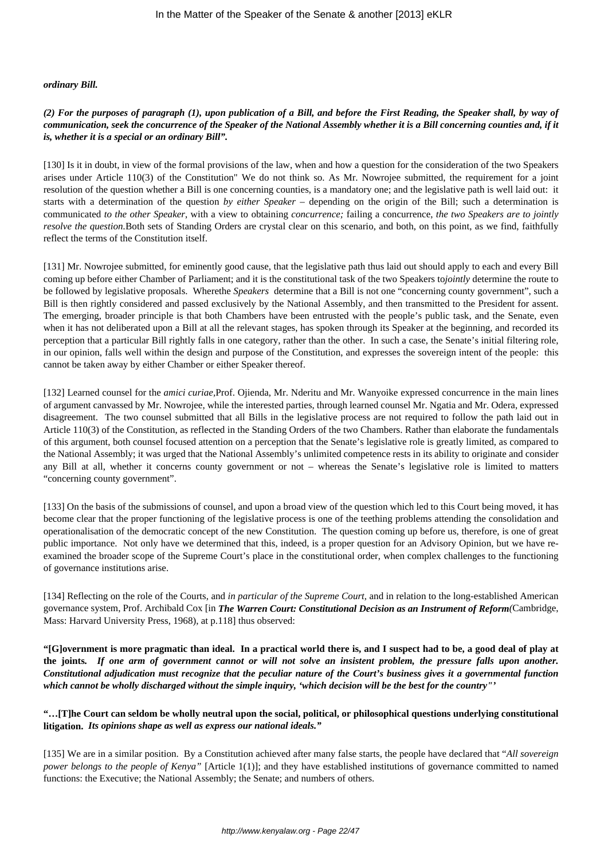#### *ordinary Bill.*

## *(2) For the purposes of paragraph (1), upon publication of a Bill, and before the First Reading, the Speaker shall, by way of communication, seek the concurrence of the Speaker of the National Assembly whether it is a Bill concerning counties and, if it is, whether it is a special or an ordinary Bill".*

[130] Is it in doubt, in view of the formal provisions of the law, when and how a question for the consideration of the two Speakers arises under Article 110(3) of the Constitution" We do not think so. As Mr. Nowrojee submitted, the requirement for a joint resolution of the question whether a Bill is one concerning counties, is a mandatory one; and the legislative path is well laid out: it starts with a determination of the question *by either Speaker* – depending on the origin of the Bill; such a determination is communicated *to the other Speaker*, with a view to obtaining *concurrence;* failing a concurrence, *the two Speakers are to jointly resolve the question.*Both sets of Standing Orders are crystal clear on this scenario, and both, on this point, as we find, faithfully reflect the terms of the Constitution itself.

[131] Mr. Nowrojee submitted, for eminently good cause, that the legislative path thus laid out should apply to each and every Bill coming up before either Chamber of Parliament; and it is the constitutional task of the two Speakers to*jointly* determine the route to be followed by legislative proposals. Wherethe *Speakers* determine that a Bill is not one "concerning county government", such a Bill is then rightly considered and passed exclusively by the National Assembly, and then transmitted to the President for assent. The emerging, broader principle is that both Chambers have been entrusted with the people's public task, and the Senate, even when it has not deliberated upon a Bill at all the relevant stages, has spoken through its Speaker at the beginning, and recorded its perception that a particular Bill rightly falls in one category, rather than the other. In such a case, the Senate's initial filtering role, in our opinion, falls well within the design and purpose of the Constitution, and expresses the sovereign intent of the people: this cannot be taken away by either Chamber or either Speaker thereof.

[132] Learned counsel for the *amici curiae,*Prof. Ojienda, Mr. Nderitu and Mr. Wanyoike expressed concurrence in the main lines of argument canvassed by Mr. Nowrojee, while the interested parties, through learned counsel Mr. Ngatia and Mr. Odera, expressed disagreement. The two counsel submitted that all Bills in the legislative process are not required to follow the path laid out in Article 110(3) of the Constitution, as reflected in the Standing Orders of the two Chambers. Rather than elaborate the fundamentals of this argument, both counsel focused attention on a perception that the Senate's legislative role is greatly limited, as compared to the National Assembly; it was urged that the National Assembly's unlimited competence rests in its ability to originate and consider any Bill at all, whether it concerns county government or not – whereas the Senate's legislative role is limited to matters "concerning county government".

[133] On the basis of the submissions of counsel, and upon a broad view of the question which led to this Court being moved, it has become clear that the proper functioning of the legislative process is one of the teething problems attending the consolidation and operationalisation of the democratic concept of the new Constitution. The question coming up before us, therefore, is one of great public importance. Not only have we determined that this, indeed, is a proper question for an Advisory Opinion, but we have reexamined the broader scope of the Supreme Court's place in the constitutional order, when complex challenges to the functioning of governance institutions arise.

[134] Reflecting on the role of the Courts, and *in particular of the Supreme Court,* and in relation to the long-established American governance system, Prof. Archibald Cox [in *The Warren Court: Constitutional Decision as an Instrument of Reform(*Cambridge, Mass: Harvard University Press, 1968), at p.118] thus observed:

**"[G]overnment is more pragmatic than ideal. In a practical world there is, and I suspect had to be, a good deal of play at the joints***. If one arm of government cannot or will not solve an insistent problem, the pressure falls upon another. Constitutional adjudication must recognize that the peculiar nature of the Court's business gives it a governmental function which cannot be wholly discharged without the simple inquiry, 'which decision will be the best for the country"'*

### **"…[T]he Court can seldom be wholly neutral upon the social, political, or philosophical questions underlying constitutional litigation.** *Its opinions shape as well as express our national ideals."*

[135] We are in a similar position. By a Constitution achieved after many false starts, the people have declared that "*All sovereign power belongs to the people of Kenya"* [Article 1(1)]; and they have established institutions of governance committed to named functions: the Executive; the National Assembly; the Senate; and numbers of others.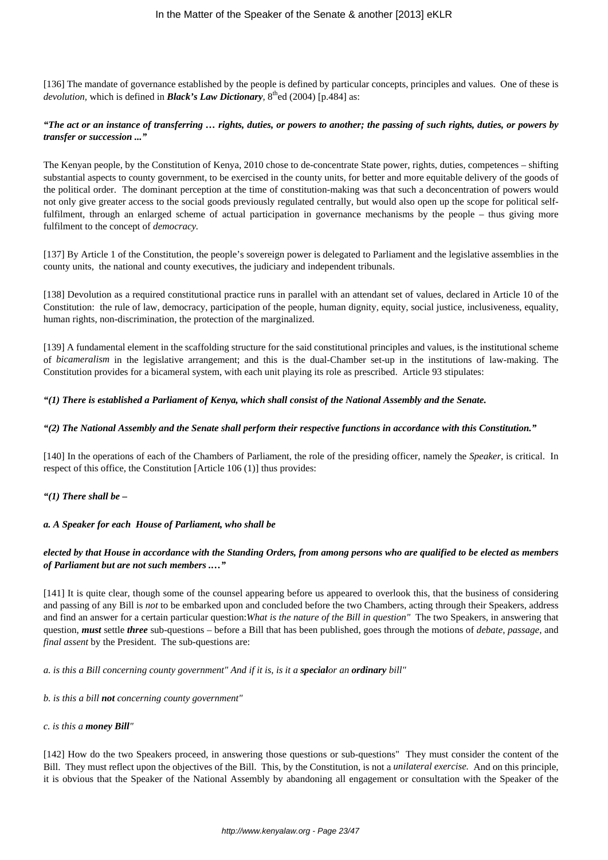[136] The mandate of governance established by the people is defined by particular concepts, principles and values. One of these is *devolution,* which is defined in *Black's Law Dictionary*,  $8<sup>th</sup>$ ed (2004) [p.484] as:

### *"The act or an instance of transferring … rights, duties, or powers to another; the passing of such rights, duties, or powers by transfer or succession ..."*

The Kenyan people, by the Constitution of Kenya, 2010 chose to de-concentrate State power, rights, duties, competences – shifting substantial aspects to county government, to be exercised in the county units, for better and more equitable delivery of the goods of the political order. The dominant perception at the time of constitution-making was that such a deconcentration of powers would not only give greater access to the social goods previously regulated centrally, but would also open up the scope for political selffulfilment, through an enlarged scheme of actual participation in governance mechanisms by the people – thus giving more fulfilment to the concept of *democracy.*

[137] By Article 1 of the Constitution, the people's sovereign power is delegated to Parliament and the legislative assemblies in the county units, the national and county executives, the judiciary and independent tribunals.

[138] Devolution as a required constitutional practice runs in parallel with an attendant set of values, declared in Article 10 of the Constitution: the rule of law, democracy, participation of the people, human dignity, equity, social justice, inclusiveness, equality, human rights, non-discrimination, the protection of the marginalized.

[139] A fundamental element in the scaffolding structure for the said constitutional principles and values, is the institutional scheme of *bicameralism* in the legislative arrangement; and this is the dual-Chamber set-up in the institutions of law-making. The Constitution provides for a bicameral system, with each unit playing its role as prescribed. Article 93 stipulates:

### *"(1) There is established a Parliament of Kenya, which shall consist of the National Assembly and the Senate.*

# *"(2) The National Assembly and the Senate shall perform their respective functions in accordance with this Constitution."*

[140] In the operations of each of the Chambers of Parliament, the role of the presiding officer, namely the *Speaker*, is critical. In respect of this office, the Constitution [Article 106 (1)] thus provides:

### *"(1) There shall be –*

### *a. A Speaker for each House of Parliament, who shall be*

# *elected by that House in accordance with the Standing Orders, from among persons who are qualified to be elected as members of Parliament but are not such members .…"*

[141] It is quite clear, though some of the counsel appearing before us appeared to overlook this, that the business of considering and passing of any Bill is *not* to be embarked upon and concluded before the two Chambers, acting through their Speakers, address and find an answer for a certain particular question:*What is the nature of the Bill in question"* The two Speakers, in answering that question, *must* settle *three* sub-questions – before a Bill that has been published, goes through the motions of *debate*, *passage*, and *final assent* by the President. The sub-questions are:

*a. is this a Bill concerning county government" And if it is, is it a specialor an ordinary bill"*

*b. is this a bill not concerning county government"*

### *c. is this a money Bill"*

[142] How do the two Speakers proceed, in answering those questions or sub-questions" They must consider the content of the Bill. They must reflect upon the objectives of the Bill. This, by the Constitution, is not a *unilateral exercise.* And on this principle, it is obvious that the Speaker of the National Assembly by abandoning all engagement or consultation with the Speaker of the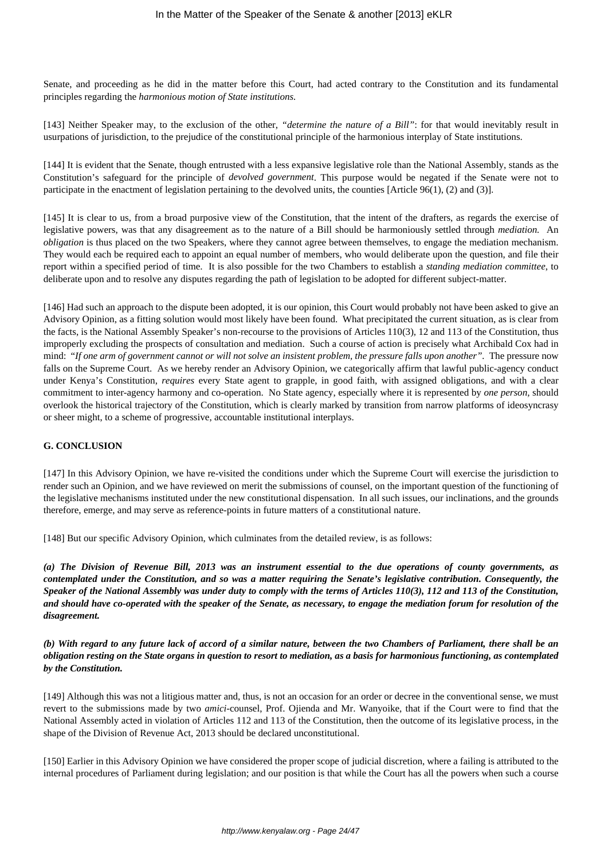Senate, and proceeding as he did in the matter before this Court, had acted contrary to the Constitution and its fundamental principles regarding the *harmonious motion of State institutions.*

[143] Neither Speaker may, to the exclusion of the other, *"determine the nature of a Bill"*: for that would inevitably result in usurpations of jurisdiction, to the prejudice of the constitutional principle of the harmonious interplay of State institutions.

[144] It is evident that the Senate, though entrusted with a less expansive legislative role than the National Assembly, stands as the Constitution's safeguard for the principle of *devolved government*. This purpose would be negated if the Senate were not to participate in the enactment of legislation pertaining to the devolved units, the counties [Article 96(1), (2) and (3)].

[145] It is clear to us, from a broad purposive view of the Constitution, that the intent of the drafters, as regards the exercise of legislative powers, was that any disagreement as to the nature of a Bill should be harmoniously settled through *mediation.* An *obligation* is thus placed on the two Speakers, where they cannot agree between themselves, to engage the mediation mechanism. They would each be required each to appoint an equal number of members, who would deliberate upon the question, and file their report within a specified period of time. It is also possible for the two Chambers to establish a *standing mediation committee*, to deliberate upon and to resolve any disputes regarding the path of legislation to be adopted for different subject-matter.

[146] Had such an approach to the dispute been adopted, it is our opinion, this Court would probably not have been asked to give an Advisory Opinion, as a fitting solution would most likely have been found. What precipitated the current situation, as is clear from the facts, is the National Assembly Speaker's non-recourse to the provisions of Articles 110(3), 12 and 113 of the Constitution, thus improperly excluding the prospects of consultation and mediation. Such a course of action is precisely what Archibald Cox had in mind: "*If one arm of government cannot or will not solve an insistent problem, the pressure falls upon another".* The pressure now falls on the Supreme Court. As we hereby render an Advisory Opinion, we categorically affirm that lawful public-agency conduct under Kenya's Constitution, *requires* every State agent to grapple, in good faith, with assigned obligations, and with a clear commitment to inter-agency harmony and co-operation. No State agency, especially where it is represented by *one person,* should overlook the historical trajectory of the Constitution, which is clearly marked by transition from narrow platforms of ideosyncrasy or sheer might, to a scheme of progressive, accountable institutional interplays.

## **G. CONCLUSION**

[147] In this Advisory Opinion, we have re-visited the conditions under which the Supreme Court will exercise the jurisdiction to render such an Opinion, and we have reviewed on merit the submissions of counsel, on the important question of the functioning of the legislative mechanisms instituted under the new constitutional dispensation. In all such issues, our inclinations, and the grounds therefore, emerge, and may serve as reference-points in future matters of a constitutional nature.

[148] But our specific Advisory Opinion, which culminates from the detailed review, is as follows:

*(a) The Division of Revenue Bill, 2013 was an instrument essential to the due operations of county governments, as contemplated under the Constitution, and so was a matter requiring the Senate's legislative contribution. Consequently, the Speaker of the National Assembly was under duty to comply with the terms of Articles 110(3), 112 and 113 of the Constitution, and should have co-operated with the speaker of the Senate, as necessary, to engage the mediation forum for resolution of the disagreement.*

*(b) With regard to any future lack of accord of a similar nature, between the two Chambers of Parliament, there shall be an obligation resting on the State organs in question to resort to mediation, as a basis for harmonious functioning, as contemplated by the Constitution.*

[149] Although this was not a litigious matter and, thus, is not an occasion for an order or decree in the conventional sense, we must revert to the submissions made by two *amici*-counsel, Prof. Ojienda and Mr. Wanyoike, that if the Court were to find that the National Assembly acted in violation of Articles 112 and 113 of the Constitution, then the outcome of its legislative process, in the shape of the Division of Revenue Act, 2013 should be declared unconstitutional.

[150] Earlier in this Advisory Opinion we have considered the proper scope of judicial discretion, where a failing is attributed to the internal procedures of Parliament during legislation; and our position is that while the Court has all the powers when such a course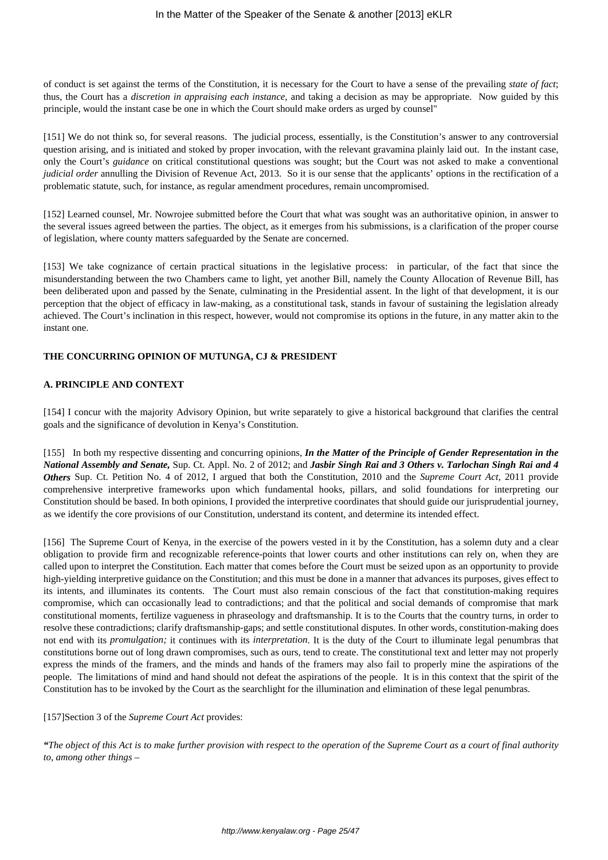of conduct is set against the terms of the Constitution, it is necessary for the Court to have a sense of the prevailing *state of fact*; thus, the Court has a *discretion in appraising each instance*, and taking a decision as may be appropriate. Now guided by this principle, would the instant case be one in which the Court should make orders as urged by counsel"

[151] We do not think so, for several reasons. The judicial process, essentially, is the Constitution's answer to any controversial question arising, and is initiated and stoked by proper invocation, with the relevant gravamina plainly laid out. In the instant case, only the Court's *guidance* on critical constitutional questions was sought; but the Court was not asked to make a conventional *judicial order* annulling the Division of Revenue Act, 2013. So it is our sense that the applicants' options in the rectification of a problematic statute, such, for instance, as regular amendment procedures, remain uncompromised.

[152] Learned counsel, Mr. Nowrojee submitted before the Court that what was sought was an authoritative opinion, in answer to the several issues agreed between the parties. The object, as it emerges from his submissions, is a clarification of the proper course of legislation, where county matters safeguarded by the Senate are concerned.

[153] We take cognizance of certain practical situations in the legislative process: in particular, of the fact that since the misunderstanding between the two Chambers came to light, yet another Bill, namely the County Allocation of Revenue Bill, has been deliberated upon and passed by the Senate, culminating in the Presidential assent. In the light of that development, it is our perception that the object of efficacy in law-making, as a constitutional task, stands in favour of sustaining the legislation already achieved. The Court's inclination in this respect, however, would not compromise its options in the future, in any matter akin to the instant one.

# **THE CONCURRING OPINION OF MUTUNGA, CJ & PRESIDENT**

### **A. PRINCIPLE AND CONTEXT**

[154] I concur with the majority Advisory Opinion, but write separately to give a historical background that clarifies the central goals and the significance of devolution in Kenya's Constitution.

[155] In both my respective dissenting and concurring opinions, *In the Matter of the Principle of Gender Representation in the National Assembly and Senate,* Sup. Ct. Appl. No. 2 of 2012; and *Jasbir Singh Rai and 3 Others v. Tarlochan Singh Rai and 4 Others* Sup. Ct. Petition No. 4 of 2012, I argued that both the Constitution, 2010 and the *Supreme Court Act,* 2011 provide comprehensive interpretive frameworks upon which fundamental hooks, pillars, and solid foundations for interpreting our Constitution should be based. In both opinions, I provided the interpretive coordinates that should guide our jurisprudential journey, as we identify the core provisions of our Constitution, understand its content, and determine its intended effect.

[156] The Supreme Court of Kenya, in the exercise of the powers vested in it by the Constitution, has a solemn duty and a clear obligation to provide firm and recognizable reference-points that lower courts and other institutions can rely on, when they are called upon to interpret the Constitution. Each matter that comes before the Court must be seized upon as an opportunity to provide high-yielding interpretive guidance on the Constitution; and this must be done in a manner that advances its purposes, gives effect to its intents, and illuminates its contents. The Court must also remain conscious of the fact that constitution-making requires compromise, which can occasionally lead to contradictions; and that the political and social demands of compromise that mark constitutional moments, fertilize vagueness in phraseology and draftsmanship. It is to the Courts that the country turns, in order to resolve these contradictions; clarify draftsmanship-gaps; and settle constitutional disputes. In other words, constitution-making does not end with its *promulgation;* it continues with its *interpretation*. It is the duty of the Court to illuminate legal penumbras that constitutions borne out of long drawn compromises, such as ours, tend to create. The constitutional text and letter may not properly express the minds of the framers, and the minds and hands of the framers may also fail to properly mine the aspirations of the people. The limitations of mind and hand should not defeat the aspirations of the people. It is in this context that the spirit of the Constitution has to be invoked by the Court as the searchlight for the illumination and elimination of these legal penumbras.

### [157]Section 3 of the *Supreme Court Act* provides:

*"The object of this Act is to make further provision with respect to the operation of the Supreme Court as a court of final authority to, among other things –*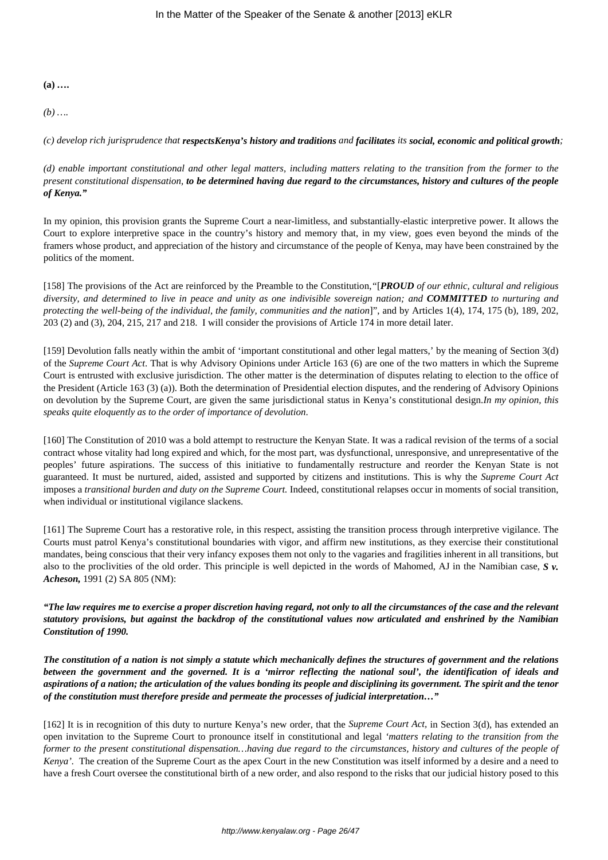**(a)** *….*

*(b) ….*

*(c) develop rich jurisprudence that respectsKenya's history and traditions and facilitates its social, economic and political growth;*

*(d) enable important constitutional and other legal matters, including matters relating to the transition from the former to the present constitutional dispensation, to be determined having due regard to the circumstances, history and cultures of the people of Kenya."*

In my opinion, this provision grants the Supreme Court a near-limitless, and substantially-elastic interpretive power. It allows the Court to explore interpretive space in the country's history and memory that, in my view, goes even beyond the minds of the framers whose product, and appreciation of the history and circumstance of the people of Kenya, may have been constrained by the politics of the moment.

[158] The provisions of the Act are reinforced by the Preamble to the Constitution,*"*[*PROUD of our ethnic, cultural and religious diversity, and determined to live in peace and unity as one indivisible sovereign nation; and COMMITTED to nurturing and protecting the well-being of the individual, the family, communities and the nation*]", and by Articles 1(4), 174, 175 (b), 189, 202, 203 (2) and (3), 204, 215, 217 and 218. I will consider the provisions of Article 174 in more detail later.

[159] Devolution falls neatly within the ambit of 'important constitutional and other legal matters,' by the meaning of Section 3(d) of the *Supreme Court Act*. That is why Advisory Opinions under Article 163 (6) are one of the two matters in which the Supreme Court is entrusted with exclusive jurisdiction. The other matter is the determination of disputes relating to election to the office of the President (Article 163 (3) (a)). Both the determination of Presidential election disputes, and the rendering of Advisory Opinions on devolution by the Supreme Court, are given the same jurisdictional status in Kenya's constitutional design.*In my opinion, this speaks quite eloquently as to the order of importance of devolution*.

[160] The Constitution of 2010 was a bold attempt to restructure the Kenyan State. It was a radical revision of the terms of a social contract whose vitality had long expired and which, for the most part, was dysfunctional, unresponsive, and unrepresentative of the peoples' future aspirations. The success of this initiative to fundamentally restructure and reorder the Kenyan State is not guaranteed. It must be nurtured, aided, assisted and supported by citizens and institutions. This is why the *Supreme Court Act* imposes a *transitional burden and duty on the Supreme Court.* Indeed, constitutional relapses occur in moments of social transition, when individual or institutional vigilance slackens.

[161] The Supreme Court has a restorative role, in this respect, assisting the transition process through interpretive vigilance. The Courts must patrol Kenya's constitutional boundaries with vigor, and affirm new institutions, as they exercise their constitutional mandates, being conscious that their very infancy exposes them not only to the vagaries and fragilities inherent in all transitions, but also to the proclivities of the old order. This principle is well depicted in the words of Mahomed, AJ in the Namibian case, *S v. Acheson,* 1991 (2) SA 805 (NM):

*"The law requires me to exercise a proper discretion having regard, not only to all the circumstances of the case and the relevant statutory provisions, but against the backdrop of the constitutional values now articulated and enshrined by the Namibian Constitution of 1990.* 

*The constitution of a nation is not simply a statute which mechanically defines the structures of government and the relations between the government and the governed. It is a 'mirror reflecting the national soul', the identification of ideals and aspirations of a nation; the articulation of the values bonding its people and disciplining its government. The spirit and the tenor of the constitution must therefore preside and permeate the processes of judicial interpretation…"*

[162] It is in recognition of this duty to nurture Kenya's new order, that the *Supreme Court Act,* in Section 3(d), has extended an open invitation to the Supreme Court to pronounce itself in constitutional and legal *'matters relating to the transition from the former to the present constitutional dispensation…having due regard to the circumstances, history and cultures of the people of Kenya'.* The creation of the Supreme Court as the apex Court in the new Constitution was itself informed by a desire and a need to have a fresh Court oversee the constitutional birth of a new order, and also respond to the risks that our judicial history posed to this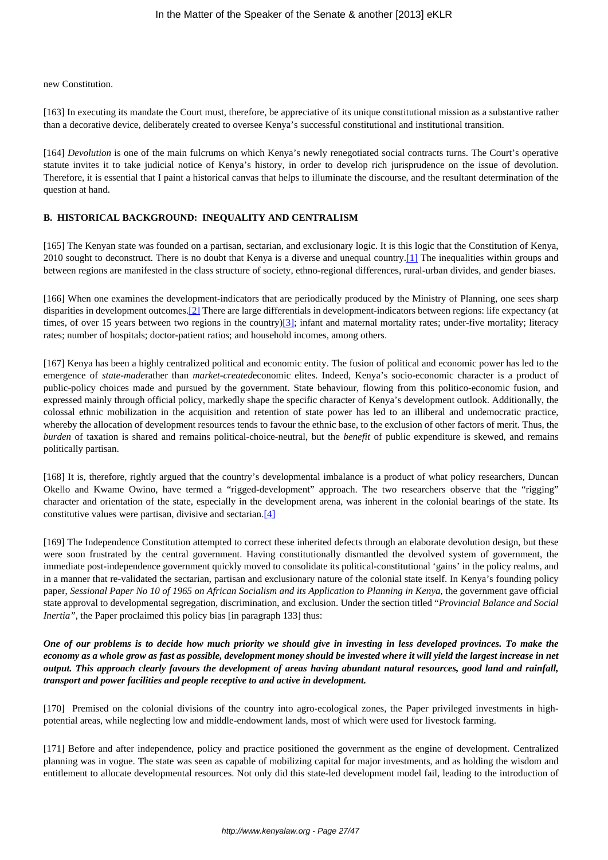new Constitution.

[163] In executing its mandate the Court must, therefore, be appreciative of its unique constitutional mission as a substantive rather than a decorative device, deliberately created to oversee Kenya's successful constitutional and institutional transition.

[164] *Devolution* is one of the main fulcrums on which Kenya's newly renegotiated social contracts turns. The Court's operative statute invites it to take judicial notice of Kenya's history, in order to develop rich jurisprudence on the issue of devolution. Therefore, it is essential that I paint a historical canvas that helps to illuminate the discourse, and the resultant determination of the question at hand.

# **B. HISTORICAL BACKGROUND: INEQUALITY AND CENTRALISM**

[165] The Kenyan state was founded on a partisan, sectarian, and exclusionary logic. It is this logic that the Constitution of Kenya, 2010 sought to deconstruct. There is no doubt that Kenya is a diverse and unequal country.[1] The inequalities within groups and between regions are manifested in the class structure of society, ethno-regional differences, rural-urban divides, and gender biases.

[166] When one examines the development-indicators that are periodically produced by the Ministry of Planning*,* one sees sharp disparities in development outcomes.[2] There are large differentials in development-indicators between regions: life expectancy (at times, of over 15 years between two regions in the country) $[3]$ ; infant and maternal mortality rates; under-five mortality; literacy rates; number of hospitals; doctor-patient ratios; and household incomes, among others.

[167] Kenya has been a highly centralized political and economic entity. The fusion of political and economic power has led to the emergence of *state-made*rather than *market-created*economic elites. Indeed, Kenya's socio-economic character is a product of public-policy choices made and pursued by the government. State behaviour, flowing from this politico-economic fusion, and expressed mainly through official policy, markedly shape the specific character of Kenya's development outlook. Additionally, the colossal ethnic mobilization in the acquisition and retention of state power has led to an illiberal and undemocratic practice, whereby the allocation of development resources tends to favour the ethnic base, to the exclusion of other factors of merit. Thus, the *burden* of taxation is shared and remains political-choice-neutral, but the *benefit* of public expenditure is skewed, and remains politically partisan.

[168] It is, therefore, rightly argued that the country's developmental imbalance is a product of what policy researchers, Duncan Okello and Kwame Owino, have termed a "rigged-development" approach. The two researchers observe that the "rigging" character and orientation of the state, especially in the development arena, was inherent in the colonial bearings of the state. Its constitutive values were partisan, divisive and sectarian.[4]

[169] The Independence Constitution attempted to correct these inherited defects through an elaborate devolution design, but these were soon frustrated by the central government. Having constitutionally dismantled the devolved system of government, the immediate post-independence government quickly moved to consolidate its political-constitutional 'gains' in the policy realms, and in a manner that re-validated the sectarian, partisan and exclusionary nature of the colonial state itself. In Kenya's founding policy paper, *Sessional Paper No 10 of 1965 on African Socialism and its Application to Planning in Kenya*, the government gave official state approval to developmental segregation, discrimination, and exclusion. Under the section titled "*Provincial Balance and Social Inertia"*, the Paper proclaimed this policy bias [in paragraph 133] thus:

*One of our problems is to decide how much priority we should give in investing in less developed provinces. To make the economy as a whole grow as fast as possible, development money should be invested where it will yield the largest increase in net output. This approach clearly favours the development of areas having abundant natural resources, good land and rainfall, transport and power facilities and people receptive to and active in development.*

[170] Premised on the colonial divisions of the country into agro-ecological zones, the Paper privileged investments in highpotential areas, while neglecting low and middle-endowment lands, most of which were used for livestock farming.

[171] Before and after independence, policy and practice positioned the government as the engine of development. Centralized planning was in vogue. The state was seen as capable of mobilizing capital for major investments, and as holding the wisdom and entitlement to allocate developmental resources. Not only did this state-led development model fail, leading to the introduction of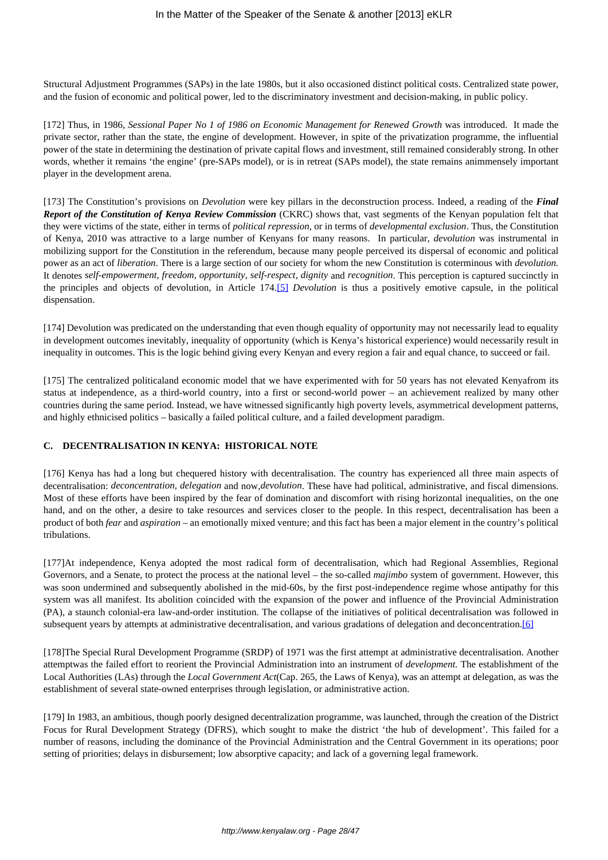Structural Adjustment Programmes (SAPs) in the late 1980s, but it also occasioned distinct political costs. Centralized state power, and the fusion of economic and political power, led to the discriminatory investment and decision-making, in public policy.

[172] Thus, in 1986, *Sessional Paper No 1 of 1986 on Economic Management for Renewed Growth* was introduced. It made the private sector, rather than the state, the engine of development. However, in spite of the privatization programme, the influential power of the state in determining the destination of private capital flows and investment, still remained considerably strong. In other words, whether it remains 'the engine' (pre-SAPs model), or is in retreat (SAPs model), the state remains animmensely important player in the development arena.

[173] The Constitution's provisions on *Devolution* were key pillars in the deconstruction process. Indeed, a reading of the *Final Report of the Constitution of Kenya Review Commission* (CKRC) shows that, vast segments of the Kenyan population felt that they were victims of the state, either in terms of *political repression,* or in terms of *developmental exclusion*. Thus, the Constitution of Kenya, 2010 was attractive to a large number of Kenyans for many reasons. In particular, *devolution* was instrumental in mobilizing support for the Constitution in the referendum, because many people perceived its dispersal of economic and political power as an act of *liberation*. There is a large section of our society for whom the new Constitution is coterminous with *devolution.* It denotes *self-empowerment, freedom, opportunity, self-respect, dignity* and *recognition*. This perception is captured succinctly in the principles and objects of devolution, in Article 174.[5] *Devolution* is thus a positively emotive capsule, in the political dispensation.

[174] Devolution was predicated on the understanding that even though equality of opportunity may not necessarily lead to equality in development outcomes inevitably, inequality of opportunity (which is Kenya's historical experience) would necessarily result in inequality in outcomes. This is the logic behind giving every Kenyan and every region a fair and equal chance, to succeed or fail.

[175] The centralized politicaland economic model that we have experimented with for 50 years has not elevated Kenyafrom its status at independence, as a third-world country, into a first or second-world power – an achievement realized by many other countries during the same period. Instead, we have witnessed significantly high poverty levels, asymmetrical development patterns, and highly ethnicised politics – basically a failed political culture, and a failed development paradigm.

## **C. DECENTRALISATION IN KENYA: HISTORICAL NOTE**

[176] Kenya has had a long but chequered history with decentralisation. The country has experienced all three main aspects of decentralisation: *deconcentration, delegation* and now,*devolution*. These have had political, administrative, and fiscal dimensions. Most of these efforts have been inspired by the fear of domination and discomfort with rising horizontal inequalities, on the one hand, and on the other, a desire to take resources and services closer to the people. In this respect, decentralisation has been a product of both *fear* and *aspiration* – an emotionally mixed venture; and this fact has been a major element in the country's political tribulations.

[177]At independence, Kenya adopted the most radical form of decentralisation, which had Regional Assemblies, Regional Governors, and a Senate, to protect the process at the national level – the so-called *majimbo* system of government. However, this was soon undermined and subsequently abolished in the mid-60s, by the first post-independence regime whose antipathy for this system was all manifest. Its abolition coincided with the expansion of the power and influence of the Provincial Administration (PA), a staunch colonial-era law-and-order institution. The collapse of the initiatives of political decentralisation was followed in subsequent years by attempts at administrative decentralisation, and various gradations of delegation and deconcentration.[6]

[178]The Special Rural Development Programme (SRDP) of 1971 was the first attempt at administrative decentralisation. Another attemptwas the failed effort to reorient the Provincial Administration into an instrument of *development.* The establishment of the Local Authorities (LAs) through the *Local Government Act*(Cap. 265, the Laws of Kenya), was an attempt at delegation, as was the establishment of several state-owned enterprises through legislation, or administrative action.

[179] In 1983, an ambitious, though poorly designed decentralization programme, was launched, through the creation of the District Focus for Rural Development Strategy (DFRS), which sought to make the district 'the hub of development'. This failed for a number of reasons, including the dominance of the Provincial Administration and the Central Government in its operations; poor setting of priorities; delays in disbursement; low absorptive capacity; and lack of a governing legal framework.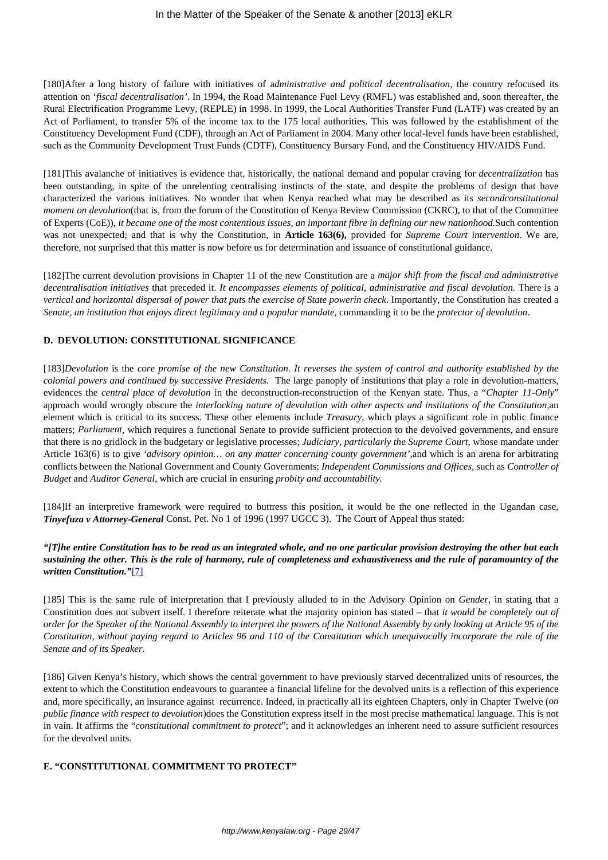[180]After a long history of failure with initiatives of a*dministrative and political decentralisation*, the country refocused its attention on '*fiscal decentralisation'*. In 1994, the Road Maintenance Fuel Levy (RMFL) was established and, soon thereafter, the Rural Electrification Programme Levy, (REPLE) in 1998. In 1999, the Local Authorities Transfer Fund (LATF) was created by an Act of Parliament, to transfer 5% of the income tax to the 175 local authorities. This was followed by the establishment of the Constituency Development Fund (CDF), through an Act of Parliament in 2004. Many other local-level funds have been established, such as the Community Development Trust Funds (CDTF), Constituency Bursary Fund, and the Constituency HIV/AIDS Fund.

[181]This avalanche of initiatives is evidence that, historically, the national demand and popular craving for *decentralization* has been outstanding, in spite of the unrelenting centralising instincts of the state, and despite the problems of design that have characterized the various initiatives. No wonder that when Kenya reached what may be described as its *secondconstitutional moment on devolution*(that is, from the forum of the Constitution of Kenya Review Commission (CKRC), to that of the Committee of Experts (CoE)), *it became one of the most contentious issues, an important fibre in defining our new nationhood.*Such contention was not unexpected; and that is why the Constitution, in **Article 163(6),** provided for *Supreme Court intervention*. We are, therefore, not surprised that this matter is now before us for determination and issuance of constitutional guidance.

[182]The current devolution provisions in Chapter 11 of the new Constitution are a *major shift from the fiscal and administrative decentralisation initiatives* that preceded it. *It encompasses elements of political, administrative and fiscal devolution.* There is a *vertical and horizontal dispersal of power that puts the exercise of State powerin check*. Importantly, the Constitution has created a *Senate, an institution that enjoys direct legitimacy and a popular mandate*, commanding it to be the *protector of devolution*.

# **D. DEVOLUTION: CONSTITUTIONAL SIGNIFICANCE**

[183]*Devolution* is the *core promise of the new Constitution*. *It reverses the system of control and authority established by the colonial powers and continued by successive Presidents.* The large panoply of institutions that play a role in devolution-matters, evidences the *central place of devolution* in the deconstruction-reconstruction of the Kenyan state. Thus, a "*Chapter 11-Only*" approach would wrongly obscure the *interlocking nature of devolution with other aspects and institutions of the Constitution,*an element which is critical to its success. These other elements include *Treasury*, which plays a significant role in public finance matters; *Parliament*, which requires a functional Senate to provide sufficient protection to the devolved governments, and ensure that there is no gridlock in the budgetary or legislative processes; *Judiciary, particularly the Supreme Court,* whose mandate under Article 163(6) is to give *'advisory opinion… on any matter concerning county government',*and which is an arena for arbitrating conflicts between the National Government and County Governments; *Independent Commissions and Offices,* such as *Controller of Budget* and *Auditor General,* which are crucial in ensuring *probity and accountability.* 

[184]If an interpretive framework were required to buttress this position, it would be the one reflected in the Ugandan case, *Tinyefuza v Attorney-General* Const. Pet. No 1 of 1996 (1997 UGCC 3). The Court of Appeal thus stated:

## *"[T]he entire Constitution has to be read as an integrated whole, and no one particular provision destroying the other but each sustaining the other. This is the rule of harmony, rule of completeness and exhaustiveness and the rule of paramountcy of the written Constitution."*[7]

[185] This is the same rule of interpretation that I previously alluded to in the Advisory Opinion on *Gender*, in stating that a Constitution does not subvert itself. I therefore reiterate what the majority opinion has stated – that *it would be completely out of order for the Speaker of the National Assembly to interpret the powers of the National Assembly by only looking at Article 95 of the Constitution, without paying regard to Articles 96 and 110 of the Constitution which unequivocally incorporate the role of the Senate and of its Speaker.*

[186] Given Kenya's history, which shows the central government to have previously starved decentralized units of resources, the extent to which the Constitution endeavours to guarantee a financial lifeline for the devolved units is a reflection of this experience and, more specifically, an insurance against recurrence. Indeed, in practically all its eighteen Chapters, only in Chapter Twelve (*on public finance with respect to devolution*)does the Constitution express itself in the most precise mathematical language. This is not in vain. It affirms the "*constitutional commitment to protect*"; and it acknowledges an inherent need to assure sufficient resources for the devolved units.

### **E. "CONSTITUTIONAL COMMITMENT TO PROTECT"**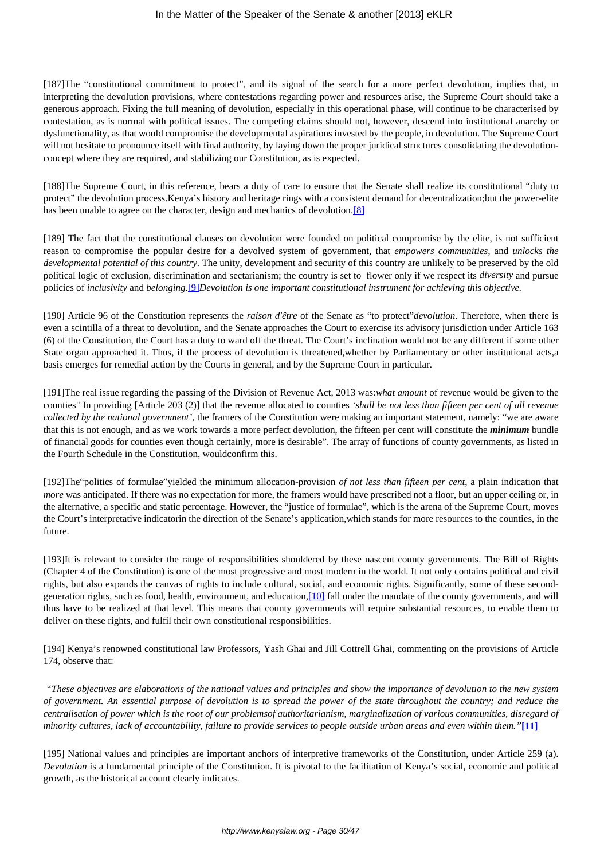[187]The "constitutional commitment to protect", and its signal of the search for a more perfect devolution, implies that, in interpreting the devolution provisions, where contestations regarding power and resources arise, the Supreme Court should take a generous approach. Fixing the full meaning of devolution, especially in this operational phase, will continue to be characterised by contestation, as is normal with political issues. The competing claims should not, however, descend into institutional anarchy or dysfunctionality, as that would compromise the developmental aspirations invested by the people, in devolution. The Supreme Court will not hesitate to pronounce itself with final authority, by laying down the proper juridical structures consolidating the devolutionconcept where they are required, and stabilizing our Constitution, as is expected.

[188]The Supreme Court, in this reference, bears a duty of care to ensure that the Senate shall realize its constitutional "duty to protect" the devolution process.Kenya's history and heritage rings with a consistent demand for decentralization;but the power-elite has been unable to agree on the character, design and mechanics of devolution.<sup>[8]</sup>

[189] The fact that the constitutional clauses on devolution were founded on political compromise by the elite, is not sufficient reason to compromise the popular desire for a devolved system of government, that *empowers communities,* and *unlocks the developmental potential of this country*. The unity, development and security of this country are unlikely to be preserved by the old political logic of exclusion, discrimination and sectarianism; the country is set to flower only if we respect its *diversity* and pursue policies of *inclusivity* and *belonging.*[9]*Devolution is one important constitutional instrument for achieving this objective.*

[190] Article 96 of the Constitution represents the *raison d'être* of the Senate as "to protect"*devolution.* Therefore, when there is even a scintilla of a threat to devolution, and the Senate approaches the Court to exercise its advisory jurisdiction under Article 163 (6) of the Constitution, the Court has a duty to ward off the threat. The Court's inclination would not be any different if some other State organ approached it. Thus, if the process of devolution is threatened,whether by Parliamentary or other institutional acts,a basis emerges for remedial action by the Courts in general, and by the Supreme Court in particular.

[191]The real issue regarding the passing of the Division of Revenue Act, 2013 was:*what amount* of revenue would be given to the counties" In providing [Article 203 (2)] that the revenue allocated to counties *'shall be not less than fifteen per cent of all revenue collected by the national government'*, the framers of the Constitution were making an important statement, namely: "we are aware that this is not enough, and as we work towards a more perfect devolution, the fifteen per cent will constitute the *minimum* bundle of financial goods for counties even though certainly, more is desirable". The array of functions of county governments, as listed in the Fourth Schedule in the Constitution, wouldconfirm this.

[192]The"politics of formulae"yielded the minimum allocation-provision *of not less than fifteen per cent*, a plain indication that *more* was anticipated. If there was no expectation for more, the framers would have prescribed not a floor, but an upper ceiling or, in the alternative, a specific and static percentage. However, the "justice of formulae", which is the arena of the Supreme Court, moves the Court's interpretative indicatorin the direction of the Senate's application,which stands for more resources to the counties, in the future.

[193]It is relevant to consider the range of responsibilities shouldered by these nascent county governments. The Bill of Rights (Chapter 4 of the Constitution) is one of the most progressive and most modern in the world. It not only contains political and civil rights, but also expands the canvas of rights to include cultural, social, and economic rights. Significantly, some of these secondgeneration rights, such as food, health, environment, and education,[10] fall under the mandate of the county governments, and will thus have to be realized at that level. This means that county governments will require substantial resources, to enable them to deliver on these rights, and fulfil their own constitutional responsibilities.

[194] Kenya's renowned constitutional law Professors, Yash Ghai and Jill Cottrell Ghai, commenting on the provisions of Article 174, observe that:

*"These objectives are elaborations of the national values and principles and show the importance of devolution to the new system of government. An essential purpose of devolution is to spread the power of the state throughout the country; and reduce the centralisation of power which is the root of our problemsof authoritarianism, marginalization of various communities, disregard of minority cultures, lack of accountability, failure to provide services to people outside urban areas and even within them."***[11]**

[195] National values and principles are important anchors of interpretive frameworks of the Constitution, under Article 259 (a). *Devolution* is a fundamental principle of the Constitution. It is pivotal to the facilitation of Kenya's social, economic and political growth, as the historical account clearly indicates.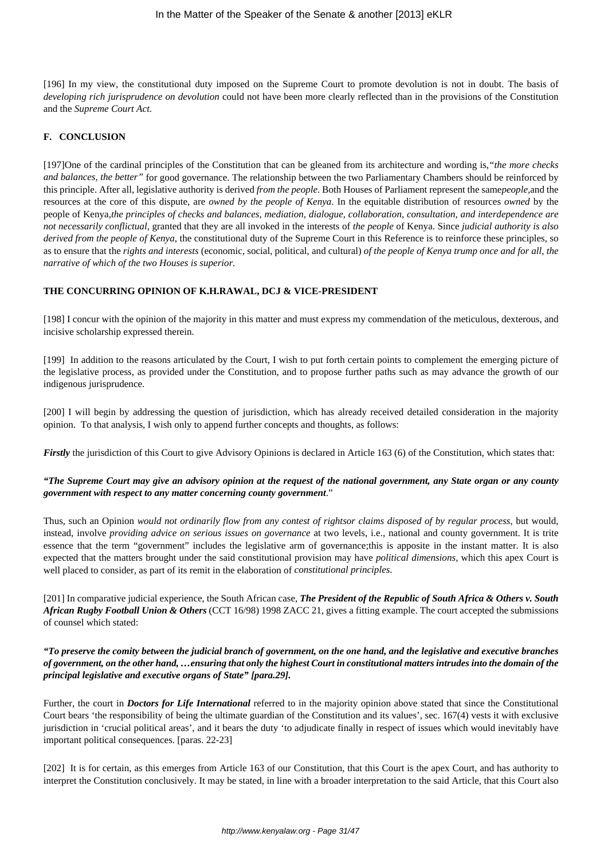[196] In my view, the constitutional duty imposed on the Supreme Court to promote devolution is not in doubt. The basis of *developing rich jurisprudence on devolution* could not have been more clearly reflected than in the provisions of the Constitution and the *Supreme Court Act.*

## **F. CONCLUSION**

[197]One of the cardinal principles of the Constitution that can be gleaned from its architecture and wording is,*"the more checks and balances, the better"* for good governance. The relationship between the two Parliamentary Chambers should be reinforced by this principle. After all, legislative authority is derived *from the people*. Both Houses of Parliament represent the same*people,*and the resources at the core of this dispute, are *owned by the people of Kenya*. In the equitable distribution of resources *owned* by the people of Kenya,*the principles of checks and balances, mediation, dialogue, collaboration, consultation, and interdependence are not necessarily conflictual,* granted that they are all invoked in the interests of *the people* of Kenya. Since *judicial authority is also derived from the people of Kenya*, the constitutional duty of the Supreme Court in this Reference is to reinforce these principles, so as to ensure that the *rights and interests* (economic, social, political, and cultural) *of the people of Kenya trump once and for all, the narrative of which of the two Houses is superior.*

### **THE CONCURRING OPINION OF K.H.RAWAL, DCJ & VICE-PRESIDENT**

[198] I concur with the opinion of the majority in this matter and must express my commendation of the meticulous, dexterous, and incisive scholarship expressed therein.

[199] In addition to the reasons articulated by the Court, I wish to put forth certain points to complement the emerging picture of the legislative process, as provided under the Constitution, and to propose further paths such as may advance the growth of our indigenous jurisprudence.

[200] I will begin by addressing the question of jurisdiction, which has already received detailed consideration in the majority opinion. To that analysis, I wish only to append further concepts and thoughts, as follows:

*Firstly* the jurisdiction of this Court to give Advisory Opinions is declared in Article 163 (6) of the Constitution, which states that:

# *"The Supreme Court may give an advisory opinion at the request of the national government, any State organ or any county government with respect to any matter concerning county government*."

Thus, such an Opinion *would not ordinarily flow from any contest of rightsor claims disposed of by regular process*, but would, instead, involve *providing advice on serious issues on governance* at two levels, i.e., national and county government. It is trite essence that the term "government" includes the legislative arm of governance;this is apposite in the instant matter. It is also expected that the matters brought under the said constitutional provision may have *political dimensions*, which this apex Court is well placed to consider, as part of its remit in the elaboration of *constitutional principles.*

[201] In comparative judicial experience, the South African case, *The President of the Republic of South Africa & Others v. South African Rugby Football Union & Others* (CCT 16/98) 1998 ZACC 21, gives a fitting example. The court accepted the submissions of counsel which stated:

## *"To preserve the comity between the judicial branch of government, on the one hand, and the legislative and executive branches of government, on the other hand, …ensuring that only the highest Court in constitutional matters intrudes into the domain of the principal legislative and executive organs of State" [para.29].*

Further, the court in *Doctors for Life International* referred to in the majority opinion above stated that since the Constitutional Court bears 'the responsibility of being the ultimate guardian of the Constitution and its values', sec. 167(4) vests it with exclusive jurisdiction in 'crucial political areas', and it bears the duty 'to adjudicate finally in respect of issues which would inevitably have important political consequences. [paras. 22-23]

[202] It is for certain, as this emerges from Article 163 of our Constitution, that this Court is the apex Court, and has authority to interpret the Constitution conclusively. It may be stated, in line with a broader interpretation to the said Article, that this Court also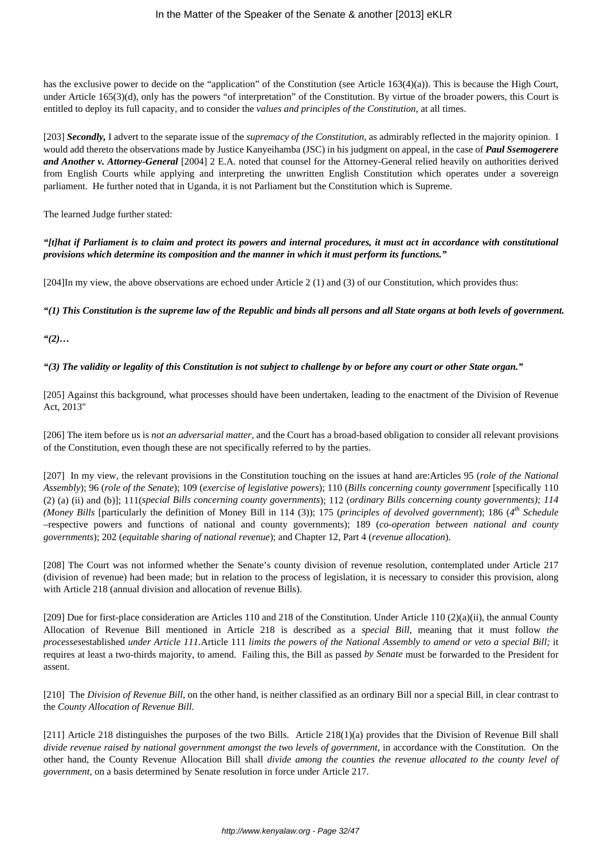has the exclusive power to decide on the "application" of the Constitution (see Article 163(4)(a)). This is because the High Court, under Article 165(3)(d), only has the powers "of interpretation" of the Constitution. By virtue of the broader powers, this Court is entitled to deploy its full capacity, and to consider the *values and principles of the Constitution*, at all times.

[203] *Secondly,* I advert to the separate issue of the *supremacy of the Constitution,* as admirably reflected in the majority opinion. I would add thereto the observations made by Justice Kanyeihamba (JSC) in his judgment on appeal, in the case of *Paul Ssemogerere and Another v. Attorney-General* [2004] 2 E.A. noted that counsel for the Attorney-General relied heavily on authorities derived from English Courts while applying and interpreting the unwritten English Constitution which operates under a sovereign parliament. He further noted that in Uganda, it is not Parliament but the Constitution which is Supreme.

The learned Judge further stated:

*"[t]hat if Parliament is to claim and protect its powers and internal procedures, it must act in accordance with constitutional provisions which determine its composition and the manner in which it must perform its functions."*

[204]In my view, the above observations are echoed under Article 2 (1) and (3) of our Constitution, which provides thus:

*"(1) This Constitution is the supreme law of the Republic and binds all persons and all State organs at both levels of government.*

*"(2)…*

# *"(3) The validity or legality of this Constitution is not subject to challenge by or before any court or other State organ."*

[205] Against this background, what processes should have been undertaken, leading to the enactment of the Division of Revenue Act, 2013"

[206] The item before us is *not an adversarial matter,* and the Court has a broad-based obligation to consider all relevant provisions of the Constitution, even though these are not specifically referred to by the parties.

[207] In my view, the relevant provisions in the Constitution touching on the issues at hand are:Articles 95 (*role of the National Assembly*); 96 (*role of the Senate*); 109 (*exercise of legislative powers*); 110 (*Bills concerning county government* [specifically 110 (2) (a) (ii) and (b)]; 111(*special Bills concerning county governments*); 112 (*ordinary Bills concerning county governments); 114 (Money Bills* [particularly the definition of Money Bill in 114 (3)); 175 (*principles of devolved government*); 186 (*4 th Schedule* –respective powers and functions of national and county governments); 189 (*co-operation between national and county governments*); 202 (*equitable sharing of national revenue*); and Chapter 12, Part 4 (*revenue allocation*).

[208] The Court was not informed whether the Senate's county division of revenue resolution, contemplated under Article 217 (division of revenue) had been made; but in relation to the process of legislation, it is necessary to consider this provision, along with Article 218 (annual division and allocation of revenue Bills).

[209] Due for first-place consideration are Articles 110 and 218 of the Constitution. Under Article 110 (2)(a)(ii), the annual County Allocation of Revenue Bill mentioned in Article 218 is described as a *special Bill,* meaning that it must follow *the processes*established *under Article 111.*Article 111 *limits the powers of the National Assembly to amend or veto a special Bill;* it requires at least a two-thirds majority, to amend. Failing this, the Bill as passed *by Senate* must be forwarded to the President for assent.

[210] The *Division of Revenue Bill*, on the other hand, is neither classified as an ordinary Bill nor a special Bill, in clear contrast to the *County Allocation of Revenue Bill.*

[211] Article 218 distinguishes the purposes of the two Bills. Article 218(1)(a) provides that the Division of Revenue Bill shall *divide revenue raised by national government amongst the two levels of government,* in accordance with the Constitution. On the other hand, the County Revenue Allocation Bill shall *divide among the counties the revenue allocated to the county level of government,* on a basis determined by Senate resolution in force under Article 217.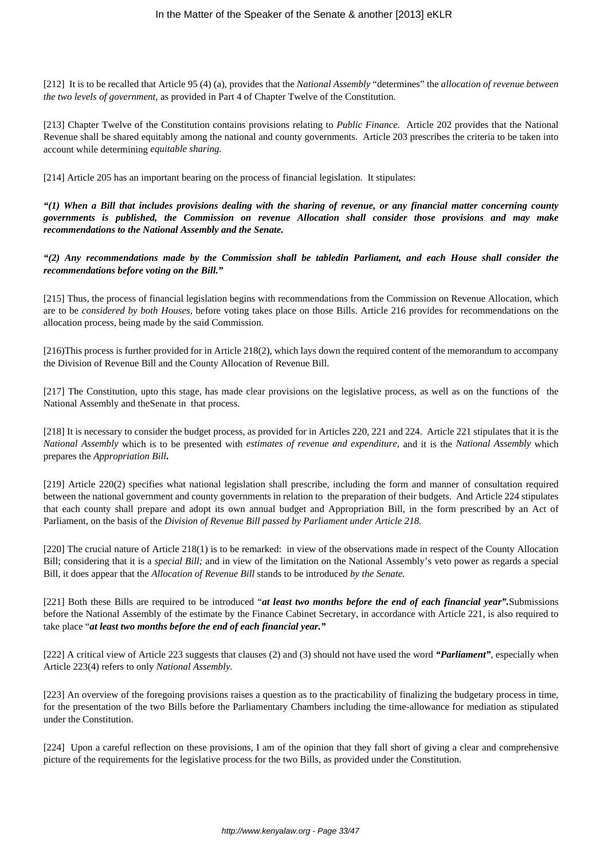[212] It is to be recalled that Article 95 (4) (a), provides that the *National Assembly* "determines" the *allocation of revenue between the two levels of government,* as provided in Part 4 of Chapter Twelve of the Constitution.

[213] Chapter Twelve of the Constitution contains provisions relating to *Public Finance.* Article 202 provides that the National Revenue shall be shared equitably among the national and county governments. Article 203 prescribes the criteria to be taken into account while determining *equitable sharing.*

[214] Article 205 has an important bearing on the process of financial legislation. It stipulates:

*"(1) When a Bill that includes provisions dealing with the sharing of revenue, or any financial matter concerning county governments is published, the Commission on revenue Allocation shall consider those provisions and may make recommendations to the National Assembly and the Senate.*

*"(2) Any recommendations made by the Commission shall be tabledin Parliament, and each House shall consider the recommendations before voting on the Bill."*

[215] Thus, the process of financial legislation begins with recommendations from the Commission on Revenue Allocation, which are to be *considered by both Houses,* before voting takes place on those Bills. Article 216 provides for recommendations on the allocation process, being made by the said Commission.

[216)This process is further provided for in Article 218(2), which lays down the required content of the memorandum to accompany the Division of Revenue Bill and the County Allocation of Revenue Bill.

[217] The Constitution, upto this stage, has made clear provisions on the legislative process, as well as on the functions of the National Assembly and theSenate in that process.

[218] It is necessary to consider the budget process, as provided for in Articles 220, 221 and 224. Article 221 stipulates that it is the *National Assembly* which is to be presented with *estimates of revenue and expenditure,* and it is the *National Assembly* which prepares the *Appropriation Bill***.**

[219] Article 220(2) specifies what national legislation shall prescribe, including the form and manner of consultation required between the national government and county governments in relation to the preparation of their budgets. And Article 224 stipulates that each county shall prepare and adopt its own annual budget and Appropriation Bill, in the form prescribed by an Act of Parliament, on the basis of the *Division of Revenue Bill passed by Parliament under Article 218.*

[220] The crucial nature of Article 218(1) is to be remarked: in view of the observations made in respect of the County Allocation Bill; considering that it is a *special Bill;* and in view of the limitation on the National Assembly's veto power as regards a special Bill, it does appear that the *Allocation of Revenue Bill* stands to be introduced *by the Senate.*

[221] Both these Bills are required to be introduced "*at least two months before the end of each financial year".*Submissions before the National Assembly of the estimate by the Finance Cabinet Secretary, in accordance with Article 221, is also required to take place "*at least two months before the end of each financial year."*

[222] A critical view of Article 223 suggests that clauses (2) and (3) should not have used the word *"Parliament"*, especially when Article 223(4) refers to only *National Assembly.*

[223] An overview of the foregoing provisions raises a question as to the practicability of finalizing the budgetary process in time, for the presentation of the two Bills before the Parliamentary Chambers including the time-allowance for mediation as stipulated under the Constitution.

[224] Upon a careful reflection on these provisions, I am of the opinion that they fall short of giving a clear and comprehensive picture of the requirements for the legislative process for the two Bills, as provided under the Constitution.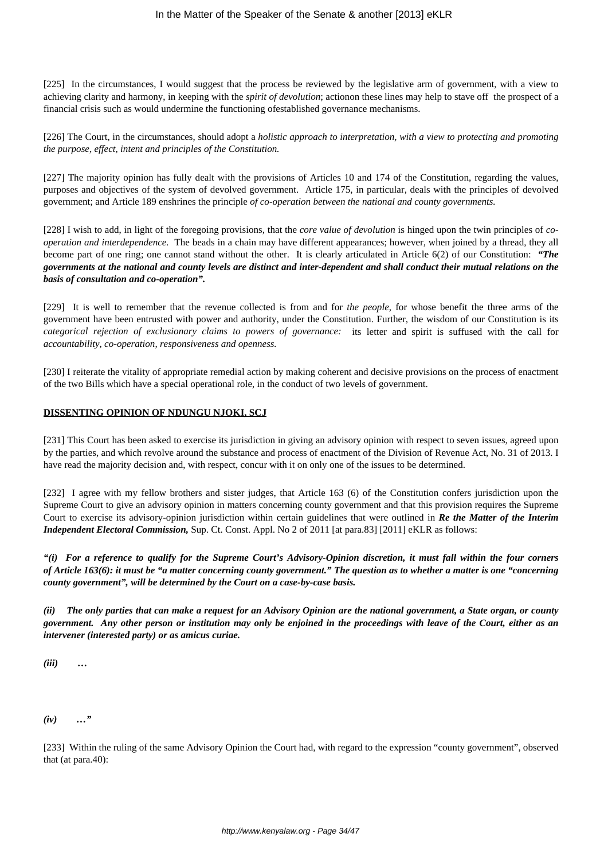[225] In the circumstances, I would suggest that the process be reviewed by the legislative arm of government, with a view to achieving clarity and harmony, in keeping with the *spirit of devolution*; actionon these lines may help to stave off the prospect of a financial crisis such as would undermine the functioning ofestablished governance mechanisms.

[226] The Court, in the circumstances, should adopt a *holistic approach to interpretation, with a view to protecting and promoting the purpose, effect, intent and principles of the Constitution.*

[227] The majority opinion has fully dealt with the provisions of Articles 10 and 174 of the Constitution, regarding the values, purposes and objectives of the system of devolved government. Article 175, in particular, deals with the principles of devolved government; and Article 189 enshrines the principle *of co-operation between the national and county governments.*

[228] I wish to add, in light of the foregoing provisions, that the *core value of devolution* is hinged upon the twin principles of *cooperation and interdependence.* The beads in a chain may have different appearances; however, when joined by a thread, they all become part of one ring; one cannot stand without the other. It is clearly articulated in Article 6(2) of our Constitution: *"The governments at the national and county levels are distinct and inter-dependent and shall conduct their mutual relations on the basis of consultation and co-operation".*

[229] It is well to remember that the revenue collected is from and for *the people,* for whose benefit the three arms of the government have been entrusted with power and authority, under the Constitution. Further, the wisdom of our Constitution is its *categorical rejection of exclusionary claims to powers of governance:* its letter and spirit is suffused with the call for *accountability, co-operation, responsiveness and openness.*

[230] I reiterate the vitality of appropriate remedial action by making coherent and decisive provisions on the process of enactment of the two Bills which have a special operational role, in the conduct of two levels of government.

# **DISSENTING OPINION OF NDUNGU NJOKI, SCJ**

[231] This Court has been asked to exercise its jurisdiction in giving an advisory opinion with respect to seven issues, agreed upon by the parties, and which revolve around the substance and process of enactment of the Division of Revenue Act, No. 31 of 2013. I have read the majority decision and, with respect, concur with it on only one of the issues to be determined.

[232] I agree with my fellow brothers and sister judges, that Article 163 (6) of the Constitution confers jurisdiction upon the Supreme Court to give an advisory opinion in matters concerning county government and that this provision requires the Supreme Court to exercise its advisory-opinion jurisdiction within certain guidelines that were outlined in *Re the Matter of the Interim Independent Electoral Commission, Sup. Ct. Const. Appl. No 2 of 2011* [at para.83] [2011] eKLR as follows:

*"(i) For a reference to qualify for the Supreme Court's Advisory-Opinion discretion, it must fall within the four corners of Article 163(6): it must be "a matter concerning county government." The question as to whether a matter is one "concerning county government", will be determined by the Court on a case-by-case basis.*

*(ii) The only parties that can make a request for an Advisory Opinion are the national government, a State organ, or county government. Any other person or institution may only be enjoined in the proceedings with leave of the Court, either as an intervener (interested party) or as amicus curiae.*

*(iii) …*

*(iv) …"*

[233] Within the ruling of the same Advisory Opinion the Court had, with regard to the expression "county government", observed that (at para.40):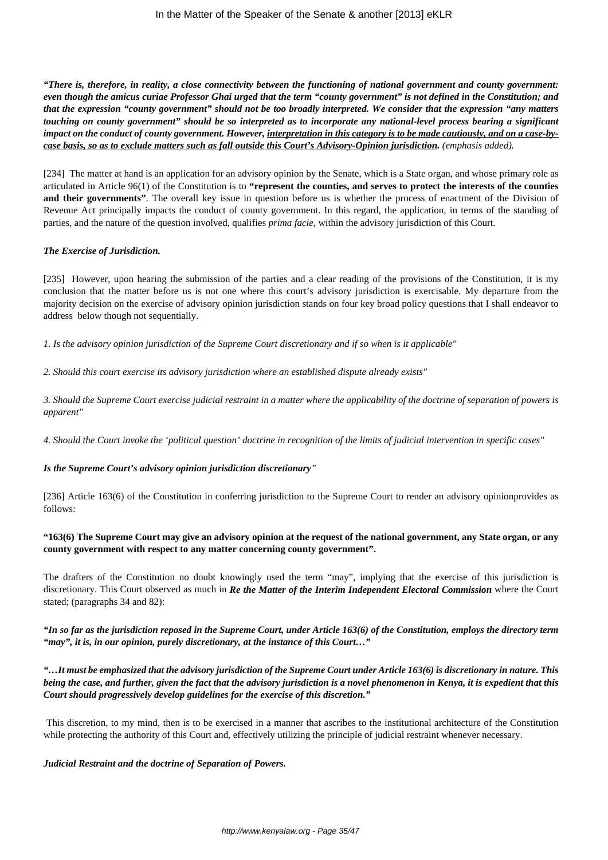*"There is, therefore, in reality, a close connectivity between the functioning of national government and county government: even though the amicus curiae Professor Ghai urged that the term "county government" is not defined in the Constitution; and that the expression "county government" should not be too broadly interpreted. We consider that the expression "any matters touching on county government" should be so interpreted as to incorporate any national-level process bearing a significant impact on the conduct of county government. However, interpretation in this category is to be made cautiously, and on a case-bycase basis, so as to exclude matters such as fall outside this Court's Advisory-Opinion jurisdiction. (emphasis added).*

[234] The matter at hand is an application for an advisory opinion by the Senate, which is a State organ, and whose primary role as articulated in Article 96(1) of the Constitution is to **"represent the counties, and serves to protect the interests of the counties and their governments"**. The overall key issue in question before us is whether the process of enactment of the Division of Revenue Act principally impacts the conduct of county government. In this regard, the application, in terms of the standing of parties, and the nature of the question involved, qualifies *prima facie*, within the advisory jurisdiction of this Court.

### *The Exercise of Jurisdiction.*

[235] However, upon hearing the submission of the parties and a clear reading of the provisions of the Constitution, it is my conclusion that the matter before us is not one where this court's advisory jurisdiction is exercisable. My departure from the majority decision on the exercise of advisory opinion jurisdiction stands on four key broad policy questions that I shall endeavor to address below though not sequentially.

*1. Is the advisory opinion jurisdiction of the Supreme Court discretionary and if so when is it applicable"*

*2. Should this court exercise its advisory jurisdiction where an established dispute already exists"*

*3. Should the Supreme Court exercise judicial restraint in a matter where the applicability of the doctrine of separation of powers is apparent"*

*4. Should the Court invoke the 'political question' doctrine in recognition of the limits of judicial intervention in specific cases"*

### *Is the Supreme Court's advisory opinion jurisdiction discretionary"*

[236] Article 163(6) of the Constitution in conferring jurisdiction to the Supreme Court to render an advisory opinionprovides as follows:

### **"163(6) The Supreme Court may give an advisory opinion at the request of the national government, any State organ, or any county government with respect to any matter concerning county government".**

The drafters of the Constitution no doubt knowingly used the term "may", implying that the exercise of this jurisdiction is discretionary. This Court observed as much in *Re the Matter of the Interim Independent Electoral Commission* where the Court stated; (paragraphs 34 and 82):

*"In so far as the jurisdiction reposed in the Supreme Court, under Article 163(6) of the Constitution, employs the directory term "may", it is, in our opinion, purely discretionary, at the instance of this Court…"*

*"…It must be emphasized that the advisory jurisdiction of the Supreme Court under Article 163(6) is discretionary in nature. This being the case, and further, given the fact that the advisory jurisdiction is a novel phenomenon in Kenya, it is expedient that this Court should progressively develop guidelines for the exercise of this discretion."*

This discretion, to my mind, then is to be exercised in a manner that ascribes to the institutional architecture of the Constitution while protecting the authority of this Court and, effectively utilizing the principle of judicial restraint whenever necessary.

### *Judicial Restraint and the doctrine of Separation of Powers.*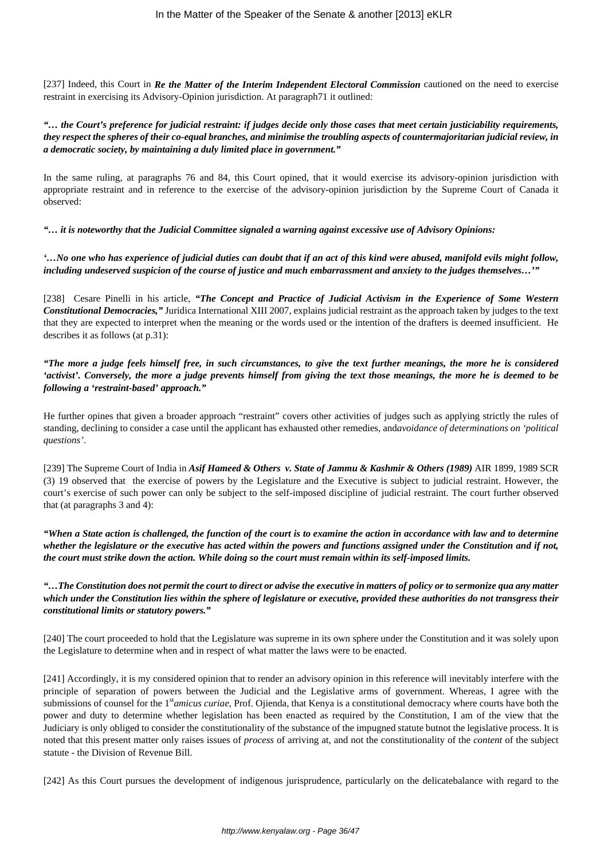[237] Indeed, this Court in *Re the Matter of the Interim Independent Electoral Commission* cautioned on the need to exercise restraint in exercising its Advisory-Opinion jurisdiction. At paragraph71 it outlined:

## *"… the Court's preference for judicial restraint: if judges decide only those cases that meet certain justiciability requirements, they respect the spheres of their co-equal branches, and minimise the troubling aspects of countermajoritarian judicial review, in a democratic society, by maintaining a duly limited place in government."*

In the same ruling, at paragraphs 76 and 84, this Court opined, that it would exercise its advisory-opinion jurisdiction with appropriate restraint and in reference to the exercise of the advisory-opinion jurisdiction by the Supreme Court of Canada it observed:

*"… it is noteworthy that the Judicial Committee signaled a warning against excessive use of Advisory Opinions:*

*'…No one who has experience of judicial duties can doubt that if an act of this kind were abused, manifold evils might follow, including undeserved suspicion of the course of justice and much embarrassment and anxiety to the judges themselves…'"*

[238] Cesare Pinelli in his article, "The Concept and Practice of Judicial Activism in the Experience of Some Western *Constitutional Democracies,"* Juridica International XIII 2007, explains judicial restraint as the approach taken by judges to the text that they are expected to interpret when the meaning or the words used or the intention of the drafters is deemed insufficient. He describes it as follows (at p.31):

*"The more a judge feels himself free, in such circumstances, to give the text further meanings, the more he is considered 'activist'. Conversely, the more a judge prevents himself from giving the text those meanings, the more he is deemed to be following a 'restraint-based' approach."* 

He further opines that given a broader approach "restraint" covers other activities of judges such as applying strictly the rules of standing, declining to consider a case until the applicant has exhausted other remedies, and*avoidance of determinations on 'political questions'*.

[239] The Supreme Court of India in *Asif Hameed & Others v. State of Jammu & Kashmir & Others (1989)* AIR 1899, 1989 SCR (3) 19 observed that the exercise of powers by the Legislature and the Executive is subject to judicial restraint. However, the court's exercise of such power can only be subject to the self-imposed discipline of judicial restraint. The court further observed that (at paragraphs 3 and 4):

*"When a State action is challenged, the function of the court is to examine the action in accordance with law and to determine whether the legislature or the executive has acted within the powers and functions assigned under the Constitution and if not, the court must strike down the action. While doing so the court must remain within its self-imposed limits.*

*"…The Constitution does not permit the court to direct or advise the executive in matters of policy or to sermonize qua any matter which under the Constitution lies within the sphere of legislature or executive, provided these authorities do not transgress their constitutional limits or statutory powers."*

[240] The court proceeded to hold that the Legislature was supreme in its own sphere under the Constitution and it was solely upon the Legislature to determine when and in respect of what matter the laws were to be enacted.

[241] Accordingly, it is my considered opinion that to render an advisory opinion in this reference will inevitably interfere with the principle of separation of powers between the Judicial and the Legislative arms of government. Whereas, I agree with the submissions of counsel for the 1st*amicus curiae*, Prof. Ojienda, that Kenya is a constitutional democracy where courts have both the power and duty to determine whether legislation has been enacted as required by the Constitution, I am of the view that the Judiciary is only obliged to consider the constitutionality of the substance of the impugned statute butnot the legislative process. It is noted that this present matter only raises issues of *process* of arriving at, and not the constitutionality of the *content* of the subject statute - the Division of Revenue Bill.

[242] As this Court pursues the development of indigenous jurisprudence, particularly on the delicatebalance with regard to the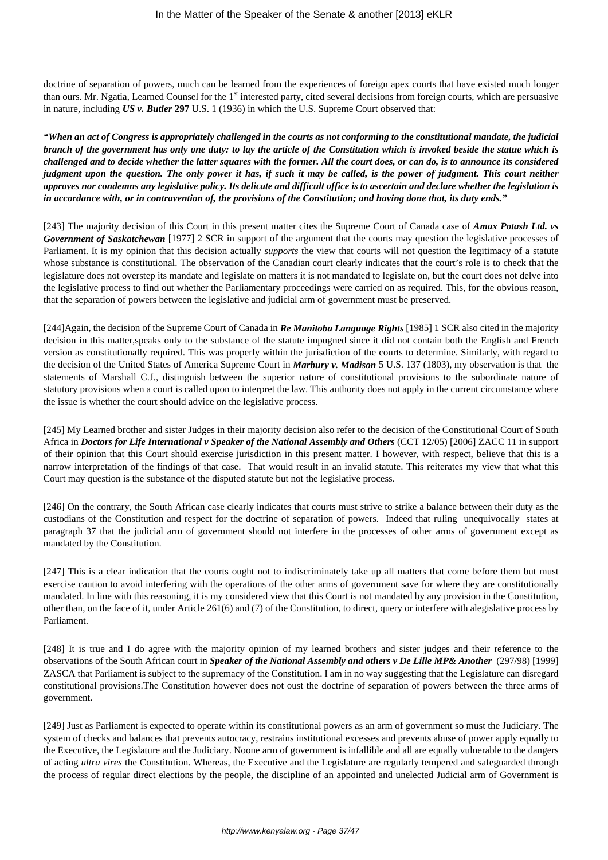doctrine of separation of powers, much can be learned from the experiences of foreign apex courts that have existed much longer than ours. Mr. Ngatia, Learned Counsel for the 1<sup>st</sup> interested party, cited several decisions from foreign courts, which are persuasive in nature, including *US v. Butler* **297** U.S. 1 (1936) in which the U.S. Supreme Court observed that:

*"When an act of Congress is appropriately challenged in the courts as not conforming to the constitutional mandate, the judicial branch of the government has only one duty: to lay the article of the Constitution which is invoked beside the statue which is challenged and to decide whether the latter squares with the former. All the court does, or can do, is to announce its considered judgment upon the question. The only power it has, if such it may be called, is the power of judgment. This court neither approves nor condemns any legislative policy. Its delicate and difficult office is to ascertain and declare whether the legislation is in accordance with, or in contravention of, the provisions of the Constitution; and having done that, its duty ends."*

[243] The majority decision of this Court in this present matter cites the Supreme Court of Canada case of *Amax Potash Ltd. vs Government of Saskatchewan* [1977] 2 SCR in support of the argument that the courts may question the legislative processes of Parliament. It is my opinion that this decision actually *supports* the view that courts will not question the legitimacy of a statute whose substance is constitutional. The observation of the Canadian court clearly indicates that the court's role is to check that the legislature does not overstep its mandate and legislate on matters it is not mandated to legislate on, but the court does not delve into the legislative process to find out whether the Parliamentary proceedings were carried on as required. This, for the obvious reason, that the separation of powers between the legislative and judicial arm of government must be preserved.

[244]Again, the decision of the Supreme Court of Canada in *Re Manitoba Language Rights* [1985] 1 SCR also cited in the majority decision in this matter,speaks only to the substance of the statute impugned since it did not contain both the English and French version as constitutionally required. This was properly within the jurisdiction of the courts to determine. Similarly, with regard to the decision of the United States of America Supreme Court in *Marbury v. Madison* 5 U.S. 137 (1803), my observation is that the statements of Marshall C.J., distinguish between the superior nature of constitutional provisions to the subordinate nature of statutory provisions when a court is called upon to interpret the law. This authority does not apply in the current circumstance where the issue is whether the court should advice on the legislative process.

[245] My Learned brother and sister Judges in their majority decision also refer to the decision of the Constitutional Court of South Africa in *Doctors for Life International v Speaker of the National Assembly and Others* (CCT 12/05) [2006] ZACC 11 in support of their opinion that this Court should exercise jurisdiction in this present matter. I however, with respect, believe that this is a narrow interpretation of the findings of that case. That would result in an invalid statute. This reiterates my view that what this Court may question is the substance of the disputed statute but not the legislative process.

[246] On the contrary, the South African case clearly indicates that courts must strive to strike a balance between their duty as the custodians of the Constitution and respect for the doctrine of separation of powers. Indeed that ruling unequivocally states at paragraph 37 that the judicial arm of government should not interfere in the processes of other arms of government except as mandated by the Constitution.

[247] This is a clear indication that the courts ought not to indiscriminately take up all matters that come before them but must exercise caution to avoid interfering with the operations of the other arms of government save for where they are constitutionally mandated. In line with this reasoning, it is my considered view that this Court is not mandated by any provision in the Constitution, other than, on the face of it, under Article 261(6) and (7) of the Constitution, to direct, query or interfere with alegislative process by Parliament.

[248] It is true and I do agree with the majority opinion of my learned brothers and sister judges and their reference to the observations of the South African court in *Speaker of the National Assembly and others v De Lille MP& Another* (297/98) [1999] ZASCA that Parliament is subject to the supremacy of the Constitution. I am in no way suggesting that the Legislature can disregard constitutional provisions.The Constitution however does not oust the doctrine of separation of powers between the three arms of government.

[249] Just as Parliament is expected to operate within its constitutional powers as an arm of government so must the Judiciary. The system of checks and balances that prevents autocracy, restrains institutional excesses and prevents abuse of power apply equally to the Executive, the Legislature and the Judiciary. Noone arm of government is infallible and all are equally vulnerable to the dangers of acting *ultra vires* the Constitution. Whereas, the Executive and the Legislature are regularly tempered and safeguarded through the process of regular direct elections by the people, the discipline of an appointed and unelected Judicial arm of Government is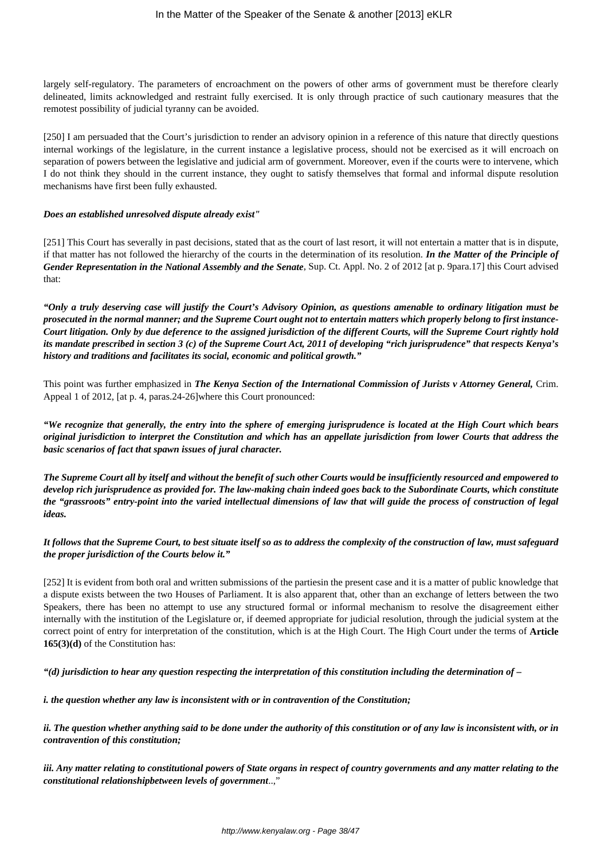largely self-regulatory. The parameters of encroachment on the powers of other arms of government must be therefore clearly delineated, limits acknowledged and restraint fully exercised. It is only through practice of such cautionary measures that the remotest possibility of judicial tyranny can be avoided.

[250] I am persuaded that the Court's jurisdiction to render an advisory opinion in a reference of this nature that directly questions internal workings of the legislature, in the current instance a legislative process, should not be exercised as it will encroach on separation of powers between the legislative and judicial arm of government. Moreover, even if the courts were to intervene, which I do not think they should in the current instance, they ought to satisfy themselves that formal and informal dispute resolution mechanisms have first been fully exhausted.

#### *Does an established unresolved dispute already exist"*

[251] This Court has severally in past decisions, stated that as the court of last resort, it will not entertain a matter that is in dispute, if that matter has not followed the hierarchy of the courts in the determination of its resolution. *In the Matter of the Principle of Gender Representation in the National Assembly and the Senate*, Sup. Ct. Appl. No. 2 of 2012 [at p. 9para.17] this Court advised that:

*"Only a truly deserving case will justify the Court's Advisory Opinion, as questions amenable to ordinary litigation must be prosecuted in the normal manner; and the Supreme Court ought not to entertain matters which properly belong to first instance-Court litigation. Only by due deference to the assigned jurisdiction of the different Courts, will the Supreme Court rightly hold its mandate prescribed in section 3 (c) of the Supreme Court Act, 2011 of developing "rich jurisprudence" that respects Kenya's history and traditions and facilitates its social, economic and political growth."*

This point was further emphasized in *The Kenya Section of the International Commission of Jurists v Attorney General,* Crim. Appeal 1 of 2012, [at p. 4, paras.24-26]where this Court pronounced:

*"We recognize that generally, the entry into the sphere of emerging jurisprudence is located at the High Court which bears original jurisdiction to interpret the Constitution and which has an appellate jurisdiction from lower Courts that address the basic scenarios of fact that spawn issues of jural character.*

*The Supreme Court all by itself and without the benefit of such other Courts would be insufficiently resourced and empowered to develop rich jurisprudence as provided for. The law-making chain indeed goes back to the Subordinate Courts, which constitute the "grassroots" entry-point into the varied intellectual dimensions of law that will guide the process of construction of legal ideas.*

*It follows that the Supreme Court, to best situate itself so as to address the complexity of the construction of law, must safeguard the proper jurisdiction of the Courts below it."*

[252] It is evident from both oral and written submissions of the partiesin the present case and it is a matter of public knowledge that a dispute exists between the two Houses of Parliament. It is also apparent that, other than an exchange of letters between the two Speakers, there has been no attempt to use any structured formal or informal mechanism to resolve the disagreement either internally with the institution of the Legislature or, if deemed appropriate for judicial resolution, through the judicial system at the correct point of entry for interpretation of the constitution, which is at the High Court. The High Court under the terms of **Article 165(3)(d)** of the Constitution has:

*"(d) jurisdiction to hear any question respecting the interpretation of this constitution including the determination of –*

*i. the question whether any law is inconsistent with or in contravention of the Constitution;*

*ii. The question whether anything said to be done under the authority of this constitution or of any law is inconsistent with, or in contravention of this constitution;*

*iii. Any matter relating to constitutional powers of State organs in respect of country governments and any matter relating to the constitutional relationshipbetween levels of government*..,"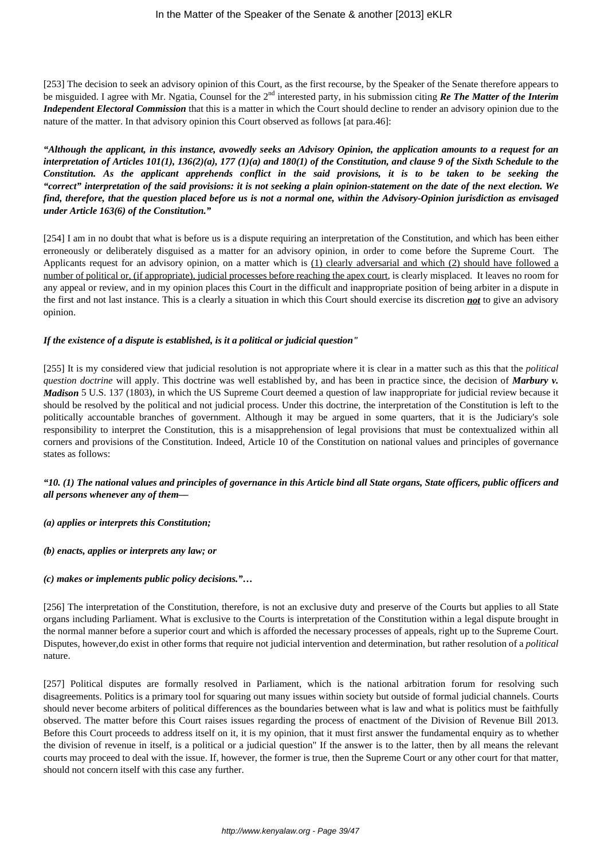[253] The decision to seek an advisory opinion of this Court, as the first recourse, by the Speaker of the Senate therefore appears to be misguided. I agree with Mr. Ngatia, Counsel for the 2nd interested party, in his submission citing *Re The Matter of the Interim Independent Electoral Commission* that this is a matter in which the Court should decline to render an advisory opinion due to the nature of the matter. In that advisory opinion this Court observed as follows [at para.46]:

*"Although the applicant, in this instance, avowedly seeks an Advisory Opinion, the application amounts to a request for an interpretation of Articles 101(1), 136(2)(a), 177 (1)(a) and 180(1) of the Constitution, and clause 9 of the Sixth Schedule to the Constitution. As the applicant apprehends conflict in the said provisions, it is to be taken to be seeking the "correct" interpretation of the said provisions: it is not seeking a plain opinion-statement on the date of the next election. We find, therefore, that the question placed before us is not a normal one, within the Advisory-Opinion jurisdiction as envisaged under Article 163(6) of the Constitution."*

[254] I am in no doubt that what is before us is a dispute requiring an interpretation of the Constitution, and which has been either erroneously or deliberately disguised as a matter for an advisory opinion, in order to come before the Supreme Court. The Applicants request for an advisory opinion, on a matter which is (1) clearly adversarial and which (2) should have followed a number of political or, (if appropriate), judicial processes before reaching the apex court, is clearly misplaced. It leaves no room for any appeal or review, and in my opinion places this Court in the difficult and inappropriate position of being arbiter in a dispute in the first and not last instance. This is a clearly a situation in which this Court should exercise its discretion *not* to give an advisory opinion.

### *If the existence of a dispute is established, is it a political or judicial question"*

[255] It is my considered view that judicial resolution is not appropriate where it is clear in a matter such as this that the *political question doctrine* will apply. This doctrine was well established by, and has been in practice since, the decision of *Marbury v. Madison* 5 U.S. 137 (1803), in which the US Supreme Court deemed a question of law inappropriate for judicial review because it should be resolved by the political and not judicial process. Under this doctrine, the interpretation of the Constitution is left to the politically accountable branches of government. Although it may be argued in some quarters, that it is the Judiciary's sole responsibility to interpret the Constitution, this is a misapprehension of legal provisions that must be contextualized within all corners and provisions of the Constitution. Indeed, Article 10 of the Constitution on national values and principles of governance states as follows:

# *"10. (1) The national values and principles of governance in this Article bind all State organs, State officers, public officers and all persons whenever any of them––*

*(a) applies or interprets this Constitution;*

*(b) enacts, applies or interprets any law; or*

*(c) makes or implements public policy decisions."…*

[256] The interpretation of the Constitution, therefore, is not an exclusive duty and preserve of the Courts but applies to all State organs including Parliament. What is exclusive to the Courts is interpretation of the Constitution within a legal dispute brought in the normal manner before a superior court and which is afforded the necessary processes of appeals, right up to the Supreme Court. Disputes, however,do exist in other forms that require not judicial intervention and determination, but rather resolution of a *political* nature.

[257] Political disputes are formally resolved in Parliament, which is the national arbitration forum for resolving such disagreements. Politics is a primary tool for squaring out many issues within society but outside of formal judicial channels. Courts should never become arbiters of political differences as the boundaries between what is law and what is politics must be faithfully observed. The matter before this Court raises issues regarding the process of enactment of the Division of Revenue Bill 2013. Before this Court proceeds to address itself on it, it is my opinion, that it must first answer the fundamental enquiry as to whether the division of revenue in itself, is a political or a judicial question" If the answer is to the latter, then by all means the relevant courts may proceed to deal with the issue. If, however, the former is true, then the Supreme Court or any other court for that matter, should not concern itself with this case any further.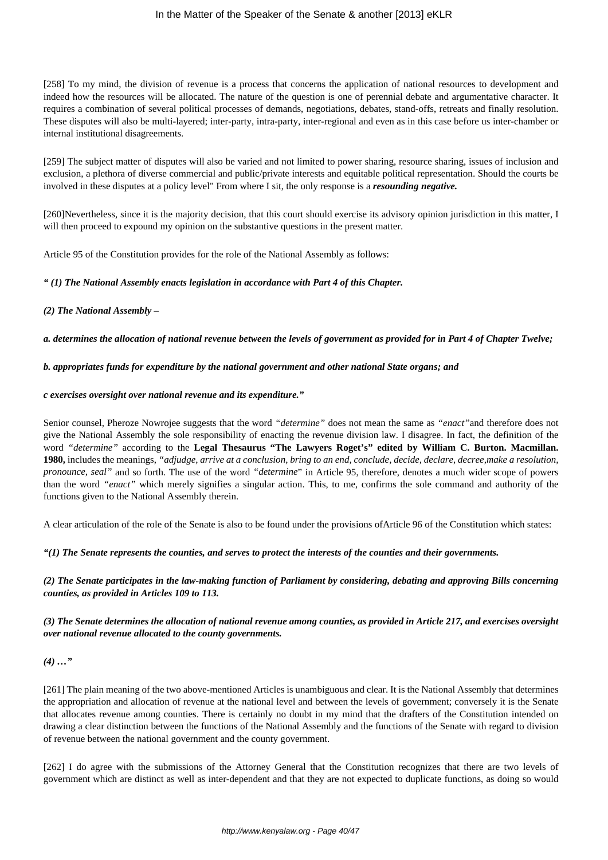### In the Matter of the Speaker of the Senate & another [2013] eKLR

[258] To my mind, the division of revenue is a process that concerns the application of national resources to development and indeed how the resources will be allocated. The nature of the question is one of perennial debate and argumentative character. It requires a combination of several political processes of demands, negotiations, debates, stand-offs, retreats and finally resolution. These disputes will also be multi-layered; inter-party, intra-party, inter-regional and even as in this case before us inter-chamber or internal institutional disagreements.

[259] The subject matter of disputes will also be varied and not limited to power sharing, resource sharing, issues of inclusion and exclusion, a plethora of diverse commercial and public/private interests and equitable political representation. Should the courts be involved in these disputes at a policy level" From where I sit, the only response is a *resounding negative.*

[260]Nevertheless, since it is the majority decision, that this court should exercise its advisory opinion jurisdiction in this matter, I will then proceed to expound my opinion on the substantive questions in the present matter.

Article 95 of the Constitution provides for the role of the National Assembly as follows:

### *" (1) The National Assembly enacts legislation in accordance with Part 4 of this Chapter.*

### *(2) The National Assembly –*

### *a. determines the allocation of national revenue between the levels of government as provided for in Part 4 of Chapter Twelve;*

#### *b. appropriates funds for expenditure by the national government and other national State organs; and*

#### *c exercises oversight over national revenue and its expenditure."*

Senior counsel, Pheroze Nowrojee suggests that the word *"determine"* does not mean the same as *"enact"*and therefore does not give the National Assembly the sole responsibility of enacting the revenue division law. I disagree. In fact, the definition of the word *"determine"* according to the **Legal Thesaurus "The Lawyers Roget's" edited by William C. Burton. Macmillan. 1980,** includes the meanings, *"adjudge, arrive at a conclusion, bring to an end, conclude, decide, declare, decree,make a resolution, pronounce, seal"* and so forth. The use of the word *"determine*" in Article 95, therefore, denotes a much wider scope of powers than the word *"enact"* which merely signifies a singular action. This, to me, confirms the sole command and authority of the functions given to the National Assembly therein.

A clear articulation of the role of the Senate is also to be found under the provisions ofArticle 96 of the Constitution which states:

*"(1) The Senate represents the counties, and serves to protect the interests of the counties and their governments.*

*(2) The Senate participates in the law-making function of Parliament by considering, debating and approving Bills concerning counties, as provided in Articles 109 to 113.*

### *(3) The Senate determines the allocation of national revenue among counties, as provided in Article 217, and exercises oversight over national revenue allocated to the county governments.*

### *(4) …"*

[261] The plain meaning of the two above-mentioned Articles is unambiguous and clear. It is the National Assembly that determines the appropriation and allocation of revenue at the national level and between the levels of government; conversely it is the Senate that allocates revenue among counties. There is certainly no doubt in my mind that the drafters of the Constitution intended on drawing a clear distinction between the functions of the National Assembly and the functions of the Senate with regard to division of revenue between the national government and the county government.

[262] I do agree with the submissions of the Attorney General that the Constitution recognizes that there are two levels of government which are distinct as well as inter-dependent and that they are not expected to duplicate functions, as doing so would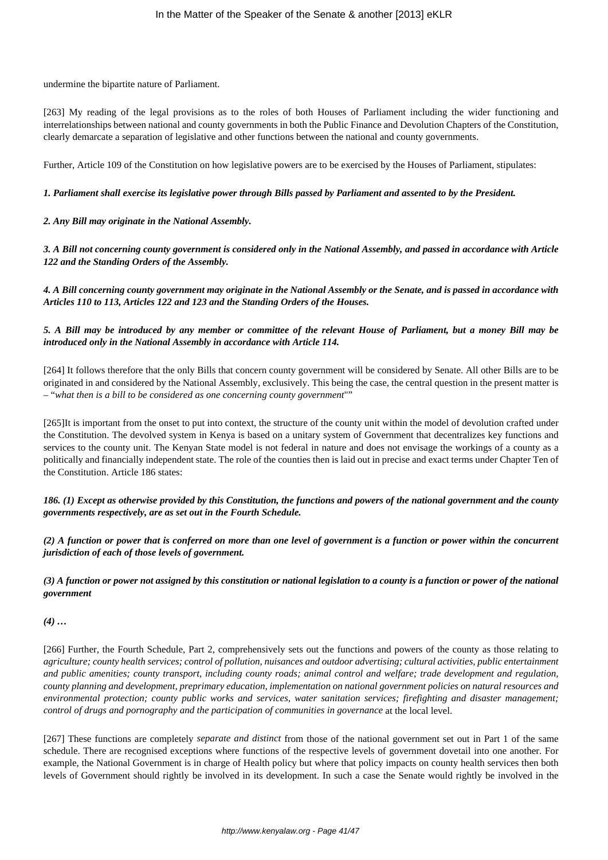undermine the bipartite nature of Parliament.

[263] My reading of the legal provisions as to the roles of both Houses of Parliament including the wider functioning and interrelationships between national and county governments in both the Public Finance and Devolution Chapters of the Constitution, clearly demarcate a separation of legislative and other functions between the national and county governments.

Further, Article 109 of the Constitution on how legislative powers are to be exercised by the Houses of Parliament, stipulates:

# *1. Parliament shall exercise its legislative power through Bills passed by Parliament and assented to by the President.*

*2. Any Bill may originate in the National Assembly.*

*3. A Bill not concerning county government is considered only in the National Assembly, and passed in accordance with Article 122 and the Standing Orders of the Assembly.*

*4. A Bill concerning county government may originate in the National Assembly or the Senate, and is passed in accordance with Articles 110 to 113, Articles 122 and 123 and the Standing Orders of the Houses.*

*5. A Bill may be introduced by any member or committee of the relevant House of Parliament, but a money Bill may be introduced only in the National Assembly in accordance with Article 114.*

[264] It follows therefore that the only Bills that concern county government will be considered by Senate. All other Bills are to be originated in and considered by the National Assembly, exclusively. This being the case, the central question in the present matter is – "*what then is a bill to be considered as one concerning county government*""

[265]It is important from the onset to put into context, the structure of the county unit within the model of devolution crafted under the Constitution. The devolved system in Kenya is based on a unitary system of Government that decentralizes key functions and services to the county unit. The Kenyan State model is not federal in nature and does not envisage the workings of a county as a politically and financially independent state. The role of the counties then is laid out in precise and exact terms under Chapter Ten of the Constitution. Article 186 states:

*186. (1) Except as otherwise provided by this Constitution, the functions and powers of the national government and the county governments respectively, are as set out in the Fourth Schedule.*

*(2) A function or power that is conferred on more than one level of government is a function or power within the concurrent jurisdiction of each of those levels of government.*

*(3) A function or power not assigned by this constitution or national legislation to a county is a function or power of the national government*

*(4) …*

[266] Further, the Fourth Schedule, Part 2, comprehensively sets out the functions and powers of the county as those relating to *agriculture; county health services; control of pollution, nuisances and outdoor advertising; cultural activities, public entertainment and public amenities; county transport, including county roads; animal control and welfare; trade development and regulation, county planning and development, preprimary education, implementation on national government policies on natural resources and environmental protection; county public works and services, water sanitation services; firefighting and disaster management; control of drugs and pornography and the participation of communities in governance* at the local level.

[267] These functions are completely *separate and distinct* from those of the national government set out in Part 1 of the same schedule. There are recognised exceptions where functions of the respective levels of government dovetail into one another. For example, the National Government is in charge of Health policy but where that policy impacts on county health services then both levels of Government should rightly be involved in its development. In such a case the Senate would rightly be involved in the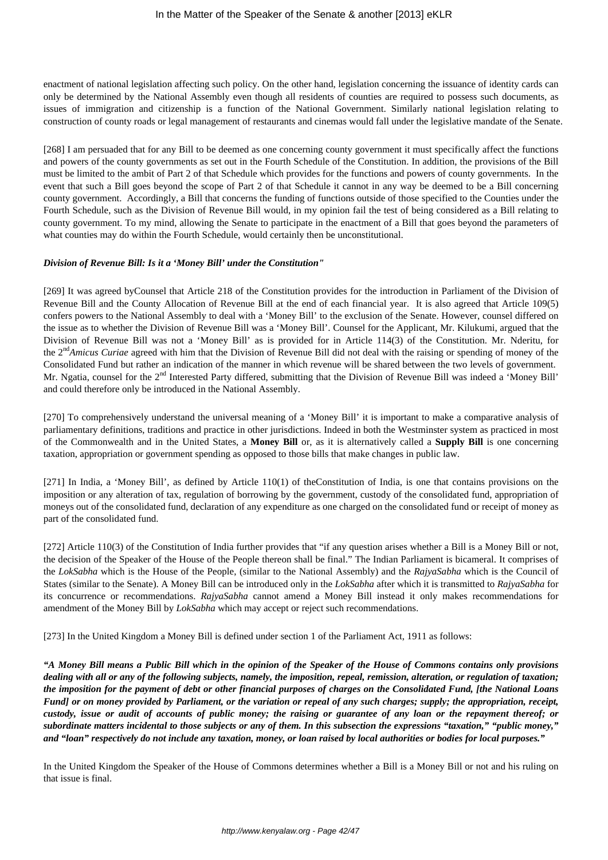enactment of national legislation affecting such policy. On the other hand, legislation concerning the issuance of identity cards can only be determined by the National Assembly even though all residents of counties are required to possess such documents, as issues of immigration and citizenship is a function of the National Government. Similarly national legislation relating to construction of county roads or legal management of restaurants and cinemas would fall under the legislative mandate of the Senate.

[268] I am persuaded that for any Bill to be deemed as one concerning county government it must specifically affect the functions and powers of the county governments as set out in the Fourth Schedule of the Constitution. In addition, the provisions of the Bill must be limited to the ambit of Part 2 of that Schedule which provides for the functions and powers of county governments. In the event that such a Bill goes beyond the scope of Part 2 of that Schedule it cannot in any way be deemed to be a Bill concerning county government. Accordingly, a Bill that concerns the funding of functions outside of those specified to the Counties under the Fourth Schedule, such as the Division of Revenue Bill would, in my opinion fail the test of being considered as a Bill relating to county government. To my mind, allowing the Senate to participate in the enactment of a Bill that goes beyond the parameters of what counties may do within the Fourth Schedule, would certainly then be unconstitutional.

#### *Division of Revenue Bill: Is it a 'Money Bill' under the Constitution"*

[269] It was agreed byCounsel that Article 218 of the Constitution provides for the introduction in Parliament of the Division of Revenue Bill and the County Allocation of Revenue Bill at the end of each financial year. It is also agreed that Article 109(5) confers powers to the National Assembly to deal with a 'Money Bill' to the exclusion of the Senate. However, counsel differed on the issue as to whether the Division of Revenue Bill was a 'Money Bill'. Counsel for the Applicant, Mr. Kilukumi, argued that the Division of Revenue Bill was not a 'Money Bill' as is provided for in Article 114(3) of the Constitution. Mr. Nderitu, for the 2nd*Amicus Curiae* agreed with him that the Division of Revenue Bill did not deal with the raising or spending of money of the Consolidated Fund but rather an indication of the manner in which revenue will be shared between the two levels of government. Mr. Ngatia, counsel for the 2<sup>nd</sup> Interested Party differed, submitting that the Division of Revenue Bill was indeed a 'Money Bill' and could therefore only be introduced in the National Assembly.

[270] To comprehensively understand the universal meaning of a 'Money Bill' it is important to make a comparative analysis of parliamentary definitions, traditions and practice in other jurisdictions. Indeed in both the Westminster system as practiced in most of the Commonwealth and in the United States, a **Money Bill** or, as it is alternatively called a **Supply Bill** is one concerning taxation, appropriation or government spending as opposed to those bills that make changes in public law.

[271] In India, a 'Money Bill', as defined by Article 110(1) of theConstitution of India, is one that contains provisions on the imposition or any alteration of tax, regulation of borrowing by the government, custody of the consolidated fund, appropriation of moneys out of the consolidated fund, declaration of any expenditure as one charged on the consolidated fund or receipt of money as part of the consolidated fund.

[272] Article 110(3) of the Constitution of India further provides that "if any question arises whether a Bill is a Money Bill or not, the decision of the Speaker of the House of the People thereon shall be final." The Indian Parliament is bicameral. It comprises of the *LokSabha* which is the House of the People, (similar to the National Assembly) and the *RajyaSabha* which is the Council of States (similar to the Senate). A Money Bill can be introduced only in the *LokSabha* after which it is transmitted to *RajyaSabha* for its concurrence or recommendations. *RajyaSabha* cannot amend a Money Bill instead it only makes recommendations for amendment of the Money Bill by *LokSabha* which may accept or reject such recommendations.

[273] In the United Kingdom a Money Bill is defined under section 1 of the Parliament Act, 1911 as follows:

*"A Money Bill means a Public Bill which in the opinion of the Speaker of the House of Commons contains only provisions dealing with all or any of the following subjects, namely, the imposition, repeal, remission, alteration, or regulation of taxation; the imposition for the payment of debt or other financial purposes of charges on the Consolidated Fund, [the National Loans Fund] or on money provided by Parliament, or the variation or repeal of any such charges; supply; the appropriation, receipt, custody, issue or audit of accounts of public money; the raising or guarantee of any loan or the repayment thereof; or subordinate matters incidental to those subjects or any of them. In this subsection the expressions "taxation," "public money," and "loan" respectively do not include any taxation, money, or loan raised by local authorities or bodies for local purposes."*

In the United Kingdom the Speaker of the House of Commons determines whether a Bill is a Money Bill or not and his ruling on that issue is final.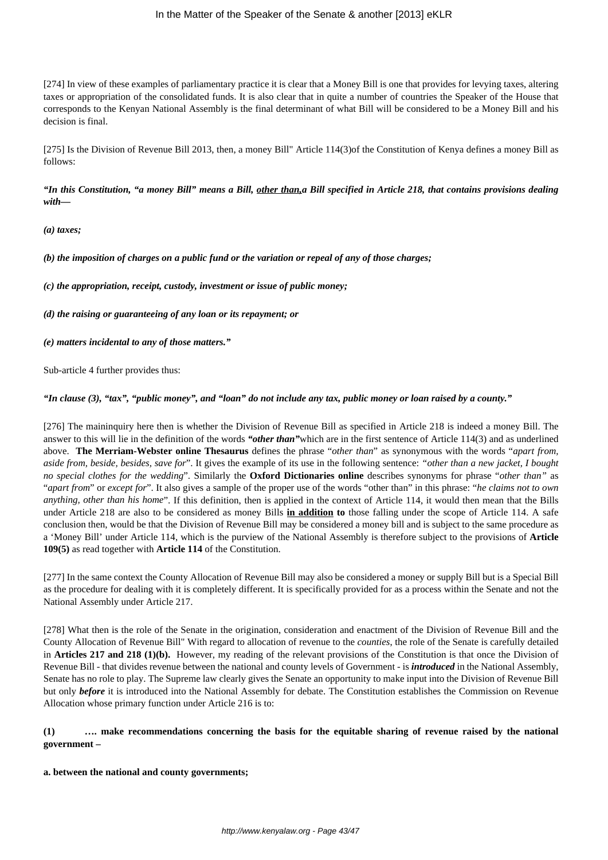[274] In view of these examples of parliamentary practice it is clear that a Money Bill is one that provides for levying taxes, altering taxes or appropriation of the consolidated funds. It is also clear that in quite a number of countries the Speaker of the House that corresponds to the Kenyan National Assembly is the final determinant of what Bill will be considered to be a Money Bill and his decision is final.

[275] Is the Division of Revenue Bill 2013, then, a money Bill" Article 114(3)of the Constitution of Kenya defines a money Bill as follows:

*"In this Constitution, "a money Bill" means a Bill, other than,a Bill specified in Article 218, that contains provisions dealing with—*

*(a) taxes;*

*(b) the imposition of charges on a public fund or the variation or repeal of any of those charges;*

*(c) the appropriation, receipt, custody, investment or issue of public money;*

*(d) the raising or guaranteeing of any loan or its repayment; or*

*(e) matters incidental to any of those matters."*

Sub-article 4 further provides thus:

*"In clause (3), "tax", "public money", and "loan" do not include any tax, public money or loan raised by a county."*

[276] The maininquiry here then is whether the Division of Revenue Bill as specified in Article 218 is indeed a money Bill. The answer to this will lie in the definition of the words *"other than"*which are in the first sentence of Article 114(3) and as underlined above. **The Merriam-Webster online Thesaurus** defines the phrase "*other than*" as synonymous with the words "*apart from, aside from, beside, besides, save for*". It gives the example of its use in the following sentence: *"other than a new jacket, I bought no special clothes for the wedding*". Similarly the **Oxford Dictionaries online** describes synonyms for phrase "*other than"* as "*apart from*" or *except for*". It also gives a sample of the proper use of the words "other than" in this phrase: "*he claims not to own anything, other than his home*". If this definition, then is applied in the context of Article 114, it would then mean that the Bills under Article 218 are also to be considered as money Bills **in addition to** those falling under the scope of Article 114. A safe conclusion then, would be that the Division of Revenue Bill may be considered a money bill and is subject to the same procedure as a 'Money Bill' under Article 114, which is the purview of the National Assembly is therefore subject to the provisions of **Article 109(5)** as read together with **Article 114** of the Constitution.

[277] In the same context the County Allocation of Revenue Bill may also be considered a money or supply Bill but is a Special Bill as the procedure for dealing with it is completely different. It is specifically provided for as a process within the Senate and not the National Assembly under Article 217.

[278] What then is the role of the Senate in the origination, consideration and enactment of the Division of Revenue Bill and the County Allocation of Revenue Bill" With regard to allocation of revenue to the *counties*, the role of the Senate is carefully detailed in **Articles 217 and 218 (1)(b).** However, my reading of the relevant provisions of the Constitution is that once the Division of Revenue Bill - that divides revenue between the national and county levels of Government - is *introduced* in the National Assembly, Senate has no role to play. The Supreme law clearly gives the Senate an opportunity to make input into the Division of Revenue Bill but only *before* it is introduced into the National Assembly for debate. The Constitution establishes the Commission on Revenue Allocation whose primary function under Article 216 is to:

# **(1) …. make recommendations concerning the basis for the equitable sharing of revenue raised by the national government –**

### **a. between the national and county governments;**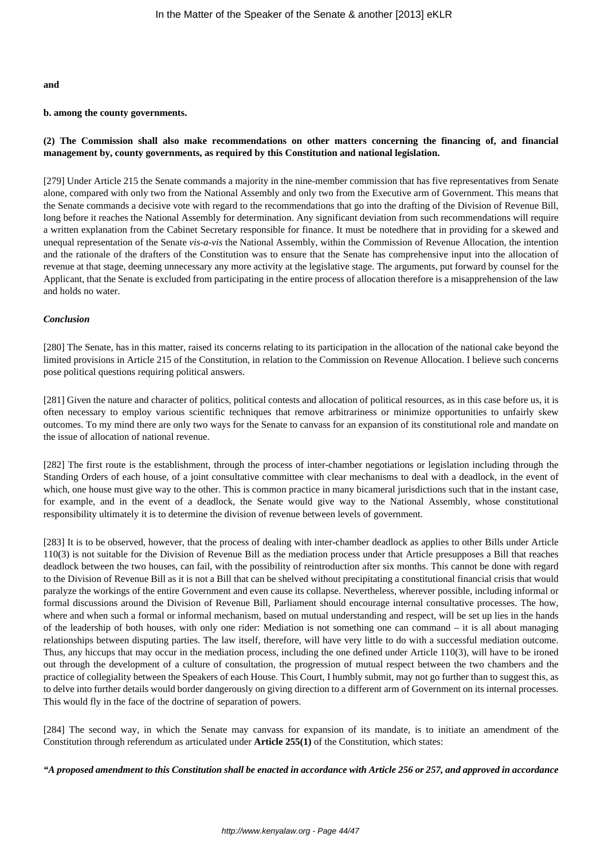#### **and**

#### **b. among the county governments.**

### **(2) The Commission shall also make recommendations on other matters concerning the financing of, and financial management by, county governments, as required by this Constitution and national legislation.**

[279] Under Article 215 the Senate commands a majority in the nine-member commission that has five representatives from Senate alone, compared with only two from the National Assembly and only two from the Executive arm of Government. This means that the Senate commands a decisive vote with regard to the recommendations that go into the drafting of the Division of Revenue Bill, long before it reaches the National Assembly for determination. Any significant deviation from such recommendations will require a written explanation from the Cabinet Secretary responsible for finance. It must be notedhere that in providing for a skewed and unequal representation of the Senate *vis-a-vis* the National Assembly, within the Commission of Revenue Allocation, the intention and the rationale of the drafters of the Constitution was to ensure that the Senate has comprehensive input into the allocation of revenue at that stage, deeming unnecessary any more activity at the legislative stage. The arguments, put forward by counsel for the Applicant, that the Senate is excluded from participating in the entire process of allocation therefore is a misapprehension of the law and holds no water.

#### *Conclusion*

[280] The Senate, has in this matter, raised its concerns relating to its participation in the allocation of the national cake beyond the limited provisions in Article 215 of the Constitution, in relation to the Commission on Revenue Allocation. I believe such concerns pose political questions requiring political answers.

[281] Given the nature and character of politics, political contests and allocation of political resources, as in this case before us, it is often necessary to employ various scientific techniques that remove arbitrariness or minimize opportunities to unfairly skew outcomes. To my mind there are only two ways for the Senate to canvass for an expansion of its constitutional role and mandate on the issue of allocation of national revenue.

[282] The first route is the establishment, through the process of inter-chamber negotiations or legislation including through the Standing Orders of each house, of a joint consultative committee with clear mechanisms to deal with a deadlock, in the event of which, one house must give way to the other. This is common practice in many bicameral jurisdictions such that in the instant case, for example, and in the event of a deadlock, the Senate would give way to the National Assembly, whose constitutional responsibility ultimately it is to determine the division of revenue between levels of government.

[283] It is to be observed, however, that the process of dealing with inter-chamber deadlock as applies to other Bills under Article 110(3) is not suitable for the Division of Revenue Bill as the mediation process under that Article presupposes a Bill that reaches deadlock between the two houses, can fail, with the possibility of reintroduction after six months. This cannot be done with regard to the Division of Revenue Bill as it is not a Bill that can be shelved without precipitating a constitutional financial crisis that would paralyze the workings of the entire Government and even cause its collapse. Nevertheless, wherever possible, including informal or formal discussions around the Division of Revenue Bill, Parliament should encourage internal consultative processes. The how, where and when such a formal or informal mechanism, based on mutual understanding and respect, will be set up lies in the hands of the leadership of both houses, with only one rider: Mediation is not something one can command – it is all about managing relationships between disputing parties. The law itself, therefore, will have very little to do with a successful mediation outcome. Thus, any hiccups that may occur in the mediation process, including the one defined under Article 110(3), will have to be ironed out through the development of a culture of consultation, the progression of mutual respect between the two chambers and the practice of collegiality between the Speakers of each House. This Court, I humbly submit, may not go further than to suggest this, as to delve into further details would border dangerously on giving direction to a different arm of Government on its internal processes. This would fly in the face of the doctrine of separation of powers.

[284] The second way, in which the Senate may canvass for expansion of its mandate, is to initiate an amendment of the Constitution through referendum as articulated under **Article 255(1)** of the Constitution, which states:

*"A proposed amendment to this Constitution shall be enacted in accordance with Article 256 or 257, and approved in accordance*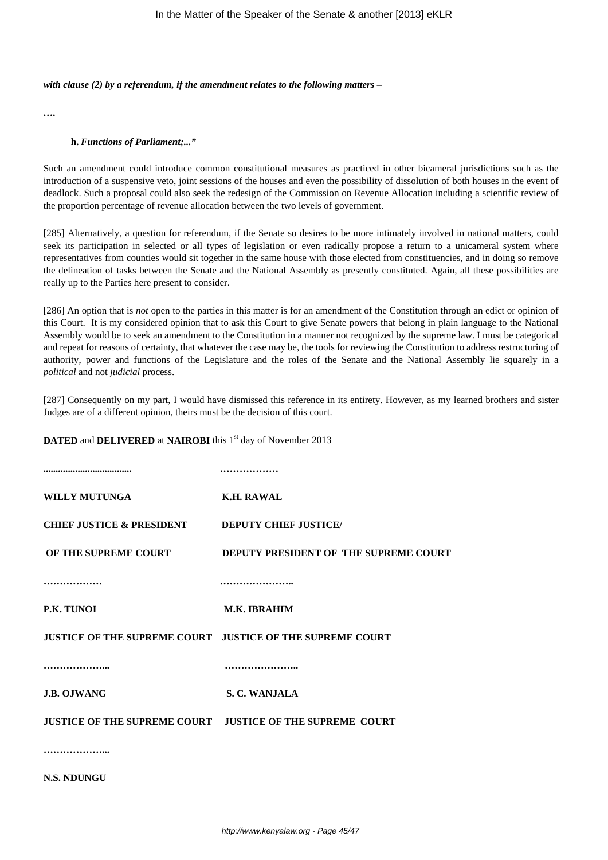#### *with clause (2) by a referendum, if the amendment relates to the following matters –*

*….*

#### **h.** *Functions of Parliament;..."*

Such an amendment could introduce common constitutional measures as practiced in other bicameral jurisdictions such as the introduction of a suspensive veto, joint sessions of the houses and even the possibility of dissolution of both houses in the event of deadlock. Such a proposal could also seek the redesign of the Commission on Revenue Allocation including a scientific review of the proportion percentage of revenue allocation between the two levels of government.

[285] Alternatively, a question for referendum, if the Senate so desires to be more intimately involved in national matters, could seek its participation in selected or all types of legislation or even radically propose a return to a unicameral system where representatives from counties would sit together in the same house with those elected from constituencies, and in doing so remove the delineation of tasks between the Senate and the National Assembly as presently constituted. Again, all these possibilities are really up to the Parties here present to consider.

[286] An option that is *not* open to the parties in this matter is for an amendment of the Constitution through an edict or opinion of this Court. It is my considered opinion that to ask this Court to give Senate powers that belong in plain language to the National Assembly would be to seek an amendment to the Constitution in a manner not recognized by the supreme law. I must be categorical and repeat for reasons of certainty, that whatever the case may be, the tools for reviewing the Constitution to address restructuring of authority, power and functions of the Legislature and the roles of the Senate and the National Assembly lie squarely in a *political* and not *judicial* process.

[287] Consequently on my part, I would have dismissed this reference in its entirety. However, as my learned brothers and sister Judges are of a different opinion, theirs must be the decision of this court.

### **DATED** and **DELIVERED** at **NAIROBI** this 1<sup>st</sup> day of November 2013

| <b>WILLY MUTUNGA</b>                 | <b>K.H. RAWAL</b>                                                |
|--------------------------------------|------------------------------------------------------------------|
| <b>CHIEF JUSTICE &amp; PRESIDENT</b> | <b>DEPUTY CHIEF JUSTICE/</b>                                     |
|                                      | OF THE SUPREME COURT DEPUTY PRESIDENT OF THE SUPREME COURT       |
|                                      |                                                                  |
| P.K. TUNOI                           | <b>M.K. IBRAHIM</b>                                              |
|                                      | JUSTICE OF THE SUPREME COURT JUSTICE OF THE SUPREME COURT        |
|                                      |                                                                  |
| <b>J.B. OJWANG</b>                   | S. C. WANJALA                                                    |
|                                      | <b>JUSTICE OF THE SUPREME COURT JUSTICE OF THE SUPREME COURT</b> |
|                                      |                                                                  |
| <b>N.S. NDUNGU</b>                   |                                                                  |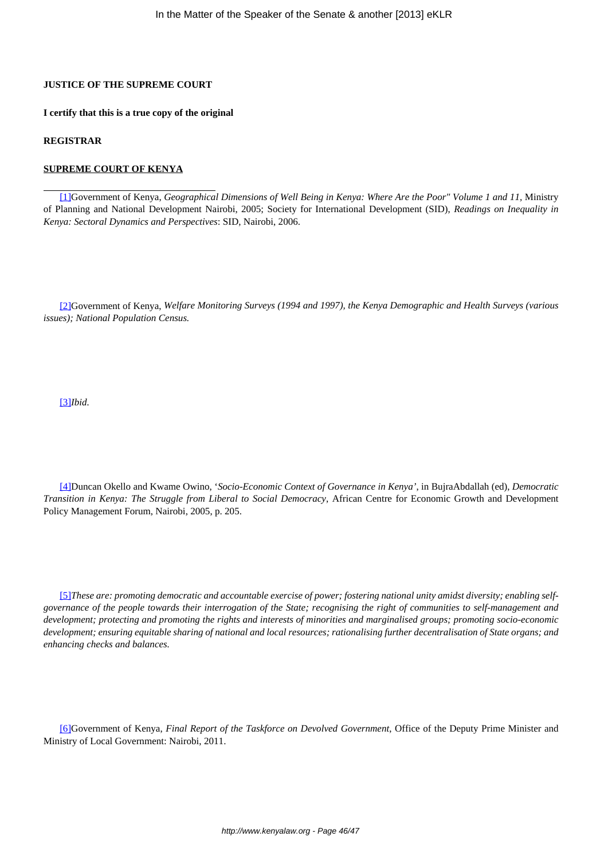# **JUSTICE OF THE SUPREME COURT**

**I certify that this is a true copy of the original**

#### **REGISTRAR**

#### **SUPREME COURT OF KENYA**

[1]Government of Kenya, *Geographical Dimensions of Well Being in Kenya: Where Are the Poor" Volume 1 and 11,* Ministry of Planning and National Development Nairobi, 2005; Society for International Development (SID), *Readings on Inequality in Kenya: Sectoral Dynamics and Perspectives*: SID, Nairobi, 2006.

[2]Government of Kenya, *Welfare Monitoring Surveys (1994 and 1997), the Kenya Demographic and Health Surveys (various issues); National Population Census.*

[3]*Ibid.*

[4]Duncan Okello and Kwame Owino, '*Socio-Economic Context of Governance in Kenya'*, in BujraAbdallah (ed), *Democratic Transition in Kenya: The Struggle from Liberal to Social Democracy*, African Centre for Economic Growth and Development Policy Management Forum, Nairobi, 2005, p. 205.

[5]*These are: promoting democratic and accountable exercise of power; fostering national unity amidst diversity; enabling selfgovernance of the people towards their interrogation of the State; recognising the right of communities to self-management and development; protecting and promoting the rights and interests of minorities and marginalised groups; promoting socio-economic development; ensuring equitable sharing of national and local resources; rationalising further decentralisation of State organs; and enhancing checks and balances.*

[6]Government of Kenya, *Final Report of the Taskforce on Devolved Government*, Office of the Deputy Prime Minister and Ministry of Local Government: Nairobi, 2011.